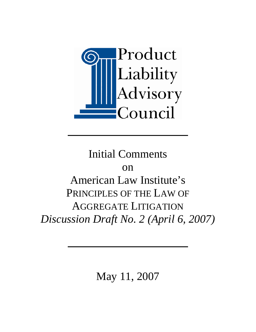

# Initial Comments on American Law Institute's PRINCIPLES OF THE LAW OF AGGREGATE LITIGATION *Discussion Draft No. 2 (April 6, 2007)*

May 11, 2007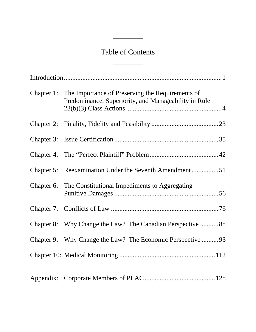## Table of Contents

J.

 $\overline{a}$ 

|  | Chapter 1: The Importance of Preserving the Requirements of<br>Predominance, Superiority, and Manageability in Rule |
|--|---------------------------------------------------------------------------------------------------------------------|
|  |                                                                                                                     |
|  |                                                                                                                     |
|  |                                                                                                                     |
|  | Chapter 5: Reexamination Under the Seventh Amendment51                                                              |
|  | Chapter 6: The Constitutional Impediments to Aggregating                                                            |
|  |                                                                                                                     |
|  | Chapter 8: Why Change the Law? The Canadian Perspective  88                                                         |
|  | Chapter 9: Why Change the Law? The Economic Perspective 93                                                          |
|  |                                                                                                                     |
|  |                                                                                                                     |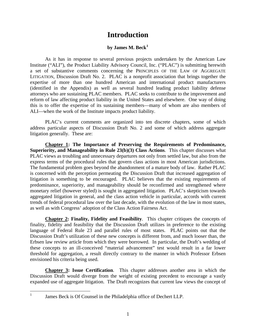### **Introduction**

#### **by James M. Beck[1](#page-2-0)**

As it has in response to several previous projects undertaken by the American Law Institute ("ALI"), the Product Liability Advisory Council, Inc. ("PLAC") is submitting herewith a set of substantive comments concerning the PRINCIPLES OF THE LAW OF AGGREGATE LITIGATION, Discussion Draft No. 2. PLAC is a nonprofit association that brings together the expertise of more than one hundred American and international product manufacturers (identified in the Appendix) as well as several hundred leading product liability defense attorneys who are sustaining PLAC members. PLAC seeks to contribute to the improvement and reform of law affecting product liability in the United States and elsewhere. One way of doing this is to offer the expertise of its sustaining members—many of whom are also members of ALI—when the work of the Institute impacts product liability.

PLAC's current comments are organized into ten discrete chapters, some of which address particular aspects of Discussion Draft No. 2 and some of which address aggregate litigation generally. These are:

**Chapter 1: The Importance of Preserving the Requirements of Predominance, Superiority, and Manageability in Rule 23(b)(3) Class Actions**. This chapter discusses what PLAC views as troubling and unnecessary departures not only from settled law, but also from the express terms of the procedural rules that govern class actions in most American jurisdictions. The fundamental problem goes beyond the abandonment of a mature body of law. Rather PLAC is concerned with the perception permeating the Discussion Draft that increased aggregation of litigation is something to be encouraged. PLAC believes that the existing requirements of predominance, superiority, and manageability should be reconfirmed and strengthened where monetary relief (however styled) is sought in aggregated litigation. PLAC's skepticism towards aggregated litigation in general, and the class action vehicle in particular, accords with current trends of federal procedural law over the last decade, with the evolution of the law in most states, as well as with Congress' adoption of the Class Action Fairness Act.

**Chapter 2: Finality, Fidelity and Feasibility**. This chapter critiques the concepts of finality, fidelity and feasibility that the Discussion Draft utilizes in preference to the existing language of Federal Rule 23 and parallel rules of most states. PLAC points out that the Discussion Draft's utilization of these new concepts is different from, and much looser than, the Erbsen law review article from which they were borrowed. In particular, the Draft's wedding of these concepts to an ill-conceived "material advancement" test would result in a far lower threshold for aggregation, a result directly contrary to the manner in which Professor Erbsen envisioned his criteria being used.

**Chapter 3: Issue Certification**. This chapter addresses another area in which the Discussion Draft would diverge from the weight of existing precedent to encourage a vastly expanded use of aggregate litigation. The Draft recognizes that current law views the concept of

<span id="page-2-0"></span> $\frac{1}{1}$ 

James Beck is Of Counsel in the Philadelphia office of Dechert LLP.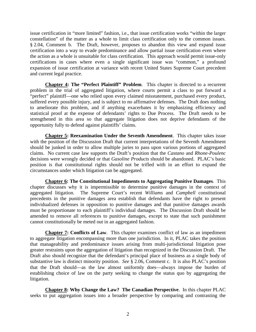issue certification in "more limited" fashion, i.e., that issue certification works "within the larger constellation" of the matter as a whole to limit class certification only to the common issues. § 2.04, Comment b. The Draft, however, proposes to abandon this view and expand issue certification into a way to evade predominance and allow partial issue certification even where the action as a whole is unsuitable for class certification. This approach would permit issue-only certifications in cases where even a single significant issue was "common," a profound expansion of issue certification at variance with recent United States Supreme Court precedent and current legal practice.

**Chapter 4: The "Perfect Plaintiff" Problem**. This chapter is directed to a recurrent problem in the trial of aggregated litigation, where courts permit a class to put forward a "perfect" plaintiff—one who relied upon every claimed misstatement, purchased every product, suffered every possible injury, and is subject to no affirmative defenses. The Draft does nothing to ameliorate this problem, and if anything exacerbates it by emphasizing efficiency and statistical proof at the expense of defendants' rights to Due Process. The Draft needs to be strengthened in this area so that aggregate litigation does not deprive defendants of the opportunity fully to defend against plaintiffs' claims.

**Chapter 5: Reexamination Under the Seventh Amendment**. This chapter takes issue with the position of the Discussion Draft that current interpretations of the Seventh Amendment should be junked in order to allow multiple juries to pass upon various portions of aggregated claims. No current case law supports the Draft's position that the *Castano* and *Rhone-Poulenc* decisions were wrongly decided or that *Gasoline Products* should be abandoned. PLAC's basic position is that constitutional rights should not be trifled with in an effort to expand the circumstances under which litigation can be aggregated.

**Chapter 6: The Constitutional Impediments to Aggregating Punitive Damages**. This chapter discusses why it is impermissible to determine punitive damages in the context of aggregated litigation. The Supreme Court's recent *Williams* and *Campbell* constitutional precedents in the punitive damages area establish that defendants have the right to present individualized defenses in opposition to punitive damages and that punitive damages awards must be proportionate to each plaintiff's individual damages. The Discussion Draft should be amended to remove all references to punitive damages, except to state that such punishment cannot constitutionally be meted out in an aggregated fashion.

**Chapter 7: Conflicts of Law**. This chapter examines conflict of law as an impediment to aggregate litigation encompassing more than one jurisdiction. In it, PLAC takes the position that manageability and predominance issues arising from multi-jurisdictional litigation pose greater restraints upon the aggregation of litigation than recognized in the Discussion Draft. The Draft also should recognize that the defendant's principal place of business as a single body of substantive law is distinct minority position. *See* § 2.06, Comment c. It is also PLAC's position that the Draft should—as the law almost uniformly does—always impose the burden of establishing choice of law on the party seeking to change the status quo by aggregating the litigation.

**Chapter 8: Why Change the Law? The Canadian Perspective**. In this chapter PLAC seeks to put aggregation issues into a broader perspective by comparing and contrasting the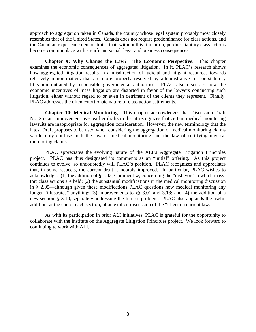approach to aggregation taken in Canada, the country whose legal system probably most closely resembles that of the United States. Canada does not require predominance for class actions, and the Canadian experience demonstrates that, without this limitation, product liability class actions become commonplace with significant social, legal and business consequences.

**Chapter 9: Why Change the Law? The Economic Perspective**. This chapter examines the economic consequences of aggregated litigation. In it, PLAC's research shows how aggregated litigation results in a misdirection of judicial and litigant resources towards relatively minor matters that are more properly resolved by administrative fiat or statutory litigation initiated by responsible governmental authorities. PLAC also discusses how the economic incentives of mass litigation are distorted in favor of the lawyers conducting such litigation, either without regard to or even in detriment of the clients they represent. Finally, PLAC addresses the often extortionate nature of class action settlements.

**Chapter 10: Medical Monitoring**. This chapter acknowledges that Discussion Draft No. 2 is an improvement over earlier drafts in that it recognizes that certain medical monitoring lawsuits are inappropriate for aggregation consideration. However, the new terminology that the latest Draft proposes to be used when considering the aggregation of medical monitoring claims would only confuse both the law of medical monitoring and the law of certifying medical monitoring claims.

PLAC appreciates the evolving nature of the ALI's Aggregate Litigation Principles project. PLAC has thus designated its comments as an "initial" offering. As this project continues to evolve, so undoubtedly will PLAC's position. PLAC recognizes and appreciates that, in some respects, the current draft is notably improved. In particular, PLAC wishes to acknowledge: (1) the addition of § 1.02, Comment w, concerning the "disfavor" in which masstort class actions are held; (2) the substantial modifications in the medical monitoring discussion in § 2.05—although given these modifications PLAC questions how medical monitoring any longer "illustrates" anything; (3) improvements to §§ 3.01 and 3.18; and (4) the addition of a new section, § 3.10, separately addressing the futures problem. PLAC also applauds the useful addition, at the end of each section, of an explicit discussion of the "effect on current law."

As with its participation in prior ALI initiatives, PLAC is grateful for the opportunity to collaborate with the Institute on the Aggregate Litigation Principles project. We look forward to continuing to work with ALI.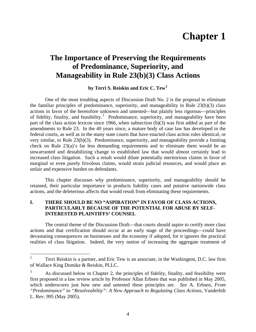## **Chapter 1**

## **The Importance of Preserving the Requirements of Predominance, Superiority, and Manageability in Rule 23(b)(3) Class Actions**

**by Terri S. Reiskin and Eric C. Tew[2](#page-5-0)**

One of the most troubling aspects of Discussion Draft No. 2 is the proposal to eliminate the familiar principles of predominance, superiority, and manageability in Rule 23(b)(3) class actions in favor of the heretofore unknown and untested—but plainly less rigorous—principles of fidelity, finality, and feasibility.<sup>[3](#page-5-1)</sup> Predominance, superiority, and manageability have been part of the class action lexicon since 1966, when subsection (b)(3) was first added as part of the amendments to Rule 23. In the 40 years since, a mature body of case law has developed in the federal courts, as well as in the many state courts that have enacted class action rules identical, or very similar, to Rule 23(b)(3). Predominance, superiority, and manageability provide a limiting check on Rule 23(a)'s far less demanding requirements and to eliminate them would be an unwarranted and destabilizing change to established law that would almost certainly lead to increased class litigation. Such a result would dilute potentially meritorious claims in favor of marginal or even purely frivolous claims, would strain judicial resources, and would place an unfair and expensive burden on defendants.

This chapter discusses why predominance, superiority, and manageability should be retained, their particular importance in products liability cases and putative nationwide class actions, and the deleterious affects that would result from eliminating these requirements.

#### **I. THERE SHOULD BE NO "ASPIRATION" IN FAVOR OF CLASS ACTIONS, PARTICULARLY BECAUSE OF THE POTENTIAL FOR ABUSE BY SELF-INTERESTED PLAINTIFFS' COUNSEL**

The central theme of the Discussion Draft—that courts should aspire to certify more class actions and that certification should occur at an early stage of the proceedings—could have devastating consequences on businesses and the economy if adopted, for it ignores the practical realities of class litigation. Indeed, the very notion of increasing the aggregate treatment of

<span id="page-5-0"></span> $\frac{1}{2}$  Terri Reiskin is a partner, and Eric Tew is an associate, in the Washington, D.C. law firm of Wallace King Domike & Reiskin, PLLC.

<span id="page-5-1"></span><sup>3</sup> As discussed below in Chapter 2, the principles of fidelity, finality, and feasibility were first proposed in a law review article by Professor Allan Erbsen that was published in May 2005, which underscores just how new and untested these principles are. *See* A. Erbsen, *From "Predominance" to "Resolveability": A New Approach to Regulating Class Actions*, Vanderbilt L. Rev. 995 (May 2005).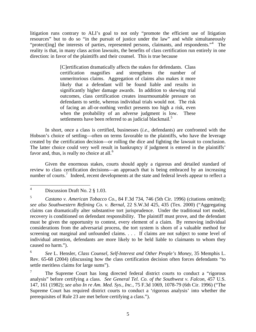litigation runs contrary to ALI's goal to not only "promote the efficient use of litigation resources" but to do so "in the pursuit of justice under the law" and while simultaneously "protect[ing] the interests of parties, represented persons, claimants, and respondents."<sup>[4](#page-6-0)</sup> The reality is that, in many class action lawsuits, the benefits of class certification run entirely in one direction: in favor of the plaintiffs and their counsel. This is true because

> [C]ertification dramatically affects the stakes for defendants. Class certification magnifies and strengthens the number of unmeritorious claims. Aggregation of claims also makes it more likely that a defendant will be found liable and results in significantly higher damage awards. In addition to skewing trial outcomes, class certification creates insurmountable pressure on defendants to settle, whereas individual trials would not. The risk of facing an all-or-nothing verdict presents too high a risk, even when the probability of an adverse judgment is low. These settlements have been referred to as judicial blackmail.<sup>[5](#page-6-1)</sup>

In short, once a class is certified, businesses (*i.e.*, defendants) are confronted with the Hobson's choice of settling—often on terms favorable to the plaintiffs, who have the leverage created by the certification decision—or rolling the dice and fighting the lawsuit to conclusion. The latter choice could very well result in bankruptcy if judgment is entered in the plaintiffs' favor and, thus, is really no choice at all. $<sup>6</sup>$  $<sup>6</sup>$  $<sup>6</sup>$ </sup>

Given the enormous stakes, courts should apply a rigorous and detailed standard of review to class certification decisions—an approach that is being embraced by an increasing number of courts.<sup>[7](#page-6-3)</sup> Indeed, recent developments at the state and federal levels appear to reflect a

<span id="page-6-2"></span>6 *See* L. Hensler, *Class Counsel, Self-Interest and Other People's Money*, 35 Memphis L. Rev. 65-68 (2004) (discussing how the class certification decision often forces defendants "to settle meritless claims for large sums").

<span id="page-6-3"></span>7 The Supreme Court has long directed federal district courts to conduct a "rigorous analysis" before certifying a class. *See General Tel. Co. of the Southwest v. Falcon*, 457 U.S. 147, 161 (1982); *see also In re Am. Med. Sys., Inc.*, 75 F.3d 1069, 1078-79 (6th Cir. 1996) ("The Supreme Court has required district courts to conduct a 'rigorous analysis' into whether the prerequisites of Rule 23 are met before certifying a class.").

<span id="page-6-0"></span> $\frac{1}{4}$ Discussion Draft No. 2 § 1.03.

<span id="page-6-1"></span><sup>5</sup> *Castano v. American Tobacco Co.*, 84 F.3d 734, 746 (5th Cir. 1996) (citations omitted); *see also Southwestern Refining Co. v. Bernal*, 22 S.W.3d 425, 435 (Tex. 2000) ("Aggregating claims can dramatically alter substantive tort jurisprudence. Under the traditional tort model, recovery is conditioned on defendant responsibility. The plaintiff must prove, and the defendant must be given the opportunity to contest, every element of a claim. By removing individual considerations from the adversarial process, the tort system is shorn of a valuable method for screening out marginal and unfounded claims. . . . If claims are not subject to some level of individual attention, defendants are more likely to be held liable to claimants to whom they caused no harm.").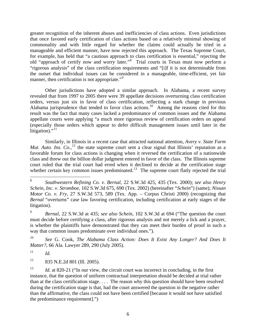greater recognition of the inherent abuses and inefficiencies of class actions. Even jurisdictions that once favored early certification of class actions based on a relatively minimal showing of commonality and with little regard for whether the claims could actually be tried in a manageable and efficient manner, have now rejected this approach. The Texas Supreme Court, for example, has held that "a cautious approach to class certification is essential," rejecting the old "approach of certify now and worry later."<sup>[8](#page-7-0)</sup> Trial courts in Texas must now perform a "rigorous analysis" of the class certification requirements and "[i]f it is not determinable from the outset that individual issues can be considered in a manageable, time-efficient, yet fair manner, then certification is not appropriate."<sup>[9](#page-7-1)</sup>

Other jurisdictions have adopted a similar approach. In Alabama, a recent survey revealed that from 1997 to 2005 there were 39 appellate decisions overturning class certification orders, versus just six in favor of class certification, reflecting a stark change in previous Alabama jurisprudence that tended to favor class actions.<sup>[10](#page-7-2)</sup> Among the reasons cited for this result was the fact that many cases lacked a predominance of common issues and the Alabama appellate courts were applying "a much more rigorous review of certification orders on appeal (especially those orders which appear to defer difficult management issues until later in the litigation)."<sup>[11](#page-7-3)</sup>

Similarly, in Illinois in a recent case that attracted national attention, *Avery v. State Farm Mut. Auto. Ins. Co.*,<sup>[12](#page-7-4)</sup> the state supreme court sent a clear signal that Illinois' reputation as a favorable forum for class actions is changing when it reversed the certification of a nationwide class and threw out the billion dollar judgment entered in favor of the class. The Illinois supreme court ruled that the trial court had erred when it declined to decide at the certification stage whether certain key common issues predominated.<sup>[13](#page-7-5)</sup> The supreme court flatly rejected the trial

<span id="page-7-0"></span> 8 *Southwestern Refining Co. v. Bernal*, 22 S.W.3d 425, 435 (Tex. 2000); *see also Henry Schein, Inc. v. Stromboe*, 102 S.W.3d 675, 690 (Tex. 2002) (hereinafter "*Schein*") (same); *Nissan Motor Co. v. Fry*, 27 S.W.3d 573, 589 (Tex. App. – Corpus Christi 2000) (recognizing that *Bernal* "overturns" case law favoring certification, including certification at early stages of the litigation).

<span id="page-7-1"></span><sup>9</sup> *Bernal*, 22 S.W.3d at 435; *see also Schein*, 102 S.W.3d at 694 ("The question the court must decide before certifying a class, after rigorous analysis and not merely a lick and a prayer, is whether the plaintiffs have demonstrated that they can meet their burden of proof in such a way that common issues predominate over individual ones.").

<span id="page-7-2"></span><sup>10</sup> *See* G. Cook, *The Alabama Class Action: Does It Exist Any Longer? And Does It Matter?*, 66 Ala. Lawyer 289, 290 (July 2005).

<span id="page-7-3"></span> $11$  *Id.* 

<span id="page-7-4"></span><sup>12 835</sup> N.E.2d 801 (Ill. 2005).

<span id="page-7-5"></span><sup>&</sup>lt;sup>13</sup> *Id.* at 820-21 ("In our view, the circuit court was incorrect in concluding, in the first instance, that the question of uniform contractual interpretation should be decided at trial rather than at the class certification stage. . . . The reason why this question should have been resolved during the certification stage is that, had the court answered the question in the negative rather than the affirmative, the class could not have been certified [because it would not have satisfied the predominance requirement].")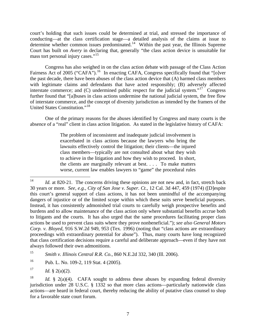court's holding that such issues could be determined at trial, and stressed the importance of conducting—at the class certification stage—a detailed analysis of the claims at issue to determine whether common issues predominated.<sup>[14](#page-8-0)</sup> Within the past year, the Illinois Supreme Court has built on *Avery* in declaring that, generally "the class action device is unsuitable for mass tort personal injury cases."<sup>[15](#page-8-1)</sup>

Congress has also weighed in on the class action debate with passage of the Class Action Fairness Act of 2005 ("CAFA").<sup>[16](#page-8-2)</sup> In enacting CAFA, Congress specifically found that "[o]ver the past decade, there have been abuses of the class action device that (A) harmed class members with legitimate claims and defendants that have acted responsibly; (B) adversely affected interstate commerce; and  $(C)$  undermined public respect for the judicial system."<sup>[17](#page-8-3)</sup> Congress further found that "[a]buses in class actions undermine the national judicial system, the free flow of interstate commerce, and the concept of diversity jurisdiction as intended by the framers of the United States Constitution."[18](#page-8-4)

One of the primary reasons for the abuses identified by Congress and many courts is the absence of a "real" client in class action litigation. As stated in the legislative history of CAFA:

> The problem of inconsistent and inadequate judicial involvement is exacerbated in class actions because the lawyers who bring the lawsuits effectively control the litigation; their clients—the injured class members—typically are not consulted about what they wish to achieve in the litigation and how they wish to proceed. In short, the clients are marginally relevant at best. . . . To make matters worse, current law enables lawyers to "game" the procedural rules

<span id="page-8-0"></span> $14$ Id. at 820-21. The concerns driving these opinions are not new and, in fact, stretch back 30 years or more. *See, e.g.*, *City of San Jose v. Super. Ct.*, 12 Cal. 3d 447, 459 (1974) ([D]espite this court's general support of class actions, it has not been unmindful of the accompanying dangers of injustice or of the limited scope within which these suits serve beneficial purposes. Instead, it has consistently admonished trial courts to carefully weigh prospective benefits and burdens and to allow maintenance of the class action only where substantial benefits accrue both to litigants and the courts. It has also urged that the same procedures facilitating proper class actions be used to prevent class suits where they prove nonbeneficial."); *see also General Motors Corp. v. Bloyed*, 916 S.W.2d 949, 953 (Tex. 1996) (noting that "class actions are extraordinary proceedings with extraordinary potential for abuse"). Thus, many courts have long recognized that class certification decisions require a careful and deliberate approach—even if they have not always followed their own admonitions.

<span id="page-8-1"></span><sup>15</sup> *Smith v. Illinois Central R.R. Co.*, 860 N.E.2d 332, 340 (Ill. 2006).

<span id="page-8-2"></span><sup>&</sup>lt;sup>16</sup> Pub. L. No. 109-2, 119 Stat. 4 (2005).

<span id="page-8-3"></span><sup>&</sup>lt;sup>17</sup> *Id.* § 2(a)(2).

<span id="page-8-4"></span><sup>&</sup>lt;sup>18</sup> *Id.* § 2(a)(4). CAFA sought to address these abuses by expanding federal diversity jurisdiction under 28 U.S.C. § 1332 so that more class actions—particularly nationwide class actions—are heard in federal court, thereby reducing the ability of putative class counsel to shop for a favorable state court forum.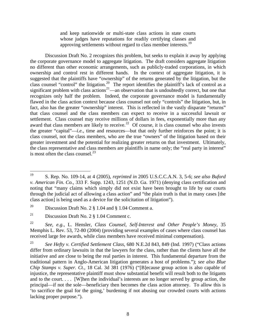and keep nationwide or multi-state class actions in state courts whose judges have reputations for readily certifying classes and approving settlements without regard to class member interests.<sup>[19](#page-9-0)</sup>

Discussion Draft No. 2 recognizes this problem, but seeks to explain it away by applying the corporate governance model to aggregate litigation. The draft considers aggregate litigation no different than other economic arrangements, such as publicly-traded corporations, in which ownership and control rest in different hands. In the context of aggregate litigation, it is suggested that the plaintiffs have "ownership" of the returns generated by the litigation, but the class counsel "control" the litigation.<sup>[20](#page-9-1)</sup> The report identifies the plaintiff's lack of control as a significant problem with class actions<sup>[21](#page-9-2)</sup>—an observation that is undoubtedly correct, but one that recognizes only half the problem. Indeed, the corporate governance model is fundamentally flawed in the class action context because class counsel not only "controls" the litigation, but, in fact, also has the greater "ownership" interest. This is reflected in the vastly disparate "returns" that class counsel and the class members can expect to receive in a successful lawsuit or settlement. Class counsel may receive millions of dollars in fees, exponentially more than any award that class members are likely to receive.<sup>[22](#page-9-3)</sup> Of course, it is class counsel who also invests the greater "capital"—*i.e.*, time and resources—but that only further reinforces the point; it is class counsel, not the class members, who are the true "owners" of the litigation based on their greater investment and the potential for realizing greater returns on that investment. Ultimately, the class representative and class members are plaintiffs in name only; the "real party in interest" is most often the class counsel. $^{23}$  $^{23}$  $^{23}$ 

<span id="page-9-0"></span><sup>19</sup> 19 S. Rep. No. 109-14, at 4 (2005), *reprinted in* 2005 U.S.C.C.A.N. 3, 5-6; *see also Buford v. American Fin. Co.*, 333 F. Supp. 1243, 1251 (N.D. Ga. 1971) (denying class certification and noting that "many claims which simply did not exist have been brought to life by our courts through the judicial act of allowing a class action" and "the plain truth is that in many cases [the class action] is being used as a device for the solicitation of litigation").

<span id="page-9-1"></span><sup>&</sup>lt;sup>20</sup> Discussion Draft No. 2  $\S$  1.04 and  $\S$  1.04 Comment a.

<span id="page-9-2"></span><sup>&</sup>lt;sup>21</sup> Discussion Draft No. 2  $\S$  1.04 Comment c.

<span id="page-9-3"></span><sup>22</sup> *See, e.g.*, L. Hensler, *Class Counsel, Self-Interest and Other People's Money*, 35 Memphis L. Rev. 53, 72-80 (2004) (providing several examples of cases where class counsel has received large fee awards, while class members have received minimal compensation).

<span id="page-9-4"></span><sup>23</sup> *See Hefty v. Certified Settlement Class*, 680 N.E.2d 843, 849 (Ind. 1997) ("Class actions differ from ordinary lawsuits in that the lawyers for the class, rather than the clients have all the initiative and are close to being the real parties in interest. This fundamental departure from the traditional pattern in Anglo-American litigation generates a host of problems."); *see also Blue Chip Stamps v. Super. Ct.*, 18 Cal. 3d 381 (1976) ("[B]ecause group action is also capable of injustice, the representative plaintiff must show substantial benefit will result both to the litigants and to the court. . . . [W]hen the individual's interests are no longer served by group action, the principal—if not the sole—beneficiary then becomes the class action attorney. To allow this is 'to sacrifice the goal for the going,' burdening if not abusing our crowded courts with actions lacking proper purpose.").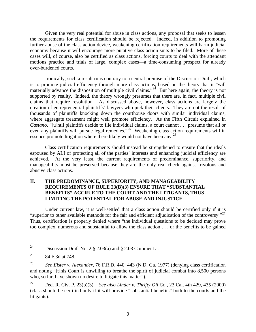Given the very real potential for abuse in class actions, any proposal that seeks to lessen the requirements for class certification should be rejected. Indeed, in addition to promoting further abuse of the class action device, weakening certification requirements will harm judicial economy because it will encourage more putative class action suits to be filed. More of these cases will, of course, also be certified as class actions, forcing courts to deal with the attendant motions practice and trials of large, complex cases—a time-consuming prospect for already over-burdened courts.

Ironically, such a result runs contrary to a central premise of the Discussion Draft, which is to promote judicial efficiency through more class actions, based on the theory that it "will materially advance the disposition of multiple civil claims."<sup>[24](#page-10-0)</sup> But here again, the theory is not supported by reality. Indeed, the theory wrongly presumes that there are, in fact, multiple civil claims that require resolution. As discussed above, however, class actions are largely the creation of entrepreneurial plaintiffs' lawyers who pick their clients. They are not the result of thousands of plaintiffs knocking down the courthouse doors with similar individual claims, where aggregate treatment might well promote efficiency. As the Fifth Circuit explained in *Castano*, "[u]ntil plaintiffs decide to file individual claims, a court cannot . . . presume that all or even any plaintiffs will pursue legal remedies."<sup>25</sup> Weakening class action requirements will in essence promote litigation where there likely would not have been any.<sup>[26](#page-10-2)</sup>

Class certification requirements should instead be strengthened to ensure that the ideals espoused by ALI of protecting all of the parties' interests and enhancing judicial efficiency are achieved. At the very least, the current requirements of predominance, superiority, and manageability must be preserved because they are the only real check against frivolous and abusive class actions.

#### **II. THE PREDOMINANCE, SUPERIORITY, AND MANAGEABILITY REQUIREMENTS OF RULE 23(B)(3) ENSURE THAT "SUBSTANTIAL BENEFITS" ACCRUE TO THE COURT AND THE LITIGANTS, THUS LIMITING THE POTENTIAL FOR ABUSE AND INJUSTICE**

Under current law, it is well-settled that a class action should be certified only if it is "superior to other available methods for the fair and efficient adjudication of the controversy."<sup>27</sup> Thus, certification is properly denied where "the individual questions to be decided may prove too complex, numerous and substantial to allow the class action . . . or the benefits to be gained

<span id="page-10-0"></span><sup>24</sup> Discussion Draft No. 2  $\S$  2.03(a) and  $\S$  2.03 Comment a.

<span id="page-10-1"></span><sup>&</sup>lt;sup>25</sup> 84 F.3d at 748.

<span id="page-10-2"></span><sup>26</sup> *See Elster v. Alexander*, 76 F.R.D. 440, 443 (N.D. Ga. 1977) (denying class certification and noting "[t]his Court is unwilling to breathe the spirit of judicial combat into 8,500 persons who, so far, have shown no desire to litigate this matter").

<span id="page-10-3"></span><sup>27</sup> Fed. R. Civ. P. 23(b)(3). *See also Linder v. Thrifty Oil Co.*, 23 Cal. 4th 429, 435 (2000) (class should be certified only if it will provide "substantial benefits" both to the courts and the litigants).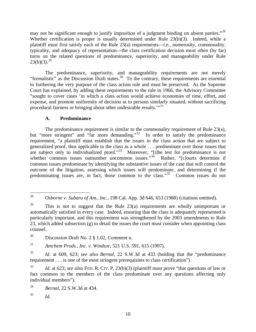may not be significant enough to justify imposition of a judgment binding on absent parties."<sup>28</sup> Whether certification is proper is usually determined under Rule 23(b)(3). Indeed, while a plaintiff must first satisfy each of the Rule 23(a) requirements—*i.e.*, numerosity, commonality, typicality, and adequacy of representation—the class certification decision most often (by far) turns on the related questions of predominance, superiority, and manageability under Rule  $23(b)(3).^{29}$  $23(b)(3).^{29}$  $23(b)(3).^{29}$ 

The predominance, superiority, and manageability requirements are not merely "formalistic" as the Discussion Draft states.<sup>[30](#page-11-2)</sup> To the contrary, these requirements are essential to furthering the very purpose of the class action rule and must be preserved. As the Supreme Court has explained, by adding these requirements to the rule in 1966, the Advisory Committee "sought to cover cases 'in which a class action would achieve economies of time, effort, and expense, and promote uniformity of decision as to persons similarly situated, without sacrificing procedural fairness or bringing about other undesirable results.'"[31](#page-11-3)

#### **A. Predominance**

The predominance requirement is similar to the commonality requirement of Rule 23(a), but "more stringent" and "far more demanding."<sup>[32](#page-11-4)</sup> In order to satisfy the predominance requirement, "a plaintiff must establish that the issues in the class action that are subject to generalized proof, thus applicable to the class as a whole . . . predominate over those issues that are subject only to individualized proof."<sup>[33](#page-11-5)</sup> Moreover, "[t]he test for predominance is not whether common issues outnumber uncommon issues."<sup>[34](#page-11-6)</sup> Rather, "[c]ourts determine if common issues predominate by identifying the substantive issues of the case that will control the outcome of the litigation, assessing which issues will predominate, and determining if the predominating issues are, in fact, those common to the class."<sup>[35](#page-11-7)</sup> Common issues do not

<span id="page-11-0"></span><sup>28</sup> 28 *Osborne v. Subaru of Am., Inc.*, 198 Cal. App. 3d 646, 653 (1988) (citations omitted).

<span id="page-11-1"></span><sup>&</sup>lt;sup>29</sup> This is not to suggest that the Rule  $23(a)$  requirements are wholly unimportant or automatically satisfied in every case. Indeed, ensuring that the class is adequately represented is particularly important, and this requirement was strengthened by the 2003 amendments to Rule 23, which added subsection (g) to detail the issues the court must consider when appointing class counsel.

<span id="page-11-2"></span><sup>30</sup> Discussion Draft No. 2 § 1.02, Comment u.

<span id="page-11-3"></span><sup>31</sup> *Amchem Prods., Inc. v. Windsor*, 521 U.S. 591, 615 (1997).

<span id="page-11-4"></span><sup>32</sup> *Id.* at 609, 623; *see also Bernal*, 22 S.W.3d at 433 (holding that the "predominance requirement . . . is one of the most stringent prerequisites to class certification").

<span id="page-11-5"></span><sup>33</sup> *Id.* at 623; *see also* FED. R. CIV. P. 23(b)(3) (plaintiff must prove "that questions of law or fact common to the members of the class predominate over any questions affecting only individual members").

<span id="page-11-6"></span><sup>34</sup> *Bernal*, 22 S.W.3d at 434.

<span id="page-11-7"></span><sup>35</sup> *Id.*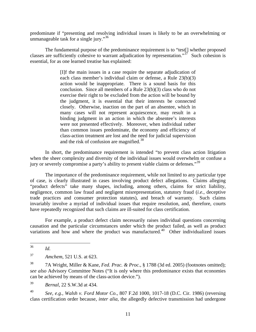predominate if "presenting and resolving individual issues is likely to be an overwhelming or unmanageable task for a single jury."<sup>[36](#page-12-0)</sup>

The fundamental purpose of the predominance requirement is to "test[] whether proposed classes are sufficiently cohesive to warrant adjudication by representation." $37$  Such cohesion is essential, for as one learned treatise has explained:

> [I]f the main issues in a case require the separate adjudication of each class member's individual claim or defense, a Rule 23(b)(3) action would be inappropriate. There is a sound basis for this conclusion. Since all members of a Rule 23(b)(3) class who do not exercise their right to be excluded from the action will be bound by the judgment, it is essential that their interests be connected closely. Otherwise, inaction on the part of an absentee, which in many cases will not represent acquiescence, may result in a binding judgment in an action in which the absentee's interests were not presented effectively. Moreover, when individual rather than common issues predominate, the economy and efficiency of class-action treatment are lost and the need for judicial supervision and the risk of confusion are magnified.<sup>[38](#page-12-2)</sup>

In short, the predominance requirement is intended "to prevent class action litigation when the sheer complexity and diversity of the individual issues would overwhelm or confuse a jury or severely compromise a party's ability to present viable claims or defenses."<sup>[39](#page-12-3)</sup>

The importance of the predominance requirement, while not limited to any particular type of case, is clearly illustrated in cases involving product defect allegations. Claims alleging "product defects" take many shapes, including, among others, claims for strict liability, negligence, common law fraud and negligent misrepresentation, statutory fraud (*i.e.*, deceptive trade practices and consumer protection statutes), and breach of warranty. Such claims invariably involve a myriad of individual issues that require resolution, and, therefore, courts have repeatedly recognized that such claims are ill-suited for class certification.

For example, a product defect claim necessarily raises individual questions concerning causation and the particular circumstances under which the product failed, as well as product variations and how and where the product was manufactured.<sup>[40](#page-12-4)</sup> Other individualized issues

*Id.* 

<span id="page-12-3"></span>39 *Bernal*, 22 S.W.3d at 434.

<span id="page-12-4"></span>40 *See, e.g.*, *Walsh v. Ford Motor Co.*, 807 F.2d 1000, 1017-18 (D.C. Cir. 1986) (reversing class certification order because, *inter alia*, the allegedly defective transmission had undergone

<span id="page-12-0"></span><sup>36</sup> 

<span id="page-12-1"></span><sup>37</sup> *Amchem*, 521 U.S. at 623.

<span id="page-12-2"></span><sup>38 7</sup>A Wright, Miller & Kane, *Fed. Prac. & Proc.*, § 1788 (3d ed. 2005) (footnotes omitted); *see also* Advisory Committee Notes ("It is only where this predominance exists that economies can be achieved by means of the class-action device.").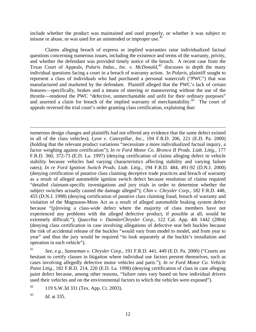include whether the product was maintained and used properly, or whether it was subject to misuse or abuse, or was used for an unintended or improper use.<sup>[41](#page-13-0)</sup>

Claims alleging breach of express or implied warranties raise individualized factual questions concerning numerous issues, including the existence and terms of the warranty, privity, and whether the defendant was provided timely notice of the breach. A recent case from the Texas Court of Appeals, *Polaris Indus., Inc. v. McDonald*, [42](#page-13-1) discusses in depth the many individual questions facing a court in a breach of warranty action. In *Polaris*, plaintiff sought to represent a class of individuals who had purchased a personal watercraft ("PWC") that was manufactured and marketed by the defendant. Plaintiff alleged that the PWC's lack of certain features—specifically, brakes and a means of steering or maneuvering without the use of the throttle—rendered the PWC "defective, unmerchantable and unfit for their ordinary purposes" and asserted a claim for breach of the implied warranty of merchantability.<sup>[43](#page-13-2)</sup> The court of appeals reversed the trial court's order granting class certification, explaining that:

 $\overline{a}$ numerous design changes and plaintiffs had not offered any evidence that the same defect existed in all of the class vehicles); *Lyon v. Caterpillar, Inc.*, 194 F.R.D. 206, 221 (E.D. Pa. 2000) (holding that the relevant product variations "necessitate a more individualized factual inquiry, a factor weighing against certification"); *In re Ford Motor Co. Bronco II Prods. Liab. Litig.*, 177 F.R.D. 360, 372-73 (E.D. La. 1997) (denying certification of claims alleging defect in vehicle stability because vehicles had varying characteristics affecting stability and varying failure rates); *In re Ford Ignition Switch Prods. Liab. Litig.*, 194 F.R.D. 484, 491-92 (D.N.J. 2000) (denying certification of putative class claiming deceptive trade practices and breach of warranty as a result of alleged automobile ignition switch defect because resolution of claims required "detailed claimant-specific investigations and jury trials in order to determine whether the subject switches actually caused the damage alleged"); *Chin v. Chrysler Corp.*, 182 F.R.D. 448, 455 (D.N.J. 1998) (denying certification of putative class claiming fraud, breach of warranty and violation of the Magnuson-Moss Act as a result of alleged automobile braking system defect because "[p]roving a class-wide defect where the majority of class members have not experienced any problems with the alleged defective product, if possible at all, would be extremely difficult."); *Quacchia v. DaimlerChrysler Corp.*, 122 Cal. App. 4th 1442 (2004) (denying class certification in case involving allegations of defective seat belt buckles because the risk of accidental release of the buckles "would vary from model to model, and from year to year" and thus the jury would be required "to look separately at the buckle's installation and operation in each vehicle").

<span id="page-13-0"></span>41 *See, e.g.*, *Sanneman v. Chrysler Corp.*, 191 F.R.D. 441, 449 (E.D. Pa. 2000) ("Courts are hesitant to certify classes in litigation where individual use factors present themselves, such as cases involving allegedly defective motor vehicles and parts."); *In re Ford Motor Co. Vehicle Paint Litig.*, 182 F.R.D. 214, 220 (E.D. La. 1998) (denying certification of class in case alleging paint defect because, among other reasons, "failure rates vary based on how individual drivers used their vehicles and on the environmental factors to which the vehicles were exposed").

<span id="page-13-1"></span><sup>42</sup> 119 S.W.3d 331 (Tex. App. Ct. 2003).

<span id="page-13-2"></span>43 *Id.* at 335.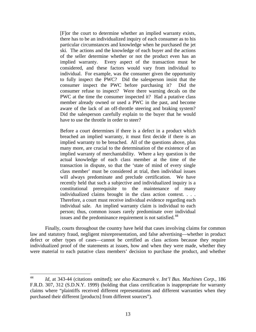[F]or the court to determine whether an implied warranty exists, there has to be an individualized inquiry of each consumer as to his particular circumstances and knowledge when he purchased the jet ski. The actions and the knowledge of each buyer and the actions of the seller determine whether or not the product even has an implied warranty. Every aspect of the transaction must be considered, and these factors would vary from individual to individual. For example, was the consumer given the opportunity to fully inspect the PWC? Did the salesperson insist that the consumer inspect the PWC before purchasing it? Did the consumer refuse to inspect? Were there warning decals on the PWC at the time the consumer inspected it? Had a putative class member already owned or used a PWC in the past, and become aware of the lack of an off-throttle steering and braking system? Did the salesperson carefully explain to the buyer that he would have to use the throttle in order to steer?

Before a court determines if there is a defect in a product which breached an implied warranty, it must first decide if there is an implied warranty to be breached. All of the questions above, plus many more, are crucial to the determination of the existence of an implied warranty of merchantability. Where a key question is the actual knowledge of each class member at the time of the transaction in dispute, so that the 'state of mind of every single class member' must be considered at trial, then individual issues will always predominate and preclude certification. We have recently held that such a subjective and individualized inquiry is a constitutional prerequisite to the maintenance of many individualized claims brought in the class action context. . . . Therefore, a court must receive individual evidence regarding each individual sale. An implied warranty claim is individual to each person; thus, common issues rarely predominate over individual issues and the predominance requirement is not satisfied.<sup>[44](#page-14-0)</sup>

Finally, courts throughout the country have held that cases involving claims for common law and statutory fraud, negligent misrepresentation, and false advertising—whether in product defect or other types of cases—cannot be certified as class actions because they require individualized proof of the statements at issues, how and when they were made, whether they were material to each putative class members' decision to purchase the product, and whether

<span id="page-14-0"></span><sup>44</sup> 44 *Id,* at 343-44 (citations omitted); *see also Kaczmarek v. Int'l Bus. Machines Corp.*, 186 F.R.D. 307, 312 (S.D.N.Y. 1999) (holding that class certification is inappropriate for warranty claims where "plaintiffs received different representations and different warranties when they purchased their different [products] from different sources").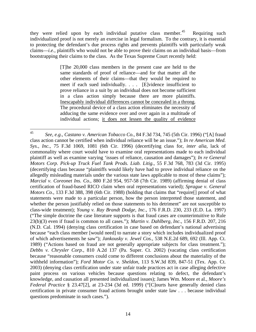they were relied upon by each individual putative class member.<sup>[45](#page-15-0)</sup> Requiring such individualized proof is not merely an exercise in legal formalism. To the contrary, it is essential to protecting the defendant's due process rights and prevents plaintiffs with particularly weak claims—*i.e.*, plaintiffs who would not be able to prove their claims on an individual basis—from bootstrapping their claims to the class. As the Texas Supreme Court recently held:

> [T]he 20,000 class members in the present case are held to the same standards of proof of reliance—and for that matter all the other elements of their claims—that they would be required to meet if each sued individually. . . . [E]vidence insufficient to prove reliance in a suit by an individual does not become sufficient in a class action simply because there are more plaintiffs. Inescapably individual differences cannot be concealed in a throng. The procedural device of a class action eliminates the necessity of adducing the same evidence over and over again in a multitude of individual actions; it does not lessen the quality of evidence

<span id="page-15-0"></span><sup>45</sup> 45 *See, e.g.*, *Castano v. American Tobacco Co.*, 84 F.3d 734, 745 (5th Cir. 1996) ("[A] fraud class action cannot be certified when individual reliance will be an issue."); *In re American Med. Sys., Inc.*, 75 F.3d 1069, 1081 (6th Cir. 1996) (decertifying class for, *inter alia*, lack of commonality where court would have to examine oral representations made to each individual plaintiff as well as examine varying 'issues of reliance, causation and damages"); *In re General Motors Corp. Pick-up Truck Fuel Tank Prods. Liab. Litig.*, 55 F.3d 768, 783 (3d Cir. 1995) (decertifying class because "plaintiffs would likely have had to prove individual reliance on the allegedly misleading materials under the various state laws applicable to most of these claims"); *Marcial v. Coreonet Ins. Co.*, 880 F.2d 954, 957-58 (7th Cir. 1989) (affirming denial of class certification of fraud-based RICO claim when oral representations varied); *Sprague v. General Motors Co.*, 133 F.3d 388, 398 (6th Cir. 1988) (holding that claims that "require[] proof of what statements were made to a particular person, how the person interpreted those statement, and whether the person justifiably relied on those statements to his detriment" are not susceptible to class-wide treatment); *Young v. Ray Brandt Dodge, Inc.*, 176 F.R.D. 230, 233 (E.D. La. 1997) ("The simple doctrine the case literature supports is that fraud cases are counterintuitive to Rule 23(b)(3) even if fraud is common to all cases."); *Martin v. Dahlberg, Inc.*, 156 F.R.D. 207, 216 (N.D. Cal. 1994) (denying class certification in case based on defendant's national advertising because "each class member [would need] to narrate a story which includes individualized proof of which advertisements he saw"); *Jankousky v. Jewel Cos.*, 538 N.E.2d 689, 692 (Ill. App. Ct. 1989) ("Actions based on fraud are not generally appropriate subjects for class treatment."); *Debbs v. Chrysler Corp.*, 810 A.2d 137 (Pa. Super. Ct. 2002) (vacating class certification because "reasonable consumers could come to different conclusions about the materiality of the withheld information"); *Ford Motor Co. v. Sheldon*, 113 S.W.3d 839, 847-51 (Tex. App. Ct. 2003) (denying class certification under state unfair trade practices act in case alleging defective paint process on various vehicles because questions relating to defect, the defendant's knowledge, and causation all presented individualized issues); James Wm. Moore et al., *Moore's Federal Practice* § 23.47[2], at 23-234 (3d ed. 1999) ("[C]ourts have generally denied class certification in private consumer fraud actions brought under state law . . . because individual questions predominate in such cases.").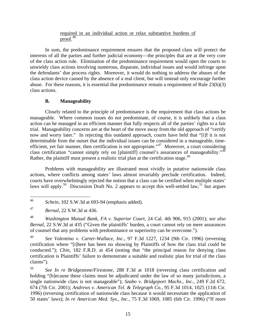#### required in an individual action or relax substantive burdens of proof. [46](#page-16-0)

In sum, the predominance requirement ensures that the proposed class will protect the interests of all the parties and further judicial economy—the principles that are at the very core of the class action rule. Elimination of the predominance requirement would open the courts to unwieldy class actions involving numerous, disparate, individual issues and would infringe upon the defendants' due process rights. Moreover, it would do nothing to address the abuses of the class action device caused by the absence of a real client, but will instead only encourage further abuse. For these reasons, it is essential that predominance remain a requirement of Rule 23(b)(3) class actions.

#### **B. Manageability**

Closely related to the principle of predominance is the requirement that class actions be manageable. Where common issues do not predominate, of course, it is unlikely that a class action can be managed in an efficient manner that fully respects all of the parties' rights to a fair trial. Manageability concerns are at the heart of the move away from the old approach of "certify now and worry later." In rejecting this outdated approach, courts have held that "[i]f it is not determinable from the outset that the individual issues can be considered in a manageable, time-efficient, yet fair manner, then certification is not appropriate."<sup>[47](#page-16-1)</sup> Moreover, a court considering class certification "cannot simply rely on [plaintiff] counsel's assurances of manageability."<sup>[48](#page-16-2)</sup> Rather, the plaintiff must present a realistic trial plan at the certification stage.<sup>[49](#page-16-3)</sup>

Problems with manageability are illustrated most vividly in putative nationwide class actions, where conflicts among states' laws almost invariably preclude certification. Indeed, courts have overwhelmingly rejected the notion that a class can be certified when multiple states' laws will apply.<sup>[50](#page-16-4)</sup> Discussion Draft No. 2 appears to accept this well-settled law,<sup>[51](#page-16-5)</sup> but argues

<span id="page-16-0"></span><sup>46</sup> Schein, 102 S.W.3d at 693-94 (emphasis added).

<span id="page-16-1"></span><sup>47</sup> *Bernal*, 22 S.W.3d at 436.

<span id="page-16-2"></span><sup>48</sup> *Washington Mutual Bank, FA v. Superior Court*, 24 Cal. 4th 906, 915 (2001); *see also Bernal*, 22 S.W.3d at 435 ("Given the plaintiffs' burden, a court cannot rely on mere assurances of counsel that any problems with predominance or superiority can be overcome.").

<span id="page-16-5"></span><span id="page-16-3"></span><sup>49</sup> *See Valentino v. Carter-Wallace, Inc.*, 97 F.3d 1227, 1234 (9th Cir. 1996) (reversing certification where "[t]here has been no showing by Plaintiffs of how the class trial could be conducted."); *Chin*, 182 F.R.D. at 454 (noting that "the principal reason for denying class certification is Plaintiffs' failure to demonstrate a suitable and realistic plan for trial of the class claims").

<span id="page-16-4"></span><sup>50</sup> *See In re Bridgestone/Firestone*, 288 F.3d at 1018 (reversing class certification and holding "[b]ecause these claims must be adjudicated under the law of so many jurisdictions, a single nationwide class is not manageable"); *Szabo v. Bridgeport Machs., Inc.*, 249 F.2d 672, 674 (7th Cir. 2001); *Andrews v. American Tel. & Telegraph Co.*, 95 F.3d 1014, 1025 (11th Cir. 1996) (reversing certification of nationwide class because it would necessitate the application of 50 states' laws); *In re American Med. Sys., Inc.*, 75 F.3d 1069, 1085 (6th Cir. 1996) ("If more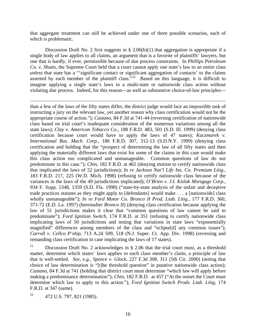that aggregate treatment can still be achieved under one of three possible scenarios, each of which is problematic.

Discussion Draft No. 2 first suggests in § 2.06(b)(1) that aggregation is appropriate if a single body of law applies to all claims, an argument that is a favorite of plaintiffs' lawyers, but one that is hardly, if ever, permissible because of due process constraints. In *Phillips Petroleum Co. v. Shutts*, the Supreme Court held that a court cannot apply one state's law to an entire class *unless* that state has a "'significant contact or significant aggregation of contacts' to the claims asserted by each member of the plaintiff class."<sup>[52](#page-17-0)</sup> Based on this language, it is difficult to imagine applying a single state's laws to a multi-state or nationwide class action without violating due process. Indeed, for this reason—as well as substantive choice-of-law principles—

than a few of the laws of the fifty states differ, the district judge would face an impossible task of instructing a jury on the relevant law, yet another reason why class certification would not be the appropriate course of action."); *Castano*, 84 F.3d at 741-44 (reversing certification of nationwide class based on trial court's inadequate consideration of the numerous variations among all the state laws); *Clay v. American Tobacco Co.*, 188 F.R.D. 483, 501 (S.D. Ill. 1999) (denying class certification because court would have to apply the laws of 47 states); *Kaczmarek v. International Bus. Mach. Corp.*, 186 F.R.D. 307, 312-13 (S.D.N.Y. 1999) (denying class certification and holding that the "prospect of determining the law of all fifty states and then applying the materially different laws that exist for some of the claims in this case would make this class action too complicated and unmanageable. Common questions of law do not predominate in this case."); *Chin*, 182 F.R.D. at 465 (denying motion to certify nationwide class that implicated the laws of 52 jurisdictions); *In re Jackson Nat'l Life Ins. Co. Premium Litig.*, 183 F.R.D. 217, 225 (W.D. Mich. 1998) (refusing to certify nationwide class because of the variances in the laws of the 49 jurisdictions implicated); *O'Brien v. J.I. Kislak Mortgage Corp.*, 934 F. Supp. 1348, 1359 (S.D. Fla. 1998) ("state-by-state analysis of the unfair and deceptive trade practices statutes as they might apply to [defendants] would make . . . a [nationwide] class wholly unmanageable"); *In re Ford Motor Co. Bronco II Prod. Liab. Litig.*, 177 F.R.D. 360, 371-72 (E.D. La. 1997) (hereinafter *Bronco II*) (denying class certification because applying the law of 51 jurisdictions makes it clear that "common questions of law cannot be said to predominate"); *Ford Ignition Switch*, 174 F.R.D. at 351 (refusing to certify nationwide class implicating laws of 50 jurisdictions and noting that variations in state laws "exponentially magnified" differences among members of the class and "eclipse[d] any common issues"); *Carroll v. Cellco P'ship*, 713 A.2d 509, 518 (N.J. Super. Ct. App. Div. 1998) (reversing and remanding class certification in case implicating the laws of 17 states).

51 Discussion Draft No. 2 acknowledges in § 2.06 that the trial court must, as a threshold matter, determine which states' laws applies to each class member's claim, a principle of law that is well-settled. *See, e.g.*, *Spence v. Glock*, 227 F.3d 308, 311 (5th Cir. 2000) (noting that choice of law determination is "[t]he threshold question" in putative nationwide class action); *Castano*, 84 F.3d at 741 (holding that district court must determine "which law will apply before making a predominance determination"); *Chin*, 182 F.R.D. at 457 ("At the outset the Court must determine which law to apply to this action."); *Ford Ignition Switch Prods. Liab. Litig*, 174 F.R.D. at 347 (same).

<span id="page-17-0"></span>52 472 U.S. 797, 821 (1985).

 $\overline{a}$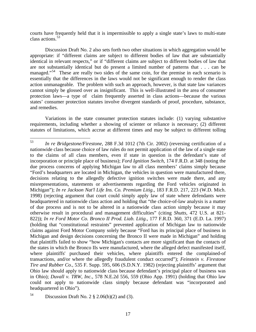courts have frequently held that it is impermissible to apply a single state's laws to multi-state class actions.[53](#page-18-0)

Discussion Draft No. 2 also sets forth two other situations in which aggregation would be appropriate: if "different claims are subject to different bodies of law that are substantially identical in relevant respects," or if "different claims are subject to different bodies of law that are not substantially identical but do present a limited number of patterns that . . . can be managed."<sup>[54](#page-18-1)</sup> These are really two sides of the same coin, for the premise in each scenario is essentially that the differences in the laws would not be significant enough to render the class action unmanageable. The problem with such an approach, however, is that state law variances cannot simply be glossed over as insignificant. This is well-illustrated in the area of consumer protection laws—a type of claim frequently asserted in class actions—because the various states' consumer protection statutes involve divergent standards of proof, procedure, substance, and remedies.

Variations in the state consumer protection statutes include: (1) varying substantive requirements, including whether a showing of scienter or reliance is necessary; (2) different statutes of limitations, which accrue at different times and may be subject to different tolling

<span id="page-18-0"></span><sup>53</sup> 53 *In re Bridgestone/Firestone*, 288 F.3d 1012 (7th Cir. 2002) (reversing certification of a nationwide class because choice of law rules do not permit application of the law of a single state to the claims of all class members, even if state in question is the defendant's state of incorporation or principle place of business); *Ford Ignition Switch*, 174 F.R.D. at 348 (noting the due process concerns of applying Michigan law to all class members' claims simply because "Ford's headquarters are located in Michigan, the vehicles in question were manufactured there, decisions relating to the allegedly defective ignition switches were made there, and any misrepresentations, statements or advertisements regarding the Ford vehicles originated in Michigan"); *In re Jackson Nat'l Life Ins. Co. Premium Litig.*, 183 F.R.D. 217, 223 (W.D. Mich. 1998) (rejecting argument that court could simply apply law of state where defendants were headquartered in nationwide class action and holding that "the choice-of-law analysis is a matter of due process and is not to be altered in a nationwide class action simply because it may otherwise result in procedural and management difficulties" (citing *Shutts*, 472 U.S. at 821- 822)); *In re Ford Motor Co. Bronco II Prod. Liab. Litig.*, 177 F.R.D. 360, 371 (E.D. La. 1997) (holding that "constitutional restraints" prevented application of Michigan law to nationwide claims against Ford Motor Company solely because "Ford has its principal place of business in Michigan and design decisions concerning the Bronco II were made in Michigan" and holding that plaintiffs failed to show "how Michigan's contacts are more significant than the contacts of the states in which the Bronco IIs were manufactured, where the alleged defect manifested itself, where plaintiffs' purchased their vehicles, where plaintiffs entered the complained-of transactions, and/or where the allegedly fraudulent conduct occurred"); *Feinstein v. Firestone Tire and Rubber Co.*, 535 F. Supp. 595, 606 (S.D.N.Y. 1982) (rejecting plaintiffs' argument that Ohio law should apply to nationwide class because defendant's principal place of business was in Ohio); *Duvall v. TRW, Inc.*, 578 N.E.2d 556, 559 (Ohio App. 1991) (holding that Ohio law could not apply to nationwide class simply because defendant was "incorporated and headquartered in Ohio").

<span id="page-18-1"></span><sup>&</sup>lt;sup>54</sup> Discussion Draft No. 2  $\S$  2.06(b)(2) and (3).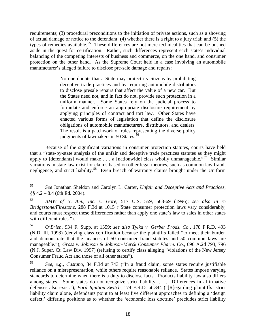requirements; (3) procedural preconditions to the initiation of private actions, such as a showing of actual damage or notice to the defendant; (4) whether there is a right to a jury trial; and (5) the types of remedies available.<sup>[55](#page-19-0)</sup> These differences are not mere technicalities that can be pushed aside in the quest for certification. Rather, such differences represent each state's individual balancing of the competing interests of business and commerce, on the one hand, and consumer protection on the other hand. As the Supreme Court held in a case involving an automobile manufacturer's alleged failure to disclose pre-sale damage and repairs:

> No one doubts that a State may protect its citizens by prohibiting deceptive trade practices and by requiring automobile distributors to disclose presale repairs that affect the value of a new car. But the States need not, and in fact do not, provide such protection in a uniform manner. Some States rely on the judicial process to formulate and enforce an appropriate disclosure requirement by applying principles of contract and tort law. Other States have enacted various forms of legislation that define the disclosure obligations of automobile manufacturers, distributors, and dealers. The result is a patchwork of rules representing the diverse policy judgments of lawmakers in 50 States. $56$

Because of the significant variations in consumer protection statutes, courts have held that a "state-by-state analysis of the unfair and deceptive trade practices statutes as they might apply to [defendants] would make . . . a [nationwide] class wholly unmanageable."<sup>[57](#page-19-2)</sup> Similar variations in state law exist for claims based on other legal theories, such as common law fraud, negligence, and strict liability.<sup>[58](#page-19-3)</sup> Even breach of warranty claims brought under the Uniform

<span id="page-19-0"></span><sup>55</sup> <sup>55</sup> *See* Jonathan Sheldon and Carolyn L. Carter, *Unfair and Deceptive Acts and Practices*, §§ 4.2 – 8.4 (6th Ed. 2004).

<span id="page-19-1"></span><sup>56</sup> *BMW of N. Am., Inc. v. Gore*, 517 U.S. 559, 568-69 (1996); *see also In re Bridgestone/Firestone*, 288 F.3d at 1015 ("State consumer protection laws vary considerably, and courts must respect these differences rather than apply one state's law to sales in other states with different rules.").

<span id="page-19-2"></span><sup>57</sup> *O'Brien*, 934 F. Supp. at 1359; *see also Tylka v. Gerber Prods. Co.*, 178 F.R.D. 493 (N.D. Ill. 1998) (denying class certification because the plaintiffs failed "to meet their burden and demonstrate that the nuances of 50 consumer fraud statutes and 50 common laws are manageable."); *Gross v. Johnson & Johnson-Merck Consumer Pharm. Co.*, 696 A.2d 793, 796 (N.J. Super. Ct. Law Div. 1997) (refusing to certify class alleging "violations of the New Jersey Consumer Fraud Act and those of all other states").

<span id="page-19-3"></span><sup>58</sup> *See, e.g.*, *Castano*, 84 F.3d at 743 ("In a fraud claim, some states require justifiable reliance on a misrepresentation, while others require reasonable reliance. States impose varying standards to determine when there is a duty to disclose facts. Products liability law also differs among states. Some states do not recognize strict liability. . . . Differences in affirmative defenses also exist."); *Ford Ignition Switch*, 174 F.R.D. at 344 ("[R]egarding plaintiffs' strict liability claim alone, defendants point to at least five different approaches to defining a 'design defect;' differing positions as to whether the 'economic loss doctrine' precludes strict liability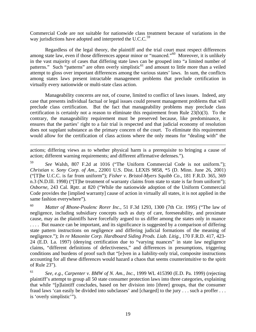Commercial Code are not suitable for nationwide class treatment because of variations in the way jurisdictions have adopted and interpreted the U.C.C.<sup>[59](#page-20-0)</sup>

Regardless of the legal theory, the plaintiff and the trial court must respect differences among state law, even if those differences appear minor or "nuanced."[60](#page-20-1) Moreover, it is unlikely in the vast majority of cases that differing state laws can be grouped into "a limited number of patterns." Such "patterns" are often overly simplistic<sup>[61](#page-20-2)</sup> and amount to little more than a veiled attempt to gloss over important differences among the various states' laws. In sum, the conflicts among states laws present intractable management problems that preclude certification in virtually every nationwide or multi-state class action.

Manageability concerns are not, of course, limited to conflict of laws issues. Indeed, any case that presents individual factual or legal issues could present management problems that will preclude class certification. But the fact that manageability problems may preclude class certification is certainly not a reason to eliminate this requirement from Rule 23(b)(3). To the contrary, the manageability requirement must be preserved because, like predominance, it ensures that the parties' right to a fair trial is respected and that judicial economy of resolution does not supplant substance as the primary concern of the court. To eliminate this requirement would allow for the certification of class actions where the only means for "dealing with" the

actions; differing views as to whether physical harm is a prerequisite to bringing a cause of action; different warning requirements; and different affirmative defenses.").

 $\overline{a}$ 

<span id="page-20-0"></span>59 *See* Walsh, 807 F.2d at 1016 ("The Uniform Commercial Code is not uniform."); *Christian v. Sony Corp. of Am.*, 22001 U.S. Dist. LEXIS 9858, \*5 (D. Minn. June 26, 2001) ("[T]he U.C.C. is far from uniform"); *Fisher v. Bristol-Myers Squibb Co*., 181 F.R.D. 365, 369 n.3 (N.D.Ill. 1998) ("[T]he treatment of warranty claims from state to state is far from uniform"); *Osborne*, 243 Cal. Rptr. at 820 ("While the nationwide adoption of the Uniform Commercial Code provides the [implied warranty] cause of action in virtually all states, it is not applied in the same fashion everywhere").

<span id="page-20-1"></span>60 *Matter of Rhone-Poulenc Rorer Inc.*, 51 F.3d 1293, 1300 (7th Cir. 1995) ("The law of negligence, including subsidiary concepts such as duty of care, foreseeability, and proximate cause, may as the plaintiffs have forcefully argued to us differ among the states only in nuance .... But nuance can be important, and its significance is suggested by a comparison of differing state pattern instructions on negligence and differing judicial formations of the meaning of negligence."); *In re Masonite Corp. Hardboard Siding Prods. Liab. Litig.*, 170 F.R.D. 417, 423- 24 (E.D. La. 1997) (denying certification due to "varying nuances" in state law negligence claims, "different definitions of defectiveness," and differences in presumptions, triggering conditions and burdens of proof such that "[e]ven in a liability-only trial, composite instructions accounting for all these differences would hazard a chaos that seems counterintuitive to the spirit of Rule 23").

<span id="page-20-2"></span>61 *See, e.g.*, *Carpenter v. BMW of N. Am., Inc.*, 1999 WL 415390 (E.D. Pa. 1999) (rejecting plaintiff's attempt to group all 50 state consumer protection laws into three categories, explaining that while "[p]laintiff concludes, based on her division into [three] groups, that the consumer fraud laws 'can easily be divided into subclasses' and [charged] to the jury . . . such a proffer . . . is 'overly simplistic'").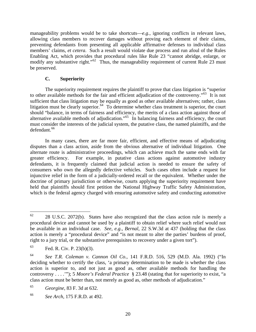manageability problems would be to take shortcuts—*e.g.*, ignoring conflicts in relevant laws, allowing class members to recover damages without proving each element of their claims, preventing defendants from presenting all applicable affirmative defenses to individual class members' claims, *et cetera*. Such a result would violate due process and run afoul of the Rules Enabling Act, which provides that procedural rules like Rule 23 "cannot abridge, enlarge, or modify any substantive right."<sup>[62](#page-21-0)</sup> Thus, the manageability requirement of current Rule 23 must be preserved.

#### **C. Superiority**

The superiority requirement requires the plaintiff to prove that class litigation is "superior to other available methods for the fair and efficient adjudication of the controversy."<sup>[63](#page-21-1)</sup> It is not sufficient that class litigation may be equally as good as other available alternatives; rather, class litigation must be clearly superior.<sup>[64](#page-21-2)</sup> To determine whether class treatment is superior, the court should "balance, in terms of fairness and efficiency, the merits of a class action against those of alternative available methods of adjudication."<sup>[65](#page-21-3)</sup> In balancing fairness and efficiency, the court must consider the interests of the judicial system, the putative class, the named plaintiffs, and the defendant.<sup>[66](#page-21-4)</sup>

In many cases, there are far more fair, efficient, and effective means of adjudicating disputes than a class action, aside from the obvious alternative of individual litigation. One alternate route is administrative proceedings, which can achieve much the same ends with far greater efficiency. For example, in putative class actions against automotive industry defendants, it is frequently claimed that judicial action is needed to ensure the safety of consumers who own the allegedly defective vehicles. Such cases often include a request for injunctive relief in the form of a judicially-ordered recall or the equivalent. Whether under the doctrine of primary jurisdiction or otherwise, courts applying the superiority requirement have held that plaintiffs should first petition the National Highway Traffic Safety Administration, which is the federal agency charged with ensuring automotive safety and conducting automotive

<span id="page-21-3"></span>65 *Georgine*, 83 F. 3d at 632.

<span id="page-21-0"></span><sup>62</sup> 28 U.S.C. 2072(b). States have also recognized that the class action rule is merely a procedural device and cannot be used by a plaintiff to obtain relief where such relief would not be available in an individual case. *See, e.g.*, *Bernal*, 22 S.W.3d at 437 (holding that the class action is merely a "procedural device" and "is not meant to alter the parties' burdens of proof, right to a jury trial, or the substantive prerequisites to recovery under a given tort").

<span id="page-21-1"></span><sup>63</sup> Fed. R. Civ. P. 23(b)(3).

<span id="page-21-2"></span><sup>64</sup> *See T.R. Coleman v. Cannon Oil Co.*, 141 F.R.D. 516, 529 (M.D. Ala. 1992) ("In deciding whether to certify the class, 'a primary determination to be made is whether the class action is superior to, and not just as good as, other available methods for handling the controversy . . . .'"); 5 *Moore's Federal Practice* § 23.48 (stating that for superiority to exist, "a class action must be better than, not merely as good as, other methods of adjudication."

<span id="page-21-4"></span><sup>66</sup> *See Arch*, 175 F.R.D. at 492.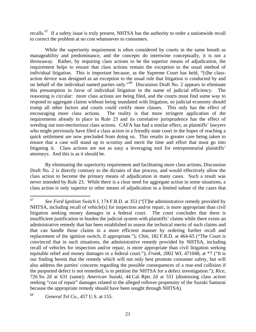recalls.<sup>[67](#page-22-0)</sup> If a safety issue is truly present, NHTSA has the authority to order a nationwide recall to correct the problem at no cost whatsoever to consumers.

While the superiority requirement is often considered by courts in the same breath as manageability and predominance, and the concepts do intertwine conceptually, it is not a throwaway. Rather, by requiring class actions to be the superior means of adjudication, the requirement helps to ensure that class actions remain the exception to the usual method of individual litigation. This is important because, as the Supreme Court has held, "[t]he classaction device was designed as an exception to the usual rule that litigation is conducted by and on behalf of the individual named parties only."[68](#page-22-1) Discussion Draft No. 2 appears to eliminate this presumption in favor of individual litigation in the name of judicial efficiency. The reasoning is circular: more class actions are being filed, and the courts must find some way to respond to aggregate claims without being inundated with litigation, so judicial economy should trump all other factors and courts could certify more classes. This only has the effect of encouraging more class actions. The reality is that more stringent application of the requirements already in place in Rule 23 and its correlative jurisprudence has the effect of weeding out non-meritorious class actions. CAFA has had a similar effect, as plaintiffs' lawyers who might previously have filed a class action in a friendly state court in the hopes of reaching a quick settlement are now precluded from doing so. This results in greater care being taken to ensure that a case will stand up to scrutiny and merit the time and effort that must go into litigating it. Class actions are not as easy a leveraging tool for entrepreneurial plaintiffs' attorneys. And this is as it should be.

By eliminating the superiority requirement and facilitating more class actions, Discussion Draft No. 2 is directly contrary to the dictates of due process, and would effectively allow the class action to become the primary means of adjudication in many cases. Such a result was never intended by Rule 23. While there is a clear need for aggregate action in some situations, a class action is only superior to other means of adjudication in a limited subset of the cases that

<span id="page-22-0"></span><sup>67</sup> 67 *See Ford Ignition Switch I*, 174 F.R.D. at 353 ("[T]he administrative remedy provided by NHTSA, including recall of vehicle[s] for inspection and/or repair, is more appropriate than civil litigation seeking money damages in a federal court. The court concludes that there is insufficient justification to burden the judicial system with plaintiffs' claims while there exists an administrative remedy that has been established to assess the technical merits of such claims and that can handle those claims in a more efficient manner by ordering further recall and replacement of the ignition switch, if appropriate."); *Chin*, 182 F.R.D. at 464-65 ("The Court is convinced that in such situations, the administrative remedy provided by NHTSA, including recall of vehicles for inspection and/or repair, is more appropriate than civil litigation seeking equitable relief and money damages in a federal court."); *Frank*, 2002 WL 471048, at \*7 ("It is our finding herein that the remedy which will not only best promote consumer safety, but will also address the parties' concerns regarding the possible consequences of a rear-end collision if the purported defect is not remedied, is to petition the NHTSA for a defect investigation."); *Rice*, 726 So. 2d at 631 (same); *American Suzuki*, 44 Cal. Rptr. 2d at 531 (dismissing class action seeking "cost of repair" damages related to the alleged rollover propensity of the Suzuki Samurai because the appropriate remedy should have been sought through NHTSA).

<span id="page-22-1"></span><sup>68</sup> *General Tel Co.*, 457 U.S. at 155.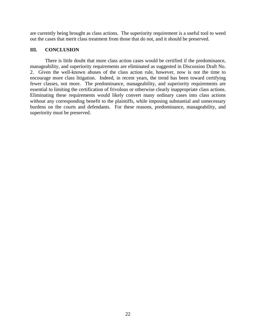are currently being brought as class actions. The superiority requirement is a useful tool to weed out the cases that merit class treatment from those that do not, and it should be preserved.

#### **III. CONCLUSION**

There is little doubt that more class action cases would be certified if the predominance, manageability, and superiority requirements are eliminated as suggested in Discussion Draft No. 2. Given the well-known abuses of the class action rule, however, now is not the time to encourage more class litigation. Indeed, in recent years, the trend has been toward certifying fewer classes, not more. The predominance, manageability, and superiority requirements are essential to limiting the certification of frivolous or otherwise clearly inappropriate class actions. Eliminating these requirements would likely convert many ordinary cases into class actions without any corresponding benefit to the plaintiffs, while imposing substantial and unnecessary burdens on the courts and defendants. For these reasons, predominance, manageability, and superiority must be preserved.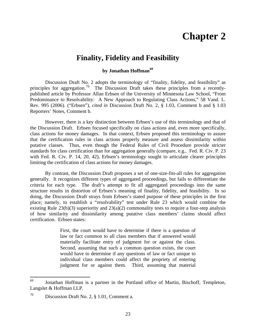## **Chapter 2**

### **Finality, Fidelity and Feasibility**

#### **by Jonathan Hoffman[69](#page-24-0)**

Discussion Draft No. 2 adopts the terminology of "finality, fidelity, and feasibility" as principles for aggregation.<sup>[70](#page-24-1)</sup> The Discussion Draft takes these principles from a recentlypublished article by Professor Allan Erbsen of the University of Minnesota Law School, "From Predominance to Resolvability: A New Approach to Regulating Class Actions," 58 Vand. L. Rev. 995 (2006). ("Erbsen"), *cited in* Discussion Draft No. 2, § 1.03, Comment b and § 1.03 Reporters' Notes, Comment b.

However, there is a key distinction between Erbsen's use of this terminology and that of the Discussion Draft. Erbsen focused specifically on class actions and, even more specifically, class actions for money damages. In that context, Erbsen proposed this terminology to assure that the certification rules in class actions properly measure and assess dissimilarity within putative classes. Thus, even though the Federal Rules of Civil Procedure provide stricter standards for class certification than for aggregation generally (compare, e.g., Fed. R. Civ. P. 23 with Fed. R. Civ. P. 14, 20, 42), Erbsen's terminology sought to articulate clearer principles limiting the certification of class actions for money damages.

By contrast, the Discussion Draft proposes a set of one-size-fits-all rules for aggregation generally. It recognizes different types of aggregated proceedings, but fails to differentiate the criteria for each type. The draft's attempt to fit all aggregated proceedings into the same structure results in distortion of Erbsen's meaning of finality, fidelity, and feasibility. In so doing, the Discussion Draft strays from Erbsen's stated purpose of these principles in the first place; namely, to establish a "resolvability" test under Rule 23 which would combine the existing Rule 23(b)(3) superiority and 23(a)(2) commonality tests to require a four-step analysis of how similarity and dissimilarity among putative class members' claims should affect certification. Erbsen states:

> First, the court would have to determine if there is a question of law or fact common to all class members that if answered would materially facilitate entry of judgment for or against the class. Second, assuming that such a common question exists, the court would have to determine if any questions of law or fact unique to individual class members could affect the propriety of entering judgment for or against them. Third, assuming that material

<span id="page-24-0"></span><sup>69</sup> Jonathan Hoffman is a partner in the Portland office of Martin, Bischoff, Templeton, Langslet & Hoffman LLP.

<span id="page-24-1"></span><sup>70</sup> Discussion Draft No. 2, § 1.01, Comment a.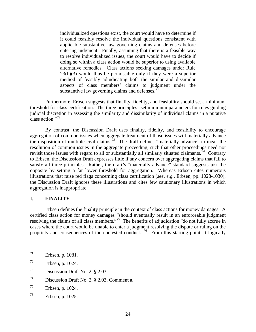individualized questions exist, the court would have to determine if it could feasibly resolve the individual questions consistent with applicable substantive law governing claims and defenses before entering judgment. Finally, assuming that there is a feasible way to resolve individualized issues, the court would have to decide if doing so within a class action would be superior to using available alternative remedies. Class actions seeking damages under Rule 23(b)(3) would thus be permissible only if they were a superior method of feasibly adjudicating both the similar and dissimilar aspects of class members' claims to judgment under the substantive law governing claims and defenses.<sup>[71](#page-25-0)</sup>

Furthermore, Erbsen suggests that finality, fidelity, and feasibility should set a minimum threshold for class certification. The three principles "set minimum parameters for rules guiding judicial discretion in assessing the similarity and dissimilarity of individual claims in a putative class action."[72](#page-25-1)

By contrast, the Discussion Draft uses finality, fidelity, and feasibility to encourage aggregation of common issues when aggregate treatment of those issues will materially advance the disposition of multiple civil claims.<sup>[73](#page-25-2)</sup> The draft defines "materially advance" to mean the resolution of common issues in the aggregate proceeding, such that other proceedings need not revisit those issues with regard to all or substantially all similarly situated claimants.<sup>[74](#page-25-3)</sup> Contrary to Erbsen, the Discussion Draft expresses little if any concern over aggregating claims that fail to satisfy all three principles. Rather, the draft's "materially advance" standard suggests just the opposite by setting a far lower threshold for aggregation. Whereas Erbsen cites numerous illustrations that raise red flags concerning class certification (*see, e.g.,* Erbsen, pp. 1028-1030), the Discussion Draft ignores these illustrations and cites few cautionary illustrations in which aggregation is inappropriate.

#### **I. FINALITY**

Erbsen defines the finality principle in the context of class actions for money damages. A certified class action for money damages "should eventually result in an enforceable judgment resolving the claims of all class members."<sup>[75](#page-25-4)</sup> The benefits of adjudication "do not fully accrue in cases where the court would be unable to enter a judgment resolving the dispute or ruling on the propriety and consequences of the contested conduct."<sup>[76](#page-25-5)</sup> From this starting point, it logically

<span id="page-25-2"></span>73 Discussion Draft No. 2, § 2.03.

<span id="page-25-0"></span><sup>71</sup> Erbsen, p. 1081.

<span id="page-25-1"></span> $72$  Erbsen, p. 1024.

<span id="page-25-3"></span><sup>74</sup> Discussion Draft No. 2, § 2.03, Comment a.

<span id="page-25-4"></span><sup>75</sup> Erbsen, p. 1024.

<span id="page-25-5"></span><sup>76</sup> Erbsen, p. 1025.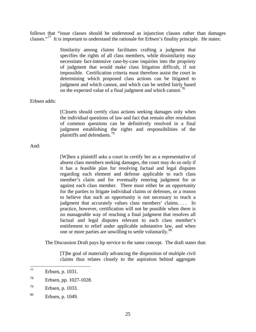follows that "issue classes should be understood as injunction classes rather than damages classes."[77](#page-26-0) It is important to understand the rationale for Erbsen's finality principle. He states:

> Similarity among claims facilitates crafting a judgment that specifies the rights of all class members, while dissimilarity may necessitate fact-intensive case-by-case inquiries into the propriety of judgment that would make class litigation difficult, if not impossible. Certification criteria must therefore assist the court in determining which proposed class actions can be litigated to judgment and which cannot, and which can be settled fairly based on the expected value of a final judgment and which cannot.<sup>[78](#page-26-1)</sup>

#### Erbsen adds:

[C]ourts should certify class actions seeking damages only when the individual questions of law and fact that remain after resolution of common questions can be definitively resolved in a final judgment establishing the rights and responsibilities of the plaintiffs and defendants.[79](#page-26-2)

#### And:

[W]hen a plaintiff asks a court to certify her as a representative of absent class members seeking damages, the court may do so only if it has a feasible plan for resolving factual and legal disputes regarding each element and defense applicable to each class member's claim and for eventually entering judgment for or against each class member. There must either be an opportunity for the parties to litigate individual claims or defenses, or a reason to believe that such an opportunity is not necessary to reach a judgment that accurately values class members' claims.... In practice, however, certification will not be possible when there is no manageable way of reaching a final judgment that resolves all factual and legal disputes relevant to each class member's entitlement to relief under applicable substantive law, and when one or more parties are unwilling to settle voluntarily.<sup>[80](#page-26-3)</sup>

The Discussion Draft pays lip service to the same concept. The draft states that:

[T]he goal of materially advancing the disposition of multiple civil claims thus relates closely to the aspiration behind aggregate

<span id="page-26-0"></span><sup>77</sup> Erbsen, p. 1031.

<span id="page-26-1"></span><sup>78</sup> Erbsen, pp. 1027-1028.

<span id="page-26-2"></span><sup>79</sup> Erbsen, p. 1033.

<span id="page-26-3"></span><sup>80</sup> Erbsen, p. 1049.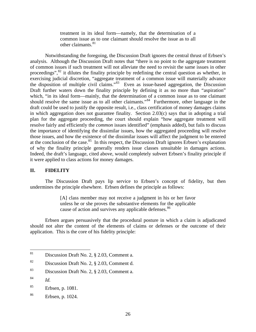treatment in its ideal form—namely, that the determination of a common issue as to one claimant should resolve the issue as to all other claimants.<sup>[81](#page-27-0)</sup>

Notwithstanding the foregoing, the Discussion Draft ignores the central thrust of Erbsen's analysis. Although the Discussion Draft notes that "there is no point to the aggregate treatment of common issues if such treatment will not alleviate the need to revisit the same issues in other proceedings", $82$  it dilutes the finality principle by redefining the central question as whether, in exercising judicial discretion, "aggregate treatment of a common issue will materially advance the disposition of multiple civil claims." $83$  Even as issue-based aggregation, the Discussion Draft further waters down the finality principle by defining it as no more than "aspiration" which, "in its ideal form—mainly, that the determination of a common issue as to one claimant should resolve the same issue as to all other claimants."<sup>[84](#page-27-3)</sup> Furthermore, other language in the draft could be used to justify the opposite result, i.e., class certification of money damages claims in which aggregation does not guarantee finality. Section 2.03(c) says that in adopting a trial plan for the aggregate proceeding, the court should explain "how aggregate treatment will resolve fairly and efficiently the *common* issues identified" (emphasis added), but fails to discuss the importance of identifying the dissimilar issues, how the aggregated proceeding will resolve those issues, and how the existence of the dissimilar issues will affect the judgment to be entered at the conclusion of the case.<sup>[85](#page-27-4)</sup> In this respect, the Discussion Draft ignores Erbsen's explanation of why the finality principle generally renders issue classes unsuitable in damages actions. Indeed, the draft's language, cited above, would completely subvert Erbsen's finality principle if it were applied to class actions for money damages.

#### **II. FIDELITY**

The Discussion Draft pays lip service to Erbsen's concept of fidelity, but then undermines the principle elsewhere. Erbsen defines the principle as follows:

> [A] class member may not receive a judgment in his or her favor unless he or she proves the substantive elements for the applicable cause of action and survives any applicable defenses.<sup>[86](#page-27-5)</sup>

Erbsen argues persuasively that the procedural posture in which a claim is adjudicated should not alter the content of the elements of claims or defenses or the outcome of their application. This is the core of his fidelity principle:

- <span id="page-27-1"></span>82 Discussion Draft No. 2, § 2.03, Comment d.
- <span id="page-27-2"></span>83 Discussion Draft No. 2, § 2.03, Comment a.

<span id="page-27-0"></span><sup>81</sup> Discussion Draft No. 2, § 2.03, Comment a.

<span id="page-27-3"></span><sup>84</sup> *Id.* 

<span id="page-27-4"></span><sup>85</sup> Erbsen, p. 1081.

<span id="page-27-5"></span><sup>86</sup> Erbsen, p. 1024.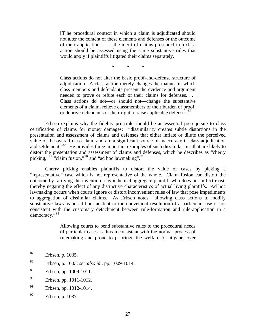[T]he procedural context in which a claim is adjudicated should not alter the content of these elements and defenses or the outcome of their application. . . . the merit of claims presented in a class action should be assessed using the same substantive rules that would apply if plaintiffs litigated their claims separately.

\* \* \*

Class actions do not alter the basic proof-and-defense structure of adjudication. A class action merely changes the manner in which class members and defendants present the evidence and argument needed to prove or refute each of their claims for defenses. . . . Class actions do not—or should not—change the substantive elements of a claim, relieve classmembers of their burden of proof, or deprive defendants of their right to raise applicable defenses.<sup>[87](#page-28-0)</sup>

Erbsen explains why the fidelity principle should be an essential prerequisite to class certification of claims for money damages: "dissimilarity creates subtle distortions in the presentation and assessment of claims and defenses that either inflate or dilute the perceived value of the overall class claim and are a significant source of inaccuracy in class adjudication and settlement."<sup>[88](#page-28-1)</sup> He provides three important examples of such dissimilarities that are likely to distort the presentation and assessment of claims and defenses, which he describes as "cherry picking," $89 \text{``claim fusion''}^{90}$  $89 \text{``claim fusion''}^{90}$  $89 \text{``claim fusion''}^{90}$  $89 \text{``claim fusion''}^{90}$  and "ad hoc lawmaking".

Cherry picking enables plaintiffs to distort the value of cases by picking a "representative" case which is not representative of the whole. Claim fusion can distort the outcome by ratifying the invention a hypothetical aggregate plaintiff who does not in fact exist, thereby negating the effect of any distinctive characteristics of actual living plaintiffs. Ad hoc lawmaking occurs when courts ignore or distort inconvenient rules of law that pose impediments to aggregation of dissimilar claims. As Erbsen notes, "allowing class actions to modify substantive laws as an ad hoc incident to the convenient resolution of a particular case is not consistent with the customary detachment between rule-formation and rule-application in a democracy."[92](#page-28-5)

> Allowing courts to bend substantive rules to the procedural needs of particular cases is thus inconsistent with the normal process of rulemaking and prone to prioritize the welfare of litigants over

- <span id="page-28-3"></span>90 Erbsen, pp. 1011-1012.
- <span id="page-28-4"></span> $91$  Erbsen, pp. 1012-1014.

<span id="page-28-0"></span><sup>87</sup> Erbsen, p. 1035.

<span id="page-28-1"></span><sup>88</sup> Erbsen, p. 1003; *see also id.*, pp. 1009-1014.

<span id="page-28-2"></span><sup>89</sup> Erbsen, pp. 1009-1011.

<span id="page-28-5"></span><sup>92</sup> Erbsen, p. 1037.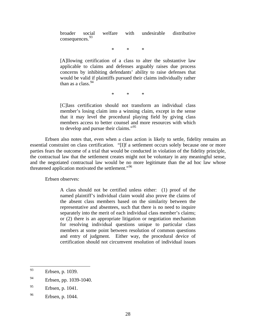broader social welfare with undesirable distributive consequences.<sup>[93](#page-29-0)</sup>

\* \* \*

[A]llowing certification of a class to alter the substantive law applicable to claims and defenses arguably raises due process concerns by inhibiting defendants' ability to raise defenses that would be valid if plaintiffs pursued their claims individually rather than as a class.  $94$ 

\* \* \*

[C]lass certification should not transform an individual class member's losing claim into a winning claim, except in the sense that it may level the procedural playing field by giving class members access to better counsel and more resources with which to develop and pursue their claims."<sup>[95](#page-29-2)</sup>

Erbsen also notes that, even when a class action is likely to settle, fidelity remains an essential constraint on class certification. "[I]f a settlement occurs solely because one or more parties fears the outcome of a trial that would be conducted in violation of the fidelity principle, the contractual law that the settlement creates might not be voluntary in any meaningful sense, and the negotiated contractual law would be no more legitimate than the ad hoc law whose threatened application motivated the settlement."<sup>[96](#page-29-3)</sup>

Erbsen observes:

A class should not be certified unless either: (1) proof of the named plaintiff's individual claim would also prove the claims of the absent class members based on the similarity between the representative and absentees, such that there is no need to inquire separately into the merit of each individual class member's claims; or (2) there is an appropriate litigation or negotiation mechanism for resolving individual questions unique to particular class members at some point between resolution of common questions and entry of judgment. Either way, the procedural device of certification should not circumvent resolution of individual issues

<span id="page-29-0"></span><sup>93</sup> Erbsen, p. 1039.

<span id="page-29-1"></span><sup>&</sup>lt;sup>94</sup> Erbsen, pp. 1039-1040.

<span id="page-29-2"></span><sup>95</sup> Erbsen, p. 1041.

<span id="page-29-3"></span><sup>96</sup> Erbsen, p. 1044.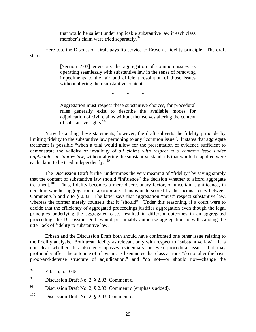that would be salient under applicable substantive law if each class member's claim were tried separately.<sup>[97](#page-30-0)</sup>

Here too, the Discussion Draft pays lip service to Erbsen's fidelity principle. The draft states:

> [Section 2.03] envisions the aggregation of common issues as operating seamlessly with substantive law in the sense of removing impediments to the fair and efficient resolution of those issues without altering their substantive content.

> > \* \* \*

Aggregation must respect these substantive choices, for procedural rules generally exist to describe the available modes for adjudication of civil claims without themselves altering the content of substantive rights. $98$ 

Notwithstanding these statements, however, the draft subverts the fidelity principle by limiting fidelity to the substantive law pertaining to any "common issue". It states that aggregate treatment is possible "when a trial would allow for the presentation of evidence sufficient to demonstrate the validity or invalidity *of all claims with respect to a common issue under applicable substantive law,* without altering the substantive standards that would be applied were each claim to be tried independently."<sup>[99](#page-30-2)</sup>

The Discussion Draft further undermines the very meaning of "fidelity" by saying simply that the content of substantive law should "influence" the decision whether to afford aggregate treatment.<sup>[100](#page-30-3)</sup> Thus, fidelity becomes a mere discretionary factor, of uncertain significance, in deciding whether aggregation is appropriate. This is underscored by the inconsistency between Comments b and c to § 2.03. The latter says that aggregation "must" respect substantive law, whereas the former merely counsels that it "should". Under this reasoning, if a court were to decide that the efficiency of aggregated proceedings justifies aggregation even though the legal principles underlying the aggregated cases resulted in different outcomes in an aggregated proceeding, the Discussion Draft would presumably authorize aggregation notwithstanding the utter lack of fidelity to substantive law.

Erbsen and the Discussion Draft both should have confronted one other issue relating to the fidelity analysis. Both treat fidelity as relevant only with respect to "substantive law". It is not clear whether this also encompasses evidentiary or even procedural issues that may profoundly affect the outcome of a lawsuit. Erbsen notes that class actions "do not alter the basic proof-and-defense structure of adjudication." and "do not—or should not—change the

<span id="page-30-0"></span><sup>97</sup> Erbsen, p. 1045.

<span id="page-30-1"></span><sup>98</sup> Discussion Draft No. 2, § 2.03, Comment c.

<span id="page-30-2"></span><sup>&</sup>lt;sup>99</sup> Discussion Draft No. 2,  $\S$  2.03, Comment c (emphasis added).

<span id="page-30-3"></span><sup>&</sup>lt;sup>100</sup> Discussion Draft No. 2,  $\S$  2.03, Comment c.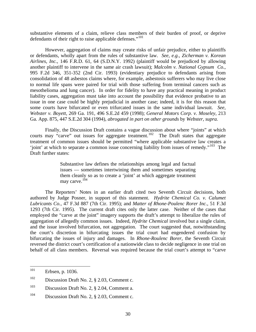substantive elements of a claim, relieve class members of their burden of proof, or deprive defendants of their right to raise applicable defenses."<sup>[101](#page-31-0)</sup>

However, aggregation of claims may create risks of unfair prejudice, either to plaintiffs or defendants, wholly apart from the rules of substantive law. *See, e.g., Zicherman v. Korean Airlines, Inc.*, 146 F.R.D. 61, 64 (S.D.N.Y. 1992) (plaintiff would be prejudiced by allowing another plaintiff to intervene in the same air crash lawsuit); *Malcolm v. National Gypsum Co.*, 995 F.2d 346, 351-352 (2nd Cir. 1993) (evidentiary prejudice to defendants arising from consolidation of 48 asbestos claims where, for example, asbestosis sufferers who may live close to normal life spans were paired for trial with those suffering from terminal cancers such as mesothelioma and lung cancer). In order for fidelity to have any practical meaning in product liability cases, aggregation must take into account the possibility that evidence probative to an issue in one case could be highly prejudicial in another case; indeed, it is for this reason that some courts have bifurcated or even trifurcated issues in the same individual lawsuit. *See, Webster v. Boyett,* 269 Ga. 191, 496 S.E.2d 459 (1998); *General Motors Corp. v. Moseley*, 213 Ga. App. 875, 447 S.E.2d 304 (1994), *abrogated in part on other grounds* by *Webster, supra.* 

Finally, the Discussion Draft contains a vague discussion about where "joints" at which courts may "carve" out issues for aggregate treatment.<sup>[102](#page-31-1)</sup> The Draft states that aggregate treatment of common issues should be permitted "where applicable substantive law creates a 'joint' at which to separate a common issue concerning liability from issues of remedy."<sup>[103](#page-31-2)</sup> The Draft further states:

> Substantive law defines the relationships among legal and factual issues — sometimes intertwining them and sometimes separating them cleanly so as to create a 'joint' at which aggregate treatment may carve.<sup>[104](#page-31-3)</sup>

The Reporters' Notes in an earlier draft cited two Seventh Circuit decisions, both authored by Judge Posner, in support of this statement. *Hydrite Chemical Co. v. Calumet Lubricants Co.*, 47 F.3d 887 (7th Cir. 1995); and *Matter of Rhone-Poulenc Rorer Inc.*, 51 F.3d 1293 (7th Cir. 1995). The current draft cites only the latter case. Neither of the cases that employed the "carve at the joint" imagery supports the draft's attempt to liberalize the rules of aggregation of allegedly common issues. Indeed, *Hydrite Chemical* involved but a single claim, and the issue involved bifurcation, not aggregation. The court suggested that, notwithstanding the court's discretion in bifurcating issues the trial court had engendered confusion by bifurcating the issues of injury and damages. In *Rhone-Roulenc Borer*, the Seventh Circuit reversed the district court's certification of a nationwide class to decide negligence in one trial on behalf of all class members. Reversal was required because the trial court's attempt to "carve

<span id="page-31-0"></span><sup>101</sup> Erbsen, p. 1036.

<span id="page-31-1"></span> $102$  Discussion Draft No. 2, § 2.03, Comment c.

<span id="page-31-2"></span><sup>&</sup>lt;sup>103</sup> Discussion Draft No. 2,  $\S$  2.04, Comment a.

<span id="page-31-3"></span><sup>&</sup>lt;sup>104</sup> Discussion Draft No. 2,  $\S$  2.03, Comment c.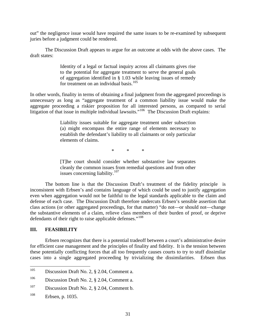out" the negligence issue would have required the same issues to be re-examined by subsequent juries before a judgment could be rendered.

The Discussion Draft appears to argue for an outcome at odds with the above cases. The draft states:

> Identity of a legal or factual inquiry across all claimants gives rise to the potential for aggregate treatment to serve the general goals of aggregation identified in § 1.03 while leaving issues of remedy for treatment on an individual basis.<sup>[105](#page-32-0)</sup>

In other words, finality in terms of obtaining a final judgment from the aggregated proceedings is unnecessary as long as "aggregate treatment of a common liability issue would make the aggregate proceeding a riskier proposition for all interested persons, as compared to serial litigation of that issue in multiple individual lawsuits."<sup>[106](#page-32-1)</sup> The Discussion Draft explains:

> Liability issues suitable for aggregate treatment under subsection (a) might encompass the entire range of elements necessary to establish the defendant's liability to all claimants or only particular elements of claims.

> > \* \* \*

[T]he court should consider whether substantive law separates cleanly the common issues from remedial questions and from other issues concerning liability.[107](#page-32-2)

The bottom line is that the Discussion Draft's treatment of the fidelity principle is inconsistent with Erbsen's and contains language of which could be used to justify aggregation even when aggregation would not be faithful to the legal standards applicable to the claim and defense of each case. The Discussion Draft therefore undercuts Erbsen's sensible assertion that class actions (or other aggregated proceedings, for that matter) "do not—or should not—change the substantive elements of a claim, relieve class members of their burden of proof, or deprive defendants of their right to raise applicable defenses."<sup>[108](#page-32-3)</sup>

#### **III. FEASIBILITY**

Erbsen recognizes that there is a potential tradeoff between a court's administrative desire for efficient case management and the principles of finality and fidelity. It is the tension between these potentially conflicting forces that all too frequently causes courts to try to stuff dissimilar cases into a single aggregated proceeding by trivializing the dissimilarities. Erbsen thus

<span id="page-32-0"></span><sup>105</sup> Discussion Draft No. 2, § 2.04, Comment a.

<span id="page-32-1"></span><sup>&</sup>lt;sup>106</sup> Discussion Draft No. 2,  $\S$  2.04, Comment a.

<span id="page-32-2"></span><sup>&</sup>lt;sup>107</sup> Discussion Draft No. 2,  $\S$  2.04, Comment b.

<span id="page-32-3"></span><sup>108</sup> Erbsen, p. 1035.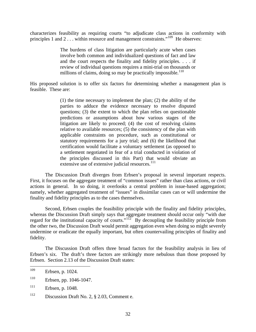characterizes feasibility as requiring courts "to adjudicate class actions in conformity with principles 1 and 2 . . . within resource and management constraints."<sup>[109](#page-33-0)</sup> He observes:

> The burdens of class litigation are particularly acute when cases involve both common and individualized questions of fact and law and the court respects the finality and fidelity principles. . . . if review of individual questions requires a mini-trial on thousands or millions of claims, doing so may be practically impossible.<sup>[110](#page-33-1)</sup>

His proposed solution is to offer six factors for determining whether a management plan is feasible. These are:

> (1) the time necessary to implement the plan; (2) the ability of the parties to adduce the evidence necessary to resolve disputed questions; (3) the extent to which the plan relies on questionable predictions or assumptions about how various stages of the litigation are likely to proceed; (4) the cost of resolving claims relative to available resources; (5) the consistency of the plan with applicable constraints on procedure, such as constitutional or statutory requirements for a jury trial; and (6) the likelihood that certification would facilitate a voluntary settlement (as opposed to a settlement negotiated in fear of a trial conducted in violation of the principles discussed in this Part) that would obviate an extensive use of extensive judicial resources.<sup>[111](#page-33-2)</sup>

The Discussion Draft diverges from Erbsen's proposal in several important respects. First, it focuses on the aggregate treatment of "common issues" rather than class actions, or civil actions in general. In so doing, it overlooks a central problem in issue-based aggregation; namely, whether aggregated treatment of "issues" in dissimilar cases can or will undermine the finality and fidelity principles as to the cases themselves.

Second, Erbsen couples the feasibility principle with the finality and fidelity principles, whereas the Discussion Draft simply says that aggregate treatment should occur only "with due regard for the institutional capacity of courts."<sup>[112](#page-33-3)</sup> By decoupling the feasibility principle from the other two, the Discussion Draft would permit aggregation even when doing so might severely undermine or eradicate the equally important, but often countervailing principles of finality and fidelity.

The Discussion Draft offers three broad factors for the feasibility analysis in lieu of Erbsen's six. The draft's three factors are strikingly more nebulous than those proposed by Erbsen. Section 2.13 of the Discussion Draft states:

<span id="page-33-0"></span><sup>109</sup> Erbsen, p. 1024.

<span id="page-33-1"></span><sup>110</sup> Erbsen, pp. 1046-1047.

<span id="page-33-2"></span> $111$  Erbsen, p. 1048.

<span id="page-33-3"></span><sup>112</sup> Discussion Draft No. 2, § 2.03, Comment e.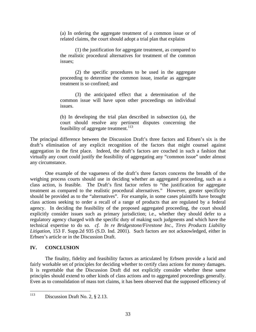(a) In ordering the aggregate treatment of a common issue or of related claims, the court should adopt a trial plan that explains

 (1) the justification for aggregate treatment, as compared to the realistic procedural alternatives for treatment of the common issues;

 (2) the specific procedures to be used in the aggregate proceeding to determine the common issue, insofar as aggregate treatment is so confined; and

 (3) the anticipated effect that a determination of the common issue will have upon other proceedings on individual issues.

(b) In developing the trial plan described in subsection (a), the court should resolve any pertinent disputes concerning the feasibility of aggregate treatment.<sup>[113](#page-34-0)</sup>

The principal difference between the Discussion Draft's three factors and Erbsen's six is the draft's elimination of any explicit recognition of the factors that might counsel against aggregation in the first place. Indeed, the draft's factors are couched in such a fashion that virtually any court could justify the feasibility of aggregating any "common issue" under almost any circumstance.

One example of the vagueness of the draft's three factors concerns the breadth of the weighing process courts should use in deciding whether an aggregated proceeding, such as a class action, is feasible. The Draft's first factor refers to "the justification for aggregate treatment as compared to the realistic procedural alternatives." However, greater specificity should be provided as to the "alternatives". For example, in some cases plaintiffs have brought class actions seeking to order a recall of a range of products that are regulated by a federal agency. In deciding the feasibility of the proposed aggregated proceeding, the court should explicitly consider issues such as primary jurisdiction; i.e., whether they should defer to a regulatory agency charged with the specific duty of making such judgments and which have the technical expertise to do so. *cf. In re Bridgestone/Firestone Inc., Tires Products Liability Litigation*, 153 F. Supp.2d 935 (S.D. Ind. 2001). Such factors are not acknowledged, either in Erbsen's article or in the Discussion Draft.

#### **IV. CONCLUSION**

The finality, fidelity and feasibility factors as articulated by Erbsen provide a lucid and fairly workable set of principles for deciding whether to certify class actions for money damages. It is regrettable that the Discussion Draft did not explicitly consider whether these same principles should extend to other kinds of class actions and to aggregated proceedings generally. Even as to consolidation of mass tort claims, it has been observed that the supposed efficiency of

<span id="page-34-0"></span><sup>113</sup> Discussion Draft No. 2, § 2.13.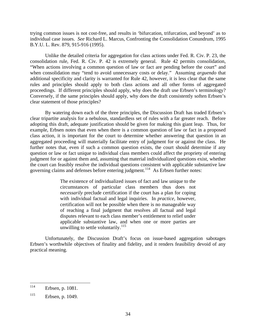trying common issues is not cost-free, and results in 'bifurcation, trifurcation, and beyond' as to individual case issues. *See* Richard L. Marcus, Confronting the Consolidation Conundrum, 1995 B.Y.U. L. Rev. 879, 915-916 (1995).

Unlike the detailed criteria for aggregation for class actions under Fed. R. Civ. P. 23, the consolidation rule, Fed. R. Civ. P. 42 is extremely general. Rule 42 permits consolidation, "When actions involving a common question of law or fact are pending before the court" and when consolidation may "tend to avoid unnecessary costs or delay." Assuming *arguendo* that additional specificity and clarity is warranted for Rule 42, however, it is less clear that the same rules and principles should apply to both class actions and all other forms of aggregated proceedings. If different principles should apply, why does the draft use Erbsen's terminology? Conversely, if the same principles should apply, why does the draft consistently soften Erbsen's clear statement of those principles?

By watering down each of the three principles, the Discussion Draft has traded Erbsen's clear tripartite analysis for a nebulous, standardless set of rules with a far greater reach. Before adopting this draft, adequate justification should be given for making this giant leap. Thus, for example, Erbsen notes that even when there is a common question of law or fact in a proposed class action, it is important for the court to determine whether answering that question in an aggregated proceeding will materially facilitate entry of judgment for or against the class. He further notes that, even if such a common question exists, the court should determine if any question or law or fact unique to individual class members could affect the propriety of entering judgment for or against them and, assuming that material individualized questions exist, whether the court can feasibly resolve the individual questions consistent with applicable substantive law governing claims and defenses before entering judgment.<sup>[114](#page-35-0)</sup> As Erbsen further notes:

> The existence of individualized issues of fact and law unique to the circumstances of particular class members thus does not *necessarily* preclude certification if the court has a plan for coping with individual factual and legal inquiries. In *practice,* however, certification will not be possible when there is no manageable way of reaching a final judgment that resolves all factual and legal disputes relevant to each class member's entitlement to relief under applicable substantive law, and when one or more parties are unwilling to settle voluntarily. $^{115}$  $^{115}$  $^{115}$

Unfortunately, the Discussion Draft's focus on issue-based aggregation sabotages Erbsen's worthwhile objectives of finality and fidelity, and it renders feasibility devoid of any practical meaning.

<span id="page-35-0"></span><sup>114</sup> Erbsen, p. 1081.

<span id="page-35-1"></span><sup>115</sup> Erbsen, p. 1049.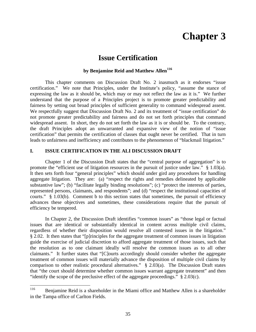# **Chapter 3**

### **Issue Certification**

### **by Benjamine Reid and Matthew Allen[116](#page-36-0)**

This chapter comments on Discussion Draft No. 2 inasmuch as it endorses "issue certification." We note that Principles, under the Institute's policy, "assume the stance of expressing the law as it should be, which may or may not reflect the law as it is." We further understand that the purpose of a Principles project is to promote greater predictability and fairness by setting out broad principles of sufficient generality to command widespread assent. We respectfully suggest that Discussion Draft No. 2 and its treatment of "issue certification" do not promote greater predictability and fairness and do not set forth principles that command widespread assent. In short, they do not set forth the law as it is or should be. To the contrary, the draft Principles adopt an unwarranted and expansive view of the notion of "issue certification" that permits the certification of classes that ought never be certified. That in turn leads to unfairness and inefficiency and contributes to the phenomenon of "blackmail litigation."

#### **I. ISSUE CERTIFICATION IN THE ALI DISCUSSION DRAFT**

Chapter 1 of the Discussion Draft states that the "central purpose of aggregation" is to promote the "efficient use of litigation resources in the pursuit of justice under law." § 1.03(a). It then sets forth four "general principles" which should under gird any procedures for handling aggregate litigation. They are: (a) "respect the rights and remedies delineated by applicable substantive law"; (b) "facilitate legally binding resolutions"; (c) "protect the interests of parties, represented persons, claimants, and respondents"; and (d) "respect the institutional capacities of courts." § 1.03(b). Comment b to this section states that sometimes, the pursuit of efficiency advances these objectives and sometimes, these considerations require that the pursuit of efficiency be tempered.

In Chapter 2, the Discussion Draft identifies "common issues" as "those legal or factual issues that are identical or substantially identical in content across multiple civil claims, regardless of whether their disposition would resolve all contested issues in the litigation." § 2.02. It then states that "[p]rinciples for the aggregate treatment of common issues in litigation guide the exercise of judicial discretion to afford aggregate treatment of those issues, such that the resolution as to one claimant ideally will resolve the common issues as to all other claimants." It further states that "[C]ourts accordingly should consider whether the aggregate treatment of common issues will materially advance the disposition of multiple civil claims by comparison to other realistic procedural alternatives." § 2.03(a). The Discussion Draft states that "the court should determine whether common issues warrant aggregate treatment" and then "identify the scope of the preclusive effect of the aggregate proceedings."  $\S 2.03(c)$ .

<span id="page-36-0"></span><sup>116</sup> Benjamine Reid is a shareholder in the Miami office and Matthew Allen is a shareholder in the Tampa office of Carlton Fields.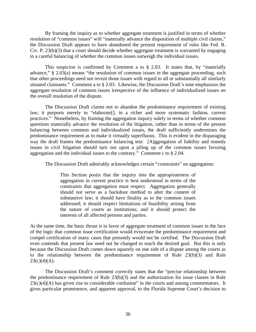By framing the inquiry as to whether aggregate treatment is justified in terms of whether resolution of "common issues" will "materially advance the disposition of multiple civil claims," the Discussion Draft appears to have abandoned the present requirement of rules like Fed. R. Civ. P. 23(b)(3) that a court should decide whether aggregate treatment is warranted by engaging in a careful balancing of whether the common issues outweigh the individual issues.

This suspicion is confirmed by Comment a to § 2.03. It states that, by "materially advance," § 2.03(a) means "the resolution of common issues in the aggregate proceeding, such that other proceedings need not revisit those issues with regard to all or substantially all similarly situated claimants." Comment a to § 2.03. Likewise, the Discussion Draft's note emphasizes the aggregate resolution of common issues irrespective of the influence of individualized issues on the overall resolution of the dispute.

The Discussion Draft claims not to abandon the predominance requirement of existing law; it purports merely to "elaborate[], in a richer and more systematic fashion, current practices." Nonetheless, by framing the aggregation inquiry solely in terms of whether common questions materially advance the resolution of the litigation, rather than in terms of the present balancing between common and individualized issues, the draft sufficiently undermines the predominance requirement as to make it virtually superfluous. This is evident in the disparaging way the draft frames the predominance balancing test: [A]ggregation of liability and remedy issues in civil litigation should turn not upon a piling up of the common issues favoring aggregation and the individual issues to the contrary." Comment c to  $\S 2.04$ .

The Discussion Draft admirably acknowledges certain "constraints" on aggregation:

This Section posits that the inquiry into the appropriateness of aggregation in current practice is best understood in terms of the constraints that aggregation must respect. Aggregation generally should not serve as a backdoor method to alter the content of substantive law; it should have finality as to the common issues addressed; it should respect limitations of feasibility arising from the nature of courts as institutions; and it should protect the interests of all affected persons and parties.

At the same time, the basic thrust is in favor of aggregate treatment of common issues in the face of the logic that common issue certification would eviscerate the predominance requirement and compel certification of many cases that presently would not be certified. The Discussion Draft even contends that present law need not be changed to reach the desired goal. But this is only because the Discussion Draft comes down squarely on one side of a dispute among the courts as to the relationship between the predominance requirement of Rule 23(b)(3) and Rule  $23(c)(4)(A)$ .

The Discussion Draft's comment correctly states that the "precise relationship between the predominance requirement of Rule 23(b)(3) and the authorization for issue classes in Rule 23(c)(4)(A) has given rise to considerable confusion" in the courts and among commentators. It gives particular prominence, and apparent approval, to the Florida Supreme Court's decision to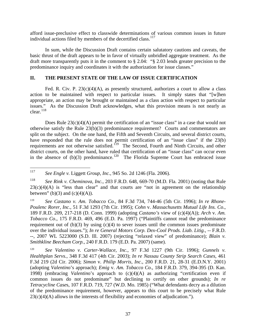afford issue-preclusive effect to classwide determinations of various common issues in future individual actions filed by members of the decertified class.<sup>[117](#page-38-0)</sup>

In sum, while the Discussion Draft contains certain salutatory cautions and caveats, the basic thrust of the draft appears to be in favor of virtually unbridled aggregate treatment. As the draft more transparently puts it in the comment to § 2.04: "§ 2.03 lends greater precision to the predominance inquiry and coordinates it with the authorization for issue classes."

### **II. THE PRESENT STATE OF THE LAW OF ISSUE CERTIFICATION**

Fed. R. Civ. P.  $23(c)(4)(A)$ , as presently structured, authorizes a court to allow a class action to be maintained with respect to particular issues. It simply states that "[w]hen appropriate, an action may be brought or maintained as a class action with respect to particular issues." As the Discussion Draft acknowledges, what this provision means is not nearly as  $clear.<sup>118</sup>$  $clear.<sup>118</sup>$  $clear.<sup>118</sup>$ 

Does Rule  $23(c)(4)(A)$  permit the certification of an "issue class" in a case that would not otherwise satisfy the Rule 23(b)(3) predominance requirement? Courts and commentators are split on the subject. On the one hand, the Fifth and Seventh Circuits, and several district courts, have responded that the rule does not permit certification of an "issue class" if the 23(b) requirements are not otherwise satisfied.<sup>[119](#page-38-2)</sup> The Second, Fourth and Ninth Circuits, and other district courts, on the other hand, have ruled that certification of an "issue class" can occur even in the absence of (b)(3) predominance.<sup>[120](#page-38-3)</sup> The Florida Supreme Court has embraced issue

117 117 *See Engle v.* Liggett *Group, Inc.*, 945 So. 2d 1246 (Fla. 2006).

<span id="page-38-1"></span><span id="page-38-0"></span><sup>118</sup> *See Rink v. Cheminova, Inc.*, 203 F.R.D. 648, 669-70 (M.D. Fla. 2001) (noting that Rule  $23(c)(4)(A)$  is "less than clear" and that courts are "not in agreement on the relationship between" (b)(3) and (c)(4)(A)).

<span id="page-38-2"></span><sup>119</sup> *See Castano v. Am. Tobacco Co.*, 84 F.3d 734, 744-46 (5th Cir. 1996); *In re Rhone-Poulenc Rorer, Inc.*, 51 F.3d 1293 (7th Cir. 1995); *Cohn* v. *Massachusetts Mutual Life Ins. Co*., 189 F.R.D. 209, 217-218 (D. Conn. 1999) (adopting *Castano's* view of (c)(4)(A)); *Arch* v. *Am. Tobacco Co*., 175 F.R.D. 469, 496 (E.D. Pa. 1997) ("Plaintiffs cannot read the predominance requirement out of  $(b)(3)$  by using  $(c)(4)$  to sever issues until the common issues predominate over the individual issues."); *In re General Motors Corp. Dex-Cool Prods. Liab. Litig.*, -- F.R.D. --, 2007 WL 5223000 (S.D. Ill. 2007) (rejecting "relaxed view" of predominance); *Blain v. Smithkline Beecham Corp.*, 240 F.R.D. 179 (E.D. Pa. 2007) (same).

<span id="page-38-3"></span><sup>120</sup> *See Valentino v. Carter-Wallace, Inc.*, 97 F.3d 1227 (9th Cir. 1996); *Gunnels v. Healthplan Servs.*, 348 F.3d 417 (4th Cir. 2003); *In re Nassau County Strip Search Cases*, 461 F.3d 219 (2d Cir. 2006); *Simon* v. *Philip Morris, Inc*., 200 F.R.D. 21, 28-31 (E.D.N.Y. 2001) (adopting *Valentin*o's approach); *Emig* v. *Am. Tobacco Co*., 184 F.R.D. 379, 394-395 (D. Kan. 1998) (embracing *Valentin*o's approach to (c)(4)(A) as authorizing "certification even if common issues do not predominate" but declining to certify on other grounds); *In re Tetracycline Case*s, 107 F.R.D. 719, 727 (W.D. Mo. 1985) ("What defendants decry as a dilution of the predominance requirement, however, appears to this court to be precisely what Rule  $23(c)(4)(A)$  allows in the interests of flexibility and economies of adjudication.").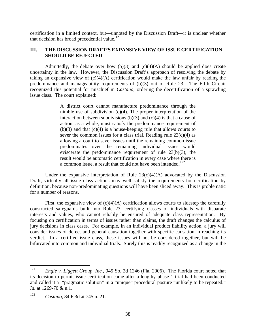certification in a limited context, but—unnoted by the Discussion Draft—it is unclear whether that decision has broad precedential value. $121$ 

### **III. THE DISCUSSION DRAFT'S EXPANSIVE VIEW OF ISSUE CERTIFICATION SHOULD BE REJECTED**

Admittedly, the debate over how  $(b)(3)$  and  $(c)(4)(A)$  should be applied does create uncertainty in the law. However, the Discussion Draft's approach of resolving the debate by taking an expansive view of  $(c)(4)(A)$  certification would make the law unfair by reading the predominance and manageability requirements of (b)(3) out of Rule 23. The Fifth Circuit recognized this potential for mischief in *Castano*, ordering the decertification of a sprawling issue class. The court explained:

> A district court cannot manufacture predominance through the nimble use of subdivision  $(c)(4)$ . The proper interpretation of the interaction between subdivisions (b)(3) and (c)(4) is that a cause of action, as a whole, must satisfy the predominance requirement of  $(b)(3)$  and that  $(c)(4)$  is a house-keeping rule that allows courts to sever the common issues for a class trial. Reading rule  $23(c)(4)$  as allowing a court to sever issues until the remaining common issue predominates over the remaining individual issues would eviscerate the predominance requirement of rule 23(b)(3); the result would be automatic certification in every case where there is a common issue, a result that could not have been intended.<sup>[122](#page-39-1)</sup>

Under the expansive interpretation of Rule  $23(c)(4)(A)$  advocated by the Discussion Draft, virtually all issue class actions may well satisfy the requirements for certification by definition, because non-predominating questions will have been sliced away. This is problematic for a number of reasons.

First, the expansive view of  $(c)(4)(A)$  certification allows courts to sidestep the carefully constructed safeguards built into Rule 23, certifying classes of individuals with disparate interests and values, who cannot reliably be ensured of adequate class representation. By focusing on certification in terms of issues rather than claims, the draft changes the calculus of jury decisions in class cases. For example, in an individual product liability action, a jury will consider issues of defect and general causation together with specific causation in reaching its verdict. In a certified issue class, these issues will not be considered together, but will be bifurcated into common and individual trials. Surely this is readily recognized as a change in the

<span id="page-39-0"></span><sup>121</sup> 121 *Engle v. Liggett Group, Inc.*, 945 So. 2d 1246 (Fla. 2006). The Florida court noted that its decision to permit issue certification came after a lengthy phase 1 trial had been conducted and called it a "pragmatic solution" in a "unique" procedural posture "unlikely to be repeated." *Id.* at 1269-70 & n.1.

<span id="page-39-1"></span><sup>122</sup> *Castano*, 84 F.3d at 745 n. 21.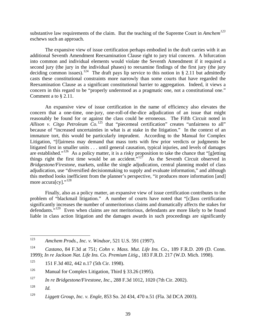substantive law requirements of the claim. But the teaching of the Supreme Court in *Amchem[123](#page-40-0)* eschews such an approach.

The expansive view of issue certification perhaps embodied in the draft carries with it an additional Seventh Amendment Reexamination Clause right to jury trial concern. A bifurcation into common and individual elements would violate the Seventh Amendment if it required a second jury (the jury in the individual phases) to reexamine findings of the first jury (the jury deciding common issues).<sup>[124](#page-40-1)</sup> The draft pays lip service to this notion in § 2.11 but admittedly casts these constitutional constraints more narrowly than some courts that have regarded the Reexamination Clause as a significant constitutional barrier to aggregation. Indeed, it views a concern in this regard to be "properly understood as a pragmatic one, not a constitutional one." Comment a to § 2.11.

An expansive view of issue certification in the name of efficiency also elevates the concern that a one-time, one-jury, one-roll-of-the-dice adjudication of an issue that might reasonably be found for or against the class could be erroneous. The Fifth Circuit noted in *Allison v. Citgo Petroleum Co.*<sup>[125](#page-40-2)</sup> that "piecemeal certification" creates "unfairness to all" because of "increased uncertainties in what is at stake in the litigation." In the context of an immature tort, this would be particularly imprudent. According to the Manual for Complex Litigation, "[f]airness may demand that mass torts with few prior verdicts or judgments be litigated first in smaller units . . . until general causation, typical injuries, and levels of damages are established."[126](#page-40-3) As a policy matter, it is a risky proposition to take the chance that "[g]etting things right the first time would be an accident."<sup>[127](#page-40-4)</sup> As the Seventh Circuit observed in *Bridgestone/Firestone*, markets, unlike the single adjudication, central planning model of class adjudication, use "diversified decisionmaking to supply and evaluate information," and although this method looks inefficient from the planner's perspective, "it produces more information [and] more accura[cy]."<sup>[128](#page-40-5)</sup>

Finally, also as a policy matter, an expansive view of issue certification contributes to the problem of "blackmail litigation." A number of courts have noted that "[c]lass certification significantly increases the number of unmeritorious claims and dramatically affects the stakes for defendants."<sup>[129](#page-40-6)</sup> Even when claims are not meritorious, defendants are more likely to be found liable in class action litigation and the damages awards in such proceedings are significantly

<span id="page-40-0"></span><sup>123</sup> 123 *Amchem Prods., Inc. v. Windsor*, 521 U.S. 591 (1997).

<span id="page-40-1"></span><sup>124</sup> *Castano*, 84 F.3d at 751; *Cohn v. Mass. Mut. Life Ins. Co.*, 189 F.R.D. 209 (D. Conn. 1999); *In re Jackson Nat. Life Ins. Co. Premium Litig.*, 183 F.R.D. 217 (W.D. Mich. 1998).

<span id="page-40-2"></span><sup>&</sup>lt;sup>125</sup> 151 F.3d 402, 442 n.17 (5th Cir. 1998).

<span id="page-40-3"></span><sup>&</sup>lt;sup>126</sup> Manual for Complex Litigation, Third § 33.26 (1995).

<span id="page-40-4"></span><sup>127</sup> *In re Bridgestone/Firestone, Inc.*, 288 F.3d 1012, 1020 (7th Cir. 2002).

<span id="page-40-5"></span> $128$  *Id.* 

<span id="page-40-6"></span><sup>129</sup> *Liggett Group, Inc. v. Engle*, 853 So. 2d 434, 470 n.51 (Fla. 3d DCA 2003).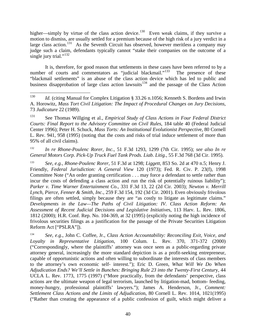higher—simply by virtue of the class action device.<sup>[130](#page-41-0)</sup> Even weak claims, if they survive a motion to dismiss, are usually settled for a premium because of the high risk of a jury verdict in a large class action.<sup>[131](#page-41-1)</sup> As the Seventh Circuit has observed, however meritless a company may judge such a claim, defendants typically cannot "stake their companies on the outcome of a single jury trial." $^{132}$  $^{132}$  $^{132}$ 

It is, therefore, for good reason that settlements in these cases have been referred to by a number of courts and commentators as "judicial blackmail."<sup>[133](#page-41-3)</sup> The presence of these "blackmail settlements" is an abuse of the class action device which has led to public and business disapprobation of large class action lawsuits<sup>[134](#page-41-4)</sup> and the passage of the Class Action

<span id="page-41-1"></span>131 See Thomas Willging et al., *Empirical Study of Class Actions in Four Federal District Courts: Final Report to the Advisory Committee on Civil Rules*, 184 table 40 (Federal Judicial Center 1996); Peter H. Schuck, *Mass Torts: An Institutional Evolutionist Perspectiv*e, 80 Cornell L. Rev. 941, 958 (1995) (noting that the costs and risks of trial induce settlement of more than 95% of all civil claims).

<span id="page-41-2"></span>132 *In re Rhone-Poulenc Rorer, Inc.*, 51 F.3d 1293, 1299 (7th Cir. 1995); *see also In re General Motors Corp. Pick-Up Truck Fuel Tank Prods. Liab. Litig.*, 55 F.3d 768 (3d Cir. 1995).

<span id="page-41-3"></span>133 *See*, *e.g.*, *Rhone-Poulenc Rorer*, 51 F.3d at 1298; *Liggett*, 853 So. 2d at 470 n.5; Henry J. Friendly, *Federal Jurisdiction: A General View* 120 (1973); Fed. R. Civ. P. 23(f), 1998 Committee Note ("An order granting certification . . . may force a defendant to settle rather than incur the costs of defending a class action and run the risk of potentially ruinous liability"); *Parker v. Time Warner Entertainment C*o., 331 F.3d 13, 22 (2d Cir. 2003); *Newton v. Merrill Lynch, Pierce, Fenner & Smith, Inc*., 259 F.3d 154, 192 (3d Cir. 2001). Even obviously frivolous filings are often settled, simply because they are "as costly to litigate as legitimate claims." *Developments in the Law—The Paths of Civil Litigation: IV. Class Action Reform: An Assessment of Recent Judicial Decisions and Legislative Initiative*s, 113 Harv. L. Rev. 1806, 1812 (2000); H.R. Conf. Rep. No. 104-369, at 32 (1995) (explicitly noting the high incidence of frivolous securities filings as a justification for the passage of the Private Securities Litigation Reform Act ["PSLRA"]).

<span id="page-41-4"></span>134 *See, e.g*., John C. Coffee, Jr., *Class Action Accountability: Reconciling Exit, Voice, and Loyalty in Representative Litigatio*n, 100 Colum. L. Rev. 370, 371-372 (2000) ("Correspondingly, where the plaintiffs' attorney was once seen as a public-regarding private attorney general, increasingly the more standard depiction is as a profit-seeking entrepreneur, capable of opportunistic actions and often willing to subordinate the interests of class members to the attorney's own economic self- interest."); Eric D. Green, *What Will We Do When Adjudication Ends? We'll Settle in Bunches: Bringing Rule 23 into the Twenty-First Centur*y, 44 UCLA L. Rev. 1773, 1775 (1997) ("More practically, from the defendants' perspective, class actions are the ultimate weapon of legal terrorism, launched by litigation-mad, bottom- feeding, money-hungry, professional plaintiffs' lawyers."); James A. Henderson, Jr., *Comment: Settlement Class Actions and the Limits of Adjudicatio*n, 80 Cornell L. Rev. 1014, 1021(1995) ("Rather than creating the appearance of a public confession of guilt, which might deliver a

<span id="page-41-0"></span><sup>130</sup> *Id.* (citing Manual for Complex Litigation § 33.26 n.1056; Kenneth S. Bordens and Irwin A. Horowitz, *Mass Tort Civil Litigation: The Impact of Procedural Changes on Jury Decisions*, 73 *Judicature* 22 (1989).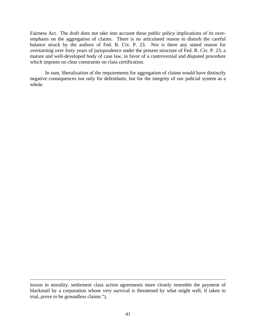Fairness Act. The draft does not take into account these public policy implications of its overemphasis on the aggregation of claims. There is no articulated reason to disturb the careful balance struck by the authors of Fed. R. Civ. P. 23. Nor is there any stated reason for overturning over forty years of jurisprudence under the present structure of Fed. R. Civ. P. 23, a mature and well-developed body of case law, in favor of a controversial and disputed procedure which imposes no clear constraints on class certification.

In sum, liberalization of the requirements for aggregation of claims would have distinctly negative consequences not only for defendants, but for the integrity of our judicial system as a whole.

 $\overline{a}$ 

lesson in morality, settlement class action agreements more closely resemble the payment of blackmail by a corporation whose very survival is threatened by what might well, if taken to trial, prove to be groundless claims.").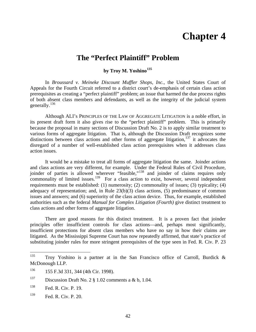## **Chapter 4**

### **The "Perfect Plaintiff" Problem**

### **by Troy M. Yoshino[135](#page-43-0)**

In *Broussard v. Meineke Discount Muffler Shops, Inc.*, the United States Court of Appeals for the Fourth Circuit referred to a district court's de-emphasis of certain class action prerequisites as creating a "perfect plaintiff" problem; an issue that harmed the due process rights of both absent class members and defendants, as well as the integrity of the judicial system generally.[136](#page-43-1)

Although ALI's PRINCIPLES OF THE LAW OF AGGREGATE LITIGATION is a noble effort, in its present draft form it also gives rise to the "perfect plaintiff" problem. This is primarily because the proposal in many sections of Discussion Draft No. 2 is to apply similar treatment to various forms of aggregate litigation. That is, although the Discussion Draft recognizes some distinctions between class actions and other forms of aggregate litigation, $137$  it advocates the disregard of a number of well-established class action prerequisites when it addresses class action issues.

It would be a mistake to treat all forms of aggregate litigation the same. Joinder actions and class actions are very different, for example. Under the Federal Rules of Civil Procedure, joinder of parties is allowed wherever "feasible,"<sup>[138](#page-43-3)</sup> and joinder of claims requires only commonality of limited issues.<sup>[139](#page-43-4)</sup> For a class action to exist, however, several independent requirements must be established: (1) numerosity; (2) commonality of issues; (3) typicality; (4) adequacy of representation; and, in Rule 23(b)(3) class actions, (5) predominance of common issues and answers; and (6) superiority of the class action device. Thus, for example, established authorities such as the federal *Manual for Complex Litigation (Fourth)* give distinct treatment to class actions and other forms of aggregate litigation.

There are good reasons for this distinct treatment. It is a proven fact that joinder principles offer insufficient controls for class actions—and, perhaps most significantly, insufficient protections for absent class members who have no say in how their claims are litigated. As the Mississippi Supreme Court has now repeatedly affirmed, that state's practice of substituting joinder rules for more stringent prerequisites of the type seen in Fed. R. Civ. P. 23

<span id="page-43-0"></span><sup>135</sup> Troy Yoshino is a partner at in the San Francisco office of Carroll, Burdick  $\&$ McDonough LLP.

<span id="page-43-1"></span><sup>136 155</sup> F.3d 331, 344 (4th Cir. 1998).

<span id="page-43-2"></span><sup>&</sup>lt;sup>137</sup> Discussion Draft No. 2  $\S$  1.02 comments a & b, 1.04.

<span id="page-43-3"></span><sup>138</sup> Fed. R. Civ. P. 19.

<span id="page-43-4"></span><sup>139</sup> Fed. R. Civ. P. 20.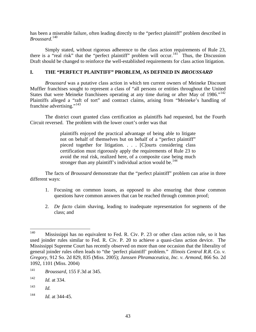has been a miserable failure, often leading directly to the "perfect plaintiff" problem described in *Broussard*. [140](#page-44-0)

Simply stated, without rigorous adherence to the class action requirements of Rule 23, there is a "real risk" that the "perfect plaintiff" problem will occur.<sup>[141](#page-44-1)</sup> Thus, the Discussion Draft should be changed to reinforce the well-established requirements for class action litigation.

### **I. THE "PERFECT PLAINTIFF" PROBLEM, AS DEFINED IN BROUSSARD**

*Broussard* was a putative class action in which ten current owners of Meineke Discount Muffler franchises sought to represent a class of "all persons or entities throughout the United States that were Meineke franchisees operating at any time during or after May of 1986."<sup>142</sup> Plaintiffs alleged a "raft of tort" and contract claims, arising from "Meineke's handling of franchise advertising."<sup>[143](#page-44-3)</sup>

The district court granted class certification as plaintiffs had requested, but the Fourth Circuit reversed. The problem with the lower court's order was that

> plaintiffs enjoyed the practical advantage of being able to litigate not on behalf of themselves but on behalf of a "perfect plaintiff" pieced together for litigation. . . . [C]ourts considering class certification must rigorously apply the requirements of Rule 23 to avoid the real risk, realized here, of a composite case being much stronger than any plaintiff's individual action would be.<sup>[144](#page-44-4)</sup>

The facts of *Broussard* demonstrate that the "perfect plaintiff" problem can arise in three different ways:

- 1. Focusing on common issues, as opposed to also ensuring that those common questions have common answers that can be reached through common proof;
- 2. *De facto* claim shaving, leading to inadequate representation for segments of the class; and

<span id="page-44-4"></span>144 *Id.* at 344-45.

<span id="page-44-0"></span><sup>140</sup> Mississippi has no equivalent to Fed. R. Civ. P. 23 or other class action rule, so it has used joinder rules similar to Fed. R. Civ. P. 20 to achieve a quasi-class action device. The Mississippi Supreme Court has recently observed on more than one occasion that the liberality of general joinder rules often leads to "the 'perfect plaintiff' problem." *Illinois Central R.R. Co. v. Gregory*, 912 So. 2d 829, 835 (Miss. 2005); *Janssen Phramaceutica, Inc. v. Armond*, 866 So. 2d 1092, 1101 (Miss. 2004)

<span id="page-44-1"></span><sup>141</sup> *Broussard*, 155 F.3d at 345.

<span id="page-44-2"></span><sup>142</sup> *Id.* at 334.

<span id="page-44-3"></span><sup>143</sup> *Id.*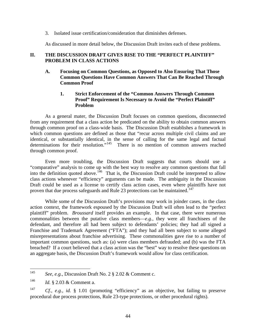3. Isolated issue certification/consideration that diminishes defenses.

As discussed in more detail below, the Discussion Draft invites each of these problems.

### **II. THE DISCUSSION DRAFT GIVES RISE TO THE "PERFECT PLAINTIFF" PROBLEM IN CLASS ACTIONS**

**A. Focusing on Common Questions, as Opposed to Also Ensuring That Those Common Questions Have Common Answers That Can Be Reached Through Common Proof** 

### **1. Strict Enforcement of the "Common Answers Through Common Proof" Requirement Is Necessary to Avoid the "Perfect Plaintiff" Problem**

As a general mater, the Discussion Draft focuses on common questions, disconnected from any requirement that a class action be predicated on the ability to obtain common answers through common proof on a class-wide basis. The Discussion Draft establishes a framework in which common questions are defined as those that "recur across multiple civil claims and are identical, or substantially identical, in the sense of calling for the same legal and factual determinations for their resolution."<sup>[145](#page-45-0)</sup> There is no mention of common answers reached through common proof.

Even more troubling, the Discussion Draft suggests that courts should use a "comparative" analysis to come up with the best way to resolve any common questions that fall into the definition quoted above.<sup>[146](#page-45-1)</sup> That is, the Discussion Draft could be interpreted to allow class actions whenever "efficiency" arguments can be made. The ambiguity in the Discussion Draft could be used as a license to certify class action cases, even where plaintiffs have not proven that due process safeguards and Rule 23 protections can be maintained.<sup>[147](#page-45-2)</sup>

While some of the Discussion Draft's provisions may work in joinder cases, in the class action context, the framework espoused by the Discussion Draft will often lead to the "perfect plaintiff" problem. *Broussard* itself provides an example. In that case, there were numerous commonalities between the putative class members—*e.g.*, they were all franchisees of the defendant, and therefore all had been subject to defendants' policies; they had all signed a Franchise and Trademark Agreement ("FTA"); and they had all been subject to some alleged misrepresentations about franchise advertising. These commonalities gave rise to a number of important common questions, such as: (a) were class members defrauded; and (b) was the FTA breached? If a court believed that a class action was the "best" way to resolve these questions on an aggregate basis, the Discussion Draft's framework would allow for class certification.

<span id="page-45-0"></span><sup>145</sup> See, e.g., Discussion Draft No. 2 § 2.02 & Comment c.

<span id="page-45-1"></span><sup>146</sup> *Id.* § 2.03 & Comment a.

<span id="page-45-2"></span><sup>147</sup> *Cf., e.g.*, *id.* § 1.01 (promoting "efficiency" as an objective, but failing to preserve procedural due process protections, Rule 23-type protections, or other procedural rights).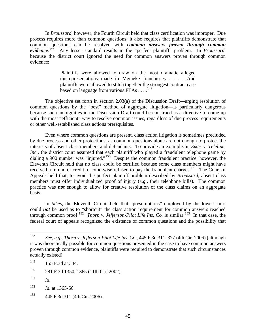In *Broussard*, however, the Fourth Circuit held that class certification was improper. Due process requires more than common questions; it also requires that plaintiffs demonstrate that common questions can be resolved with *common answers proven through common evidence*. [148](#page-46-0) Any lesser standard results in the "perfect plaintiff" problem. In *Broussard*, because the district court ignored the need for common answers proven through common evidence:

> Plaintiffs were allowed to draw on the most dramatic alleged misrepresentations made to Meineke franchisees . . . . And plaintiffs were allowed to stitch together the strongest contract case based on language from various  $\widetilde{\text{FT}}$ As . . . .<sup>[149](#page-46-1)</sup>

The objective set forth in section 2.03(a) of the Discussion Draft—urging resolution of common questions by the "best" method of aggregate litigation—is particularly dangerous because such ambiguities in the Discussion Draft could be construed as a directive to come up with the most "efficient" way to resolve common issues, regardless of due process requirements or other well-established class actions prerequisites.

Even where common questions are present, class action litigation is sometimes precluded by due process and other protections, as common questions alone are not enough to protect the interests of absent class members and defendants. To provide an example: in *Sikes v. Teleline, Inc.*, the district court assumed that each plaintiff who played a fraudulent telephone game by dialing a 900 number was "injured."<sup>[150](#page-46-2)</sup> Despite the common fraudulent practice, however, the Eleventh Circuit held that no class could be certified because some class members might have received a refund or credit, or otherwise refused to pay the fraudulent charges.<sup>[151](#page-46-3)</sup> The Court of Appeals held that, to avoid the perfect plaintiff problem described by *Broussard*, absent class members must offer individualized proof of injury (*e.g.*, their telephone bills). The common practice was *not* enough to allow for creative resolution of the class claims on an aggregate basis.

In *Sikes*, the Eleventh Circuit held that "presumptions" employed by the lower court could **not** be used as to "shortcut" the class action requirement for common answers reached through common proof.[152](#page-46-4) *Thorn v. Jefferson-Pilot Life Ins. Co.* is similar.[153](#page-46-5) In that case, the federal court of appeals recognized the existence of common questions and the possibility that

<span id="page-46-0"></span><sup>148</sup> 148 *See, e.g.*, *Thorn v. Jefferson-Pilot Life Ins. Co.*, 445 F.3d 311, 327 (4th Cir. 2006) (although it was theoretically possible for common questions presented in the case to have common answers proven through common evidence, plaintiffs were required to demonstrate that such circumstances actually existed).

<span id="page-46-1"></span><sup>&</sup>lt;sup>149</sup> 155 F.3d at 344.

<span id="page-46-2"></span><sup>150 281</sup> F.3d 1350, 1365 (11th Cir. 2002).

<span id="page-46-3"></span> $151$  *Id.* 

<span id="page-46-4"></span><sup>152</sup> *Id.* at 1365-66.

<span id="page-46-5"></span><sup>153 445</sup> F.3d 311 (4th Cir. 2006).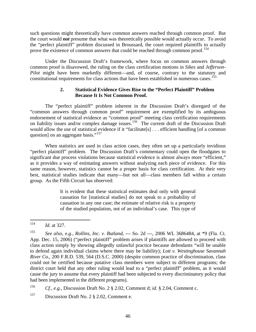such questions might theoretically have common answers reached through common proof. But the court would *not* presume that what was theoretically possible would actually occur. To avoid the "perfect plaintiff" problem discussed in Broussard, the court required plaintiffs to actually prove the existence of common answers that could be reached through common proof.<sup>[154](#page-47-0)</sup>

Under the Discussion Draft's framework, where focus on common answers through common proof is disavowed, the ruling on the class certification motions in *Sikes* and *Jefferson-Pilot* might have been markedly different—and, of course, contrary to the statutory and constitutional requirements for class actions that have been established in numerous cases.<sup>[155](#page-47-1)</sup>

### **2. Statistical Evidence Gives Rise to the "Perfect Plaintiff" Problem Because It Is Not Common Proof.**

The "perfect plaintiff" problem inherent in the Discussion Draft's disregard of the "common answers through common proof" requirement are exemplified by its ambiguous endorsement of statistical evidence as "common proof" meeting class certification requirements on liability issues and/or complex damage issues.<sup>[156](#page-47-2)</sup> The current draft of the Discussion Draft would allow the use of statistical evidence if it "facilitate[s] . . . efficient handling [of a common question] on an aggregate basis."<sup>[157](#page-47-3)</sup>

When statistics are used in class action cases, they often set up a particularly invidious "perfect plaintiff" problem. The Discussion Draft's commentary could open the floodgates to significant due process violations because statistical evidence is almost always more "efficient," as it provides a way of estimating answers without analyzing each piece of evidence. For this same reason, however, statistics cannot be a proper basis for class certification. At their very best, statistical studies indicate that many—but not all—class members fall within a certain group. As the Fifth Circuit has observed:

> It is evident that these statistical estimates deal only with general causation for [statistical studies] do not speak to a probability of causation in any one case; the estimate of relative risk is a property of the studied population, not of an individual's case. This type of

<span id="page-47-2"></span>156 *Cf., e.g.*, Discussion Draft No. 2 § 2.02, Comment d; *id.* § 2.04, Comment c.

<span id="page-47-3"></span>157 Discussion Draft No. 2 § 2.02, Comment e.

<span id="page-47-0"></span><sup>154</sup> *Id.* at 327.

<span id="page-47-1"></span><sup>155</sup> *See also, e.g.*, *Rollins, Inc. v. Butland*, --- So. 2d ---, 2006 WL 3686484, at \*9 (Fla. Ct. App. Dec. 15, 2006) ("perfect plaintiff" problem arises if plaintiffs are allowed to proceed with class action simply by showing allegedly unlawful practice because defendants "will be unable to defend again individual claims where there may be liability); *Lott v. Westinghouse Savannah River Co.*, 200 F.R.D. 539, 564 (D.S.C. 2000) (despite common practice of discrimination, class could not be certified because putative class members were subject to different programs; the district court held that any other ruling would lead to a "perfect plaintiff" problem, as it would cause the jury to assume that every plaintiff had been subjected to every discriminatory policy that had been implemented in the different programs).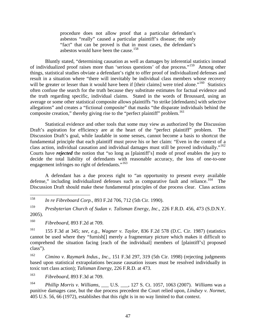procedure does not allow proof that a particular defendant's asbestos "really" caused a particular plaintiff's disease; the only "fact" that can be proved is that in most cases, the defendant's asbestos would have been the cause.<sup>[158](#page-48-0)</sup>

Bluntly stated, "determining causation as well as damages by inferential statistics instead of individualized proof raises more than 'serious questions' of due process."[159](#page-48-1) Among other things, statistical studies obviate a defendant's right to offer proof of individualized defenses and result in a situation where "there will inevitably be individual class members whose recovery will be greater or lesser than it would have been if [their claims] were tried alone."<sup>[160](#page-48-2)</sup> Statistics often confuse the search for the truth because they substitute estimates for factual evidence and the truth regarding specific, individual claims. Stated in the words of Broussard, using an average or some other statistical composite allows plaintiffs "to strike [defendants] with selective allegations" and creates a "fictional composite" that masks "the disparate individuals behind the composite creation," thereby giving rise to the "perfect plaintiff" problem.<sup>[161](#page-48-3)</sup>

Statistical evidence and other tools that some may view as authorized by the Discussion Draft's aspiration for efficiency are at the heart of the "perfect plaintiff" problem. Discussion Draft's goal, while laudable in some senses, cannot become a basis to shortcut the fundamental principle that each plaintiff must prove his or her claim: "Even in the context of a class action, individual causation and individual damages must still be proved individually."<sup>162</sup> Courts have *rejected* the notion that "so long as [plaintiff's] mode of proof enables the jury to decide the total liability of defendants with reasonable accuracy, the loss of one-to-one engagement infringes no right of defendants."<sup>[163](#page-48-5)</sup>

A defendant has a due process right to "an opportunity to present every available defense," including individualized defenses such as comparative fault and reliance.<sup>[164](#page-48-6)</sup> The Discussion Draft should make these fundamental principles of due process clear. Class actions

<span id="page-48-0"></span>158 158 *In re Fibreboard Corp.*, 893 F.2d 706, 712 (5th Cir. 1990).

<span id="page-48-1"></span>159 *Presbyterian Church of Sudan v. Talisman Energy, Inc*., 226 F.R.D. 456, 473 (S.D.N.Y. 2005).

<span id="page-48-2"></span>160 *Fibreboard*, 893 F.2d at 709.

<span id="page-48-3"></span>161 155 F.3d at 345; *see, e.g.*, *Wagner v. Taylor*, 836 F.2d 578 (D.C. Cir. 1987) (statistics cannot be used where they "furnish[] merely a fragmentary picture which makes it difficult to comprehend the situation facing [each of the individual] members of [plaintiff's] proposed class").

<span id="page-48-4"></span>162 *Cimino v. Raymark Indus., Inc.*, 151 F.3d 297, 319 (5th Cir. 1998) (rejecting judgments based upon statistical extrapolations because causation issues must be resolved individually in toxic tort class action); *Talisman Energy*, 226 F.R.D. at 473.

<span id="page-48-5"></span>163 *Fibreboard*, 893 F.3d at 709.

<span id="page-48-6"></span>164 *Phillip Morris v. Williams*, \_\_\_ U.S. \_\_\_, 127 S. Ct. 1057, 1063 (2007). *Williams* was a punitive damages case, but the due process precedent the Court relied upon, *Lindsey v. Normet*, 405 U.S. 56, 66 (1972), establishes that this right is in no way limited to that context.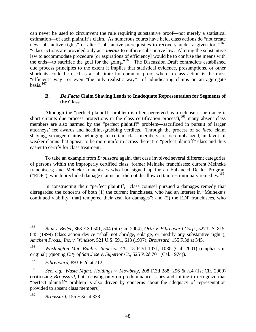can never be used to circumvent the rule requiring substantive proof—not merely a statistical estimation—of each plaintiff's claim. As numerous courts have held, class actions do "not create new substantive rights" or alter "substantive prerequisites to recovery under a given tort."<sup>165</sup> "Class actions are provided only as a *means* to enforce substantive law. Altering the substantive law to accommodate procedure [or aspirations of efficiency] would be to confuse the means with the ends—to sacrifice the goal for the going."[166](#page-49-1) The Discussion Draft contradicts established due process principles to the extent it implies that statistical evidence, presumptions, or other shortcuts could be used as a substitute for common proof where a class action is the most "efficient" way—or even "the only realistic way"—of adjudicating claims on an aggregate basis. $167$ 

### **B. De Facto Claim Shaving Leads to Inadequate Representation for Segments of the Class**

Although the "perfect plaintiff" problem is often perceived as a defense issue (since it short circuits due process protections in the class certification process),  $168$  many absent class members are also harmed by the "perfect plaintiff" problem—sacrificed in pursuit of larger attorneys' fee awards and headline-grabbing verdicts. Through the process of *de facto* claim shaving, stronger claims belonging to certain class members are de-emphasized, in favor of weaker claims that appear to be more uniform across the entire "perfect plaintiff" class and thus easier to certify for class treatment.

To take an example from *Broussard* again, that case involved several different categories of persons within the improperly certified class: former Meineke franchisees; current Meineke franchisees; and Meineke franchisees who had signed up for an Enhanced Dealer Program ("EDP"), which precluded damage claims but did not disallow certain restitutionary remedies.<sup>[169](#page-49-4)</sup>

In constructing their "perfect plaintiff," class counsel pursued a damages remedy that disregarded the concerns of both (1) the current franchisees, who had an interest in "Meineke's continued viability [that] tempered their zeal for damages"; and (2) the EDP franchisees, who

<span id="page-49-0"></span><sup>165</sup> 165 *Blaz v. Belfer*, 368 F.3d 501, 504 (5th Cir. 2004); *Ortiz v. Fibreboard Corp.*, 527 U.S. 815, 845 (1999) (class action device "shall not abridge, enlarge, or modify any substantive right"); *Amchem Prods., Inc. v. Windsor*, 521 U.S. 591, 613 (1997); *Broussard*, 155 F.3d at 345.

<span id="page-49-1"></span><sup>166</sup> *Washington Mut. Bank v. Superior Ct.*, 15 P.3d 1071, 1080 (Cal. 2001) (emphasis in original) (quoting *City of San Jose v. Superior Ct.*, 525 P.2d 701 (Cal. 1974)).

<span id="page-49-2"></span><sup>167</sup> *Fibreboard*, 893 F.2d at 712.

<span id="page-49-3"></span><sup>168</sup> *See, e.g.*, *Waste Mgmt. Holdings v. Mowbray*, 208 F.3d 288, 296 & n.4 (1st Cir. 2000) (criticizing *Broussard*, but focusing only on predominance issues and failing to recognize that "perfect plaintiff" problem is also driven by concerns about the adequacy of representation provided to absent class members).

<span id="page-49-4"></span><sup>169</sup> *Broussard*, 155 F.3d at 338.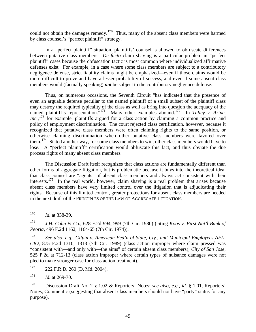could not obtain the damages remedy.<sup>[170](#page-50-0)</sup> Thus, many of the absent class members were harmed by class counsel's "perfect plaintiff" strategy.

In a "perfect plaintiff" situation, plaintiffs' counsel is allowed to obfuscate differences between putative class members. *De facto* claim shaving is a particular problem in "perfect plaintiff" cases because the obfuscation tactic is most common where individualized affirmative defenses exist. For example, in a case where some class members are subject to a contributory negligence defense, strict liability claims might be emphasized—even if those claims would be more difficult to prove and have a lesser probability of success, and even if some absent class members would (factually speaking) *not* be subject to the contributory negligence defense.

Thus, on numerous occasions, the Seventh Circuit "has indicated that the presence of even an arguable defense peculiar to the named plaintiff of a small subset of the plaintiff class may destroy the required typicality of the class as well as bring into question the adequacy of the named plaintiff's representation."<sup>[171](#page-50-1)</sup> Many other examples abound.<sup>[172](#page-50-2)</sup> In *Talley v. Arinc*, Inc.,<sup>[173](#page-50-3)</sup> for example, plaintiffs argued for a class action by claiming a common practice and policy of employment discrimination. The court rejected class certification, however, because it recognized that putative class members were often claiming rights to the same position, or otherwise claiming discrimination when other putative class members were favored over them.<sup>[174](#page-50-4)</sup> Stated another way, for some class members to win, other class members would have to lose. A "perfect plaintiff" certification would obfuscate this fact, and thus obviate the due process rights of many absent class members.

The Discussion Draft itself recognizes that class actions are fundamentally different than other forms of aggregate litigation, but is problematic because it buys into the theoretical ideal that class counsel are "agents" of absent class members and always act consistent with their interests.<sup>[175](#page-50-5)</sup> In the real world, however, claim shaving is a real problem that arises because absent class members have very limited control over the litigation that is adjudicating their rights. Because of this limited control, greater protections for absent class members are needed in the next draft of the PRINCIPLES OF THE LAW OF AGGREGATE LITIGATION.

<span id="page-50-0"></span><sup>170</sup> *Id.* at 338-39.

<span id="page-50-1"></span><sup>171</sup> *J.H. Cohn & Co.*, 628 F.2d 994, 999 (7th Cir. 1980) (citing *Koos v. First Nat'l Bank of Peoria*, 496 F.2d 1162, 1164-65 (7th Cir. 1974)).

<span id="page-50-2"></span>See also, e.g., Gilpin v. American Fed'n of State, Cty., and Municipal Employees AFL-*CIO*, 875 F.2d 1310, 1313 (7th Cir. 1989) (class action improper where claim pressed was "consistent with—and only with—the aims" of certain absent class members); *City of San Jose*, 525 P.2d at 712-13 (class action improper where certain types of nuisance damages were not pled to make stronger case for class action treatment).

<span id="page-50-3"></span><sup>173 222</sup> F.R.D. 260 (D. Md. 2004).

<span id="page-50-4"></span> $174$  *Id.* at 269-70.

<span id="page-50-5"></span><sup>175</sup> Discussion Draft No. 2 § 1.02 & Reporters' Notes; *see also, e.g.*, *id.* § 1.01, Reporters' Notes, Comment c (suggesting that absent class members should not have "party" status for any purpose).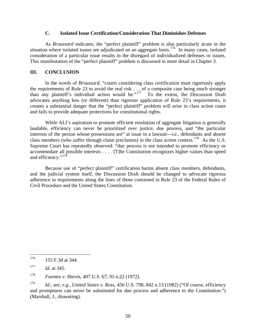#### **C. Isolated Issue Certification/Consideration That Diminishes Defenses**

As *Broussard* indicates, the "perfect plaintiff" problem is also particularly acute in the situation where isolated issues are adjudicated on an aggregate basis.<sup>[176](#page-51-0)</sup> In many cases, isolated consideration of a particular issue results in the disregard of individualized defenses or issues. This manifestation of the "perfect plaintiff" problem is discussed in more detail in Chapter 3.

### **III. CONCLUSION**

In the words of *Broussard*, "courts considering class certification must rigorously apply the requirements of Rule 23 to avoid the real risk . . . of a composite case being much stronger than any plaintiff's individual action would be."<sup>[177](#page-51-1)</sup> To the extent, the Discussion Draft advocates anything less (or different) than rigorous application of Rule 23's requirements, it creates a substantial danger that the "perfect plaintiff" problem will arise in class action cases and fails to provide adequate protections for constitutional rights.

While ALI's aspiration to promote efficient resolution of aggregate litigation is generally laudable, efficiency can never be prioritized over justice, due process, and "the particular interests of the person whose possessions are" at issue in a lawsuit—*i.e.*, defendants and absent class members (who suffer through claim preclusion) in the class action context.<sup>[178](#page-51-2)</sup> As the U.S. Supreme Court has repeatedly observed: "due process is not intended to promote efficiency or accommodate all possible interests . . . . [T]he Constitution recognizes higher values than speed and efficiency."<sup>[179](#page-51-3)</sup>

Because use of "perfect plaintiff" certification harms absent class members, defendants, and the judicial system itself, the Discussion Draft should be changed to advocate rigorous adherence to requirements along the lines of those contained in Rule 23 of the Federal Rules of Civil Procedure and the United States Constitution.

<span id="page-51-0"></span><sup>176</sup> 176 155 F.3d at 344.

<span id="page-51-1"></span><sup>177</sup> *Id.* at 345.

<span id="page-51-2"></span><sup>178</sup> *Fuentes v. Shevin*, 407 U.S. 67, 91 n.22 (1972).

<span id="page-51-3"></span><sup>179</sup> *Id.*; *see, e.g.*, *United States v. Ross*, 456 U.S. 798, 842 n.13 (1982) ("Of course, efficiency and promptness can never be substituted for due process and adherence to the Constitution.") (Marshall, J., dissenting).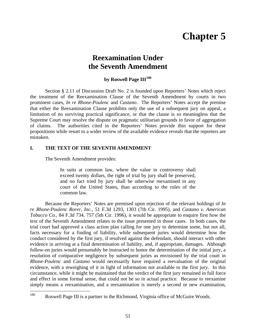# **Chapter 5**

### **Reexamination Under the Seventh Amendment**

### **by Roswell Page III[180](#page-52-0)**

Section § 2.11 of Discussion Draft No. 2 is founded upon Reporters' Notes which reject the treatment of the Reexamination Clause of the Seventh Amendment by courts in two prominent cases, *In re Rhone-Poulenc* and *Castano*. The Reporters' Notes accept the premise that either the Reexamination Clause prohibits only the use of a subsequent jury on appeal, a limitation of no surviving practical significance, or that the clause is so meaningless that the Supreme Court may resolve the dispute on pragmatic utilitarian grounds in favor of aggregation of claims. The authorities cited in the Reporters' Notes provide thin support for these propositions while resort to a wider review of the available evidence reveals that the reporters are mistaken.

### **I. THE TEXT OF THE SEVENTH AMENDMENT**

The Seventh Amendment provides:

In suits at common law, where the value in controversy shall exceed twenty dollars, the right of trial by jury shall be preserved, and no fact tried by jury shall be otherwise reexamined in any court of the United States, than according to the rules of the common law.

Because the Reporters' Notes are premised upon rejection of the relevant holdings of *In re Rhone-Poulenc Rorer, Inc.*, 51 F.3d 1293, 1303 (7th Cir. 1995), and *Castano v. American Tobacco Co.*, 84 F.3d 734, 757 (5th Cir. 1996), it would be appropriate to enquire first how the text of the Seventh Amendment relates to the issue presented in those cases. In both cases, the trial court had approved a class action plan calling for one jury to determine some, but not all, facts necessary for a finding of liability, while subsequent juries would determine how the conduct considered by the first jury, if resolved against the defendant, should interact with other evidence in arriving at a final determination of liability, and, if appropriate, damages. Although follow-on juries would presumably be instructed to honor the determination of the initial jury, a resolution of comparative negligence by subsequent juries as envisioned by the trial court in *Rhone-Poulenc* and *Castano* would necessarily have required a reevaluation of the original evidence, with a reweighing of it in light of information not available to the first jury. In this circumstance, while it might be maintained that the verdict of the first jury remained in full force and effect in some formal sense, that could not be so in actual practice. Because to reexamine simply means a reexamination, and a reexamination is merely a second or new examination,

<span id="page-52-0"></span><sup>180</sup> Roswell Page III is a partner in the Richmond, Virginia office of McGuire Woods.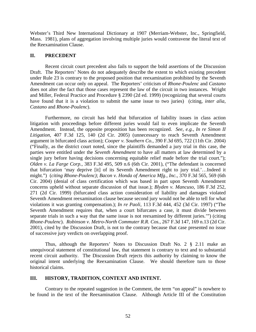Webster's Third New International Dictionary at 1907 (Merriam-Webster, Inc., Springfield, Mass. 1981), plans of aggregation involving multiple juries would contravene the literal text of the Reexamination Clause.

#### **II. PRECEDENT**

Recent circuit court precedent also fails to support the bold assertions of the Discussion Draft. The Reporters' Notes do not adequately describe the extent to which existing precedent under Rule 23 is contrary to the proposed position that reexamination prohibited by the Seventh Amendment can occur only on appeal. The Reporters' criticism of *Rhone-Poulenc* and *Castano* does not alter the fact that those cases represent the law of the circuit in two instances. Wright and Miller, Federal Practice and Procedure § 2390 (2d ed. 1999) (recognizing that several courts have found that it is a violation to submit the same issue to two juries) (citing, *inter alia*, *Castano* and *Rhone-Poulenc*).

Furthermore, no circuit has held that bifurcation of liability issues in class action litigation with proceedings before different juries would fail to even implicate the Seventh Amendment. Instead, the opposite proposition has been recognized. *See*, *e.g.*, *In re Simon II Litigation*, 407 F.3d 125, 140 (2d Cir. 2005) (unnecessary to reach Seventh Amendment argument in bifurcated class action); *Cooper v. Southern Co.*, 390 F.3d 695, 722 (11th Cir. 2004) ("Finally, as the district court noted, since the plaintiffs demanded a jury trial in this case, the parties were entitled under the *Seventh Amendment* to have all matters at law determined by a single jury before having decisions concerning equitable relief made before the trial court."); *Olden v. La Farge Corp.*, 383 F.3d 495, 509 n.6 (6th Cir. 2001), ("The defendant is concerned that bifurcation 'may deprive [it] of its Seventh Amendment right to jury trial.'…Indeed it might.") (*citing Rhone-Poulenc)*; *Bacon v. Honda of America Mfg., Inc.*, 370 F.3d 565, 569 (6th Cir. 2004) (denial of class certification which was based in part upon Seventh Amendment concerns upheld without separate discussion of that issue.); *Blyden v. Mancuso*, 186 F.3d 252, 271 (2d Cir. 1999) (bifurcated class action consideration of liability and damages violated Seventh Amendment reexamination clause because second jury would not be able to tell for what violations it was granting compensation.); *In re Paoli*, 113 F.3d 444, 452 (3d Cir. 1997) ("The Seventh Amendment requires that, when a court bifurcates a case, it must divide between separate trials in such a way that the same issue is not reexamined by different juries.'") (citing *Rhone-Poulenc*). *Robinson v. Metro-North Commuter R.R. Cos.*, 267 F.3d 147, 169 n.13 (2d Cir. 2001), cited by the Discussion Draft, is not to the contrary because that case presented no issue of successive jury verdicts on overlapping proof.

Thus, although the Reporters' Notes to Discussion Draft No. 2 § 2.11 make an unequivocal statement of constitutional law, that statement is contrary to text and to substantial recent circuit authority. The Discussion Draft rejects this authority by claiming to know the original intent underlying the Reexamination Clause. We should therefore turn to those historical claims.

#### **III. HISTORY, TRADITION, CONTEXT AND INTENT.**

Contrary to the repeated suggestion in the Comment, the term "on appeal" is nowhere to be found in the text of the Reexamination Clause. Although Article III of the Constitution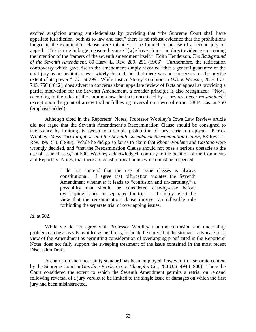excited suspicion among anti-federalists by providing that "the Supreme Court shall have appellate jurisdiction, both as to law and fact," there is no robust evidence that the prohibitions lodged in the examination clause were intended to be limited to the use of a second jury on appeal. This is true in large measure because "[w]e have almost no direct evidence concerning the intention of the framers of the seventh amendment itself." Edith Henderson, *The Background of the Seventh Amendment*, 80 Harv. L. Rev. 289, 291 (1966). Furthermore, the ratification controversy which gave rise to the amendment simply revealed "that a general guarantee of the civil jury as an institution was widely desired, but that there was no consensus on the precise extent of its power." *Id.* at 299. While Justice Storey's opinion in *U.S. v. Wonson*, 28 F. Cas. 745, 750 (1812), does advert to concerns about appellate review of facts on appeal as providing a partial motivation for the Seventh Amendment, a broader principle is also recognized: "Now, according to the rules of the common law the facts once tried by a jury *are never reexamined*," except upon the grant of a new trial or following reversal on a writ of error. 28 F. Cas. at 750 (emphasis added).

Although cited in the Reporters' Notes, Professor Woolley's Iowa Law Review article did not argue that the Seventh Amendment's Reexamination Clause should be consigned to irrelevance by limiting its sweep to a simple prohibition of jury retrial on appeal. Patrick Woolley, *Mass Tort Litigation and the Seventh Amendment Reexamination Clause*, 83 Iowa L. Rev. 499, 510 (1998). While he did go so far as to claim that *Rhone-Poulenc* and *Castano* were wrongly decided, and "that the Reexamination Clause should not pose a serious obstacle to the use of issue classes," at 500, Woolley acknowledged, contrary to the position of the Comments and Reporters' Notes, that there are constitutional limits which must be respected:

> I do not contend that the use of issue classes is always constitutional. I agree that bifurcation violates the Seventh Amendment whenever it leads to "confusion and un-certainty," a possibility that should be considered case-by-case before overlapping issues are separated for trial. … I simply reject the view that the reexamination clause imposes an inflexible rule forbidding the separate trial of overlapping issues.

*Id*. at 502.

While we do not agree with Professor Woolley that the confusion and uncertainty problem can be as easily avoided as he thinks, it should be noted that the strongest advocate for a view of the Amendment as permitting consideration of overlapping proof cited in the Reporters' Notes does not fully support the sweeping treatment of the issue contained in the most recent Discussion Draft.

A confusion and uncertainty standard has been employed, however, in a separate context by the Supreme Court in *Gasoline Prods. Co. v. Champlin Co*., 283 U.S. 494 (1930). There the Court considered the extent to which the Seventh Amendment permits a retrial on remand following reversal of a jury verdict to be limited to the single issue of damages on which the first jury had been misinstructed.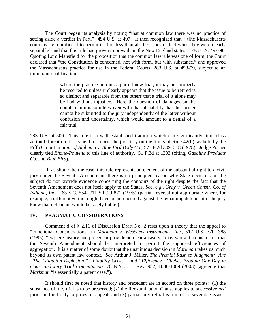The Court began its analysis by noting "that at common law there was no practice of setting aside a verdict in Part." 494 U.S. at 497. It then recognized that "[t]he Massachusetts courts early modified it to permit trial of less than all the issues of fact when they were clearly separable" and that this rule had grown to prevail "in the New England states." 283 U.S. 497-98. Quoting Lord Mansfield for the proposition that the common law rule was one of form, the Court declared that "the Constitution is concerned, not with form, but with substance," and approved the Massachusetts practice for use in the Federal Courts, 283 U.S. at 498-99, subject to an important qualification:

> where the practice permits a partial new trial, it may not properly be resorted to unless it clearly appears that the issue to be retired is so distinct and separable from the others that a trial of it alone may be had without injustice. Here the question of damages on the counterclaim is so interwoven with that of liability that the former cannot be submitted to the jury independently of the latter without confusion and uncertainty, which would amount to a denial of a fair trial.

283 U.S. at 500. This rule is a well established tradition which can significantly limit class action bifurcation if it is held to inform the judiciary on the limits of Rule 42(b), as held by the Fifth Circuit in *State of Alabama v. Blue Bird Body Co*., 573 F.2d 309, 318 (1978). Judge Posner clearly tied *Rhone-Poulenc* to this line of authority. 51 F.3d at 1303 (citing, *Gasoline Products Co.* and *Blue Bird*).

If, as should be the case, this rule represents an element of the substantial right to a civil jury under the Seventh Amendment, there is no principled reason why State decisions on the subject do not provide evidence concerning the contours of the right despite the fact that the Seventh Amendment does not itself apply to the States. *See*, *e.g*., *Gray v. Green Constr. Co. of Indiana, Inc*., 263 S.C. 554, 211 S.E.2d 871 (1975) (partial reversal not appropriate where, for example, a different verdict might have been rendered against the remaining defendant if the jury knew that defendant would be solely liable.).

### **IV. PRAGMATIC CONSIDERATIONS**

Comment d of § 2.11 of Discussion Draft No. 2 rests upon a theory that the appeal to "Functional Considerations" in *Markman v. Westview Instruments, Inc*., 517 U.S. 370, 388 (1996), "[w]here history and precedent provide no clear answers," may warrant a conclusion that the Seventh Amendment should be interpreted to permit the supposed efficiencies of aggregation. It is a matter of some doubt that the unanimous decision in *Markman* takes us much beyond its own patent law context. *See* Arthur J. Miller, *The Pretrial Rush to Judgment: Are "The Litigation Explosion," "Liability Crisis," and "Efficiency" Clichés Eroding Our Day in Court and Jury Trial Commitments,* 78 N.Y.U. L. Rev. 982, 1088-1089 (2003) (agreeing that *Markman* "is essentially a patent case.").

It should first be noted that history and precedent are in accord on three points: (1) the substance of jury trial is to be preserved; (2) the Reexamination Clause applies to successive *nisi* juries and not only to juries on appeal; and (3) partial jury retrial is limited to severable issues.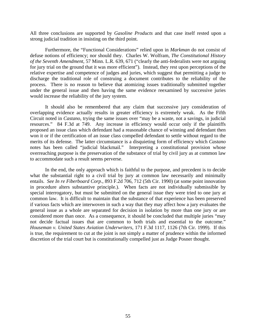All three conclusions are supported by *Gasoline Products* and that case itself rested upon a strong judicial tradition in insisting on the third point.

Furthermore, the "Functional Considerations" relied upon in *Markman* do not consist of defuse notions of efficiency; nor should they. Charles W. Wolfram, *The Constitutional History of the Seventh Amendment*, 57 Minn. L.R. 639, 671 ("clearly the anti-federalists were not arguing for jury trial on the ground that it was more efficient"). Instead, they rest upon perceptions of the relative expertise and competence of judges and juries, which suggest that permitting a judge to discharge the traditional role of construing a document contributes to the reliability of the process. There is no reason to believe that atomizing issues traditionally submitted together under the general issue and then having the same evidence reexamined by successive juries would increase the reliability of the jury system.

It should also be remembered that any claim that successive jury consideration of overlapping evidence actually results in greater efficiency is extremely weak. As the Fifth Circuit noted in *Castano*, trying the same issues over "may be a waste, not a savings, in judicial resources." 84 F.3d at 749. Any increase in efficiency would occur only if the plaintiffs proposed an issue class which defendant had a reasonable chance of winning and defendant then won it or if the certification of an issue class compelled defendant to settle without regard to the merits of its defense. The latter circumstance is a disquieting form of efficiency which *Castano* notes has been called "judicial blackmail." Interpreting a constitutional provision whose overreaching purpose is the preservation of the substance of trial by civil jury as at common law to accommodate such a result seems perverse.

In the end, the only approach which is faithful to the purpose, and precedent is to decide what the substantial right to a civil trial by jury at common law necessarily and minimally entails. *See In re Fiberboard Corp*., 893 F.2d 706, 712 (5th Cir. 1990) (at some point innovation in procedure alters substantive principle.). When facts are not individually submissible by special interrogatory, but must be submitted on the general issue they were tried to one jury at common law. It is difficult to maintain that the substance of that experience has been preserved if various facts which are interwoven in such a way that they may affect how a jury evaluates the general issue as a whole are separated for decision in isolation by more than one jury or are considered more than once. As a consequence, it should be concluded that multiple juries "may not decide factual issues that are common to both trials and essential to the outcome." *Houseman v. United States Aviation Underwriters*, 171 F.3d 1117, 1126 (7th Cir. 1999). If this is true, the requirement to cut at the joint is not simply a matter of prudence within the informed discretion of the trial court but is constitutionally compelled just as Judge Posner thought.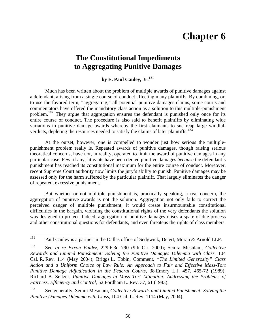# **Chapter 6**

### **The Constitutional Impediments to Aggregating Punitive Damages**

### **by E. Paul Cauley, Jr.[181](#page-57-0)**

Much has been written about the problem of multiple awards of punitive damages against a defendant, arising from a single course of conduct affecting many plaintiffs. By combining, or, to use the favored term, "aggregating," all potential punitive damages claims, some courts and commentators have offered the mandatory class action as a solution to this multiple-punishment problem.<sup>[182](#page-57-1)</sup> They argue that aggregation ensures the defendant is punished only once for its entire course of conduct. The procedure is also said to benefit plaintiffs by eliminating wide variations in punitive damage awards whereby the first claimants to sue reap large windfall verdicts, depleting the resources needed to satisfy the claims of later plaintiffs.<sup>[183](#page-57-2)</sup>

At the outset, however, one is compelled to wonder just how serious the multiplepunishment problem really is. Repeated awards of punitive damages, though raising serious theoretical concerns, have not, in reality, operated to limit the award of punitive damages in any particular case. Few, if any, litigants have been denied punitive damages *because* the defendant's punishment has reached its constitutional maximum for the entire course of conduct. Moreover, recent Supreme Court authority now limits the jury's ability to punish. Punitive damages may be assessed only for the harm suffered by the particular plaintiff. That largely eliminates the danger of repeated, excessive punishment.

But whether or not multiple punishment is, practically speaking, a real concern, the aggregation of punitive awards is not the solution. Aggregation not only fails to correct the perceived danger of multiple punishment, it would create insurmountable constitutional difficulties in the bargain, violating the constitutional rights of the very defendants the solution was designed to protect. Indeed, aggregation of punitive damages raises a spate of due process and other constitutional questions for defendants, and even threatens the rights of class members.

<span id="page-57-0"></span><sup>181</sup> Paul Cauley is a partner in the Dallas office of Sedgwick, Detert, Moran & Arnold LLP.

<span id="page-57-1"></span><sup>182</sup> See *In re Exxon Valdez*, 229 F.3d 790 (9th Cir. 2000); Semra Mesulam, *Collective Rewards and Limited Punishment: Solving the Punitive Damages Dilemma with Class*, 104 Cal. R. Rev. 114 (May 2004); Briggs L. Tobin, Comment, *"The Limited Generosity" Class Action and a Uniform Choice of Law Rule: An Approach to Fair and Effective Mass-Tort Punitive Damage Adjudication in the Federal Courts*, 38 Emory L.J. 457, 465-72 (1989); Richard B. Seltzer, *Punitive Damages in Mass Tort Litigation: Addressing the Problems of Fairness, Efficiency and Control*, 52 Fordham L. Rev. 37, 61 (1983).

<span id="page-57-2"></span><sup>183</sup> See generally, Semra Mesulam, *Collective Rewards and Limited Punishment: Solving the Punitive Damages Dilemma with Class*, 104 Cal. L. Rev*.* 1114 (May, 2004).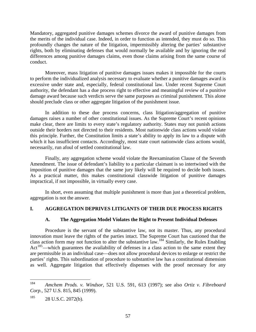Mandatory, aggregated punitive damages schemes divorce the award of punitive damages from the merits of the individual case. Indeed, in order to function as intended, they must do so. This profoundly changes the nature of the litigation, impermissibly altering the parties' substantive rights, both by eliminating defenses that would normally be available and by ignoring the real differences among punitive damages claims, even those claims arising from the same course of conduct.

Moreover, mass litigation of punitive damages issues makes it impossible for the courts to perform the individualized analysis necessary to evaluate whether a punitive damages award is excessive under state and, especially, federal constitutional law. Under recent Supreme Court authority, the defendant has a due process right to effective and meaningful review of a punitive damage award because such verdicts serve the same purposes as criminal punishment. This alone should preclude class or other aggregate litigation of the punishment issue.

In addition to these due process concerns, class litigation/aggregation of punitive damages raises a number of other constitutional issues. As the Supreme Court's recent opinions make clear, there are limits to every state's regulatory authority. States may not punish actions outside their borders not directed to their residents. Most nationwide class actions would violate this principle. Further, the Constitution limits a state's ability to apply its law to a dispute with which it has insufficient contacts. Accordingly, most state court nationwide class actions would, necessarily, run afoul of settled constitutional law.

Finally, any aggregation scheme would violate the Reexamination Clause of the Seventh Amendment. The issue of defendant's liability to a particular claimant is so intertwined with the imposition of punitive damages that the same jury likely will be required to decide both issues. As a practical matter, this makes constitutional classwide litigation of punitive damages impractical, if not impossible, in virtually every case.

In short, even assuming that multiple punishment is more than just a theoretical problem, aggregation is not the answer.

### **I. AGGREGATION DEPRIVES LITIGANTS OF THEIR DUE PROCESS RIGHTS**

### **A. The Aggregation Model Violates the Right to Present Individual Defenses**

Procedure is the servant of the substantive law, not its master. Thus, any procedural innovation must leave the rights of the parties intact. The Supreme Court has cautioned that the class action form may not function to alter the substantive law.[184](#page-58-0) Similarly, the Rules Enabling Act<sup>[185](#page-58-1)</sup>—which guarantees the availability of defenses in a class action to the same extent they are permissible in an individual case—does not allow procedural devices to enlarge or restrict the parties' rights. This subordination of procedure to substantive law has a constitutional dimension as well. Aggregate litigation that effectively dispenses with the proof necessary for any

<span id="page-58-0"></span><sup>184</sup> <sup>184</sup> *Amchem Prods. v. Windsor*, 521 U.S. 591, 613 (1997); see also *Ortiz v. Fibreboard Corp.*, 527 U.S. 815, 845 (1999).

<span id="page-58-1"></span> $185$  28 U.S.C. 2072(b).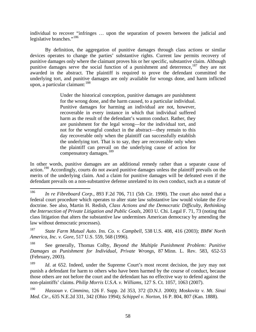individual to recover "infringes … upon the separation of powers between the judicial and legislative branches."<sup>[186](#page-59-0)</sup>

By definition, the aggregation of punitive damages through class actions or similar devices operates to change the parties' substantive rights. Current law permits recovery of punitive damages only where the claimant proves his or her specific, substantive claim. Although punitive damages serve the social function of a punishment and deterrence,  $187$  they are not awarded in the abstract. The plaintiff is required to prove the defendant committed the underlying tort, and punitive damages are only available for wrongs done, and harm inflicted upon, a particular claimant:  $188$ 

> Under the historical conception, punitive damages are punishment for the wrong done, and the harm caused, to a particular individual. Punitive damages for harming an individual are not, however, recoverable in every instance in which that individual suffered harm as the result of the defendant's wanton conduct. Rather, they are punishment for the legal wrong—for the individual tort, and not for the wrongful conduct in the abstract—they remain to this day recoverable only when the plaintiff can successfully establish the underlying tort. That is to say, they are recoverable only when the plaintiff can prevail on the underlying cause of action for compensatory damages.<sup>[189](#page-59-3)</sup>

In other words, punitive damages are an additional remedy rather than a separate cause of action.<sup>[190](#page-59-4)</sup> Accordingly, courts do not award punitive damages unless the plaintiff prevails on the merits of the underlying claim. And a claim for punitive damages will be defeated even if the defendant prevails on a non-substantive defense unrelated to its own conduct, such as a statute of

<span id="page-59-0"></span><sup>186</sup> In re Fibreboard Corp., 893 F.2d 706, 711 (5th Cir. 1990). The court also noted that a federal court procedure which operates to alter state law substantive law would violate the *Erie* doctrine. See also, Martin H. Redish, *Class Actions and the Democratic Difficulty, Rethinking the Intersection of Private Litigation and Public Goals*, 2003 U. Chi. Legal F. 71, 73 (noting that class litigation that alters the substantive law undermines American democracy by amending the law without democratic processes).

<span id="page-59-1"></span><sup>187</sup> *State Farm Mutual Auto. Ins. Co. v. Campbell*, 538 U.S. 408, 416 (2003); *BMW North America, Inc. v. Gore*, 517 U.S. 559, 568 (1996).

<span id="page-59-2"></span><sup>188</sup> See generally, Thomas Colby, *Beyond the Multiple Punishment Problem: Punitive Damages as Punishment for Individual, Private Wrongs*, 87 Minn. L. Rev. 583, 652-53 (February, 2003).

<span id="page-59-3"></span><sup>&</sup>lt;sup>189</sup> *Id.* at 652. Indeed, under the Supreme Court's most recent decision, the jury may not punish a defendant for harm to others who have been harmed by the course of conduct, because those others are not before the court and the defendant has no effective way to defend against the non-plaintiffs' claims. *Philip Morris U.S.A. v. Williams*, 127 S. Ct. 1057, 1063 (2007).

<span id="page-59-4"></span><sup>190</sup> *Hassoun v. Cimmino*, 126 F. Supp. 2d 353, 372 (D.N.J. 2000); *Moskovitz v. Mt. Sinai Med. Ctr.*, 635 N.E.2d 331, 342 (Ohio 1994); *Schippel v. Norton*, 16 P. 804, 807 (Kan. 1888).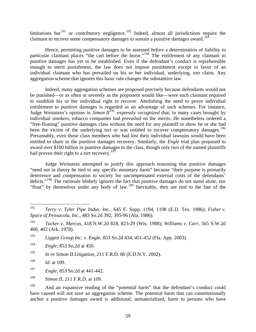limitations bar<sup>[191](#page-60-0)</sup> or contributory negligence.<sup>[192](#page-60-1)</sup> Indeed, almost all jurisdictions require the claimant to recover some compensatory damages to sustain a punitive damages award.<sup>[193](#page-60-2)</sup>

Hence, permitting punitive damages to be assessed *before* a determination of liability to particular claimant places "the cart before the horse."<sup>[194](#page-60-3)</sup> The entitlement of any claimant to punitive damages has yet to be established. Even if the defendant's conduct is reprehensible enough to merit punishment, the law does not impose punishment except in favor of an individual claimant who has prevailed on his or her individual, underlying, tort claim. Any aggregation scheme that ignores this basic rule changes the substantive law.

Indeed, many aggregation schemes are proposed precisely because defendants would not be punished—or as often or severely as the proponent would like—were each claimant required to establish his or her individual right to recover. Abolishing the need to prove individual entitlement to punitive damages is regarded as an advantage of such schemes. For instance, Judge Weinstein's opinion in *Simon II*[195](#page-60-4) expressly *recognized* that, in many cases brought by individual smokers, tobacco companies had *prevailed* on the merits. He nonetheless ordered a "free-floating" punitive damages class without the need for any plaintiff to show he or she had been the victim of the underlying tort or was entitled to recover compensatory damages.<sup>[196](#page-60-5)</sup> Presumably, even those class members who had *lost* their individual lawsuits would have been entitled to share in the punitive damages recovery. Similarly, the *Engle* trial plan proposed to award over \$100 billion in punitive damages to the class, though only two of the named plaintiffs had proven their right to a tort recovery.<sup>[197](#page-60-6)</sup>

Judge Weinstein attempted to justify this approach reasoning that punitive damages "need not in theory be tied to any specific monetary harm" because "their purpose is primarily deterrence and compensation to society for uncompensated external costs of the defendants' delicts."[198](#page-60-7) The rationale blithely ignores the fact that punitive damages do not stand alone, nor "float" by themselves under any body of law.<sup>[199](#page-60-8)</sup> Inevitably, they are tied to the fate of the

- <span id="page-60-3"></span>194 *Engle*, 853 So.2d at 450.
- <span id="page-60-4"></span>195 *In re Simon II Litigation*, 211 F.R.D. 86 (E.D.N.Y. 2002).

- <span id="page-60-6"></span>197 *Engle*, 853 So.2d at 441-442.
- <span id="page-60-7"></span>198 *Simon II*, 211 F.R.D. at 109.

<span id="page-60-0"></span><sup>191</sup> 191 *Terry v. Tyler Pipe Indus. Inc.*, 645 F. Supp. 1194, 1198 (E.D. Tex. 1986); *Fisher v. Space of Pensacola, Inc.*, 483 So.2d 392, 395-96 (Ala. 1986).

<span id="page-60-1"></span><sup>192</sup> *Tucker v. Marcus*, 418 N.W.2d 818, 823-29 (Wis. 1988); *Williams v. Carr*, 565 S.W.2d 400, 402 (Ark. 1978).

<span id="page-60-2"></span><sup>193</sup> *Liggett Group Inc. v. Engle*, 853 So.2d 434, 451-452 (Fla. App. 2003).

<span id="page-60-5"></span><sup>196</sup> *Id*. at 109.

<span id="page-60-8"></span><sup>&</sup>lt;sup>199</sup> And an expansive reading of the "potential harm" that the defendant's conduct could have caused will not save an aggregation scheme. The potential harm that can constitutionally anchor a punitive damages award is additional, unmaterialized, harm to persons who have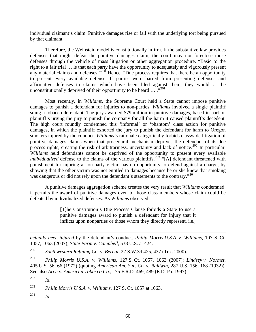individual claimant's claim. Punitive damages rise or fall with the underlying tort being pursued by that claimant.

Therefore, the Weinstein model is constitutionally infirm. If the substantive law provides defenses that might defeat the punitive damages claim, the court may not foreclose those defenses through the vehicle of mass litigation or other aggregation procedure. "Basic to the right to a fair trial … is that each party have the opportunity to adequately and vigorously present any material claims and defenses."<sup>[200](#page-61-0)</sup> Hence, "Due process requires that there be an opportunity to present every available defense. If parties were barred from presenting defenses and affirmative defenses to claims which have been filed against them, they would … be unconstitutionally deprived of their opportunity to be heard  $\dots$  ...<sup>[201](#page-61-1)</sup>

Most recently, in *Williams*, the Supreme Court held a State cannot impose punitive damages to punish a defendant for injuries to non-parties. *Williams* involved a single plaintiff suing a tobacco defendant. The jury awarded \$79 million in punitive damages, based in part on plaintiff's urging the jury to punish the company for all the harm it caused plaintiff's decedent. The high court roundly condemned this 'informal' or 'phantom' class action for punitive damages, in which the plaintiff exhorted the jury to punish the defendant for harm to Oregon smokers injured by the conduct. *Williams*'s rationale categorically forbids classwide litigation of punitive damages claims when that procedural mechanism deprives the defendant of its due process rights, creating the risk of arbitrariness, uncertainty and lack of notice.<sup>[202](#page-61-2)</sup> In particular, *Williams* held defendants cannot be deprived of the opportunity to present every available *individualized* defense to the claims of the various plaintiffs.<sup>[203](#page-61-3)</sup> "[A] defendant threatened with punishment for injuring a non-party victim has no opportunity to defend against a charge, by showing that the other victim was not entitled to damages because he or she knew that smoking was dangerous or did not rely upon the defendant's statements to the contrary."<sup>[204](#page-61-4)</sup>

A punitive damages aggregation scheme creates the very result that *Williams* condemned: it permits the award of punitive damages even to those class members whose claim could be defeated by individualized defenses. As *Williams* observed:

> [T]he Constitution's Due Process Clause forbids a State to use a punitive damages award to punish a defendant for injury that it inflicts upon nonparties or those whom they directly represent, i.e.,

<span id="page-61-1"></span>201 *Philip Morris U.S.A. v. Williams*, 127 S. Ct. 1057, 1063 (2007); *Lindsey v. Normet*, 405 U.S. 56, 66 (1972) (quoting *American Am. Sur. Co. v. Baldwin*, 287 U.S. 156, 168 (1932)). See also *Arch v. American Tobacco Co.*, 175 F.R.D. 469, 489 (E.D. Pa. 1997).

 $\overline{a}$ 

*actually been injured* by the defendant's conduct. *Philip Morris U.S.A. v. Williams*, 107 S. Ct. 1057, 1063 (2007); *State Farm v. Campbell*, 538 U.S. at 424.

<span id="page-61-0"></span><sup>200</sup> *Southwestern Refining Co. v. Bernal*, 22 S.W.3d 425, 437 (Tex. 2000).

<span id="page-61-2"></span><sup>202</sup> *Id.*

<span id="page-61-3"></span><sup>203</sup> *Philip Morris U.S.A. v. Williams*, 127 S. Ct. 1057 at 1063.

<span id="page-61-4"></span><sup>204</sup> *Id*.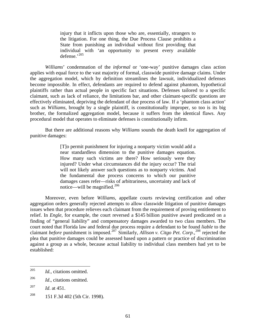injury that it inflicts upon those who are, essentially, strangers to the litigation. For one thing, the Due Process Clause prohibits a State from punishing an individual without first providing that individual with 'an opportunity to present every available defense.'[205](#page-62-0)

*Williams*' condemnation of the *informal* or 'one-way' punitive damages class action applies with equal force to the vast majority of formal, classwide punitive damage claims. Under the aggregation model, which by definition streamlines the lawsuit, individualized defenses become impossible. In effect, defendants are required to defend against phantom, hypothetical plaintiffs rather than actual people in specific fact situations. Defenses tailored to a specific claimant, such as lack of reliance, the limitations bar, and other claimant-specific questions are effectively eliminated, depriving the defendant of due process of law. If a 'phantom class action' such as *Williams*, brought by a single plaintiff, is constitutionally improper, so too is its big brother, the formalized aggregation model, because it suffers from the identical flaws. Any procedural model that operates to eliminate defenses is constitutionally infirm.

But there are additional reasons why *Williams* sounds the death knell for aggregation of punitive damages:

> [T]o permit punishment for injuring a nonparty victim would add a near standardless dimension to the punitive damages equation. How many such victims are there? How seriously were they injured? Under what circumstances did the injury occur? The trial will not likely answer such questions as to nonparty victims. And the fundamental due process concerns to which our punitive damages cases refer—risks of arbitrariness, uncertainty and lack of notice—will be magnified. $206$

Moreover, even before *Williams,* appellate courts reviewing certification and other aggregation orders generally rejected attempts to allow classwide litigation of punitive damages issues when that procedure relieves each claimant from the requirement of proving entitlement to relief. In *Engle*, for example, the court reversed a \$145 billion punitive award predicated on a finding of "general liability" and compensatory damages awarded to two class members. The court noted that Florida law and federal due process require a defendant to be found *liable* to the claimant *before* punishment is imposed.<sup>[207](#page-62-2)</sup> Similarly, *Allison v. Citgo Pet. Corp.*,<sup>[208](#page-62-3)</sup> rejected the plea that punitive damages could be assessed based upon a pattern or practice of discrimination against a group as a whole, because actual liability to individual class members had yet to be established:

<span id="page-62-0"></span><sup>205</sup> *Id.*, citations omitted.

<span id="page-62-1"></span><sup>206</sup> *Id*., citations omitted.

<span id="page-62-2"></span><sup>207</sup> *Id*. at 451.

<span id="page-62-3"></span><sup>208 151</sup> F.3d 402 (5th Cir. 1998).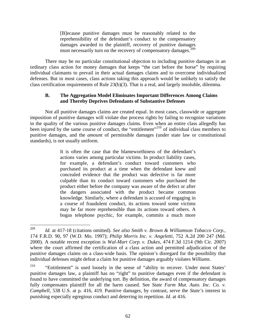[B]ecause punitive damages must be reasonably related to the reprehensibility of the defendant's conduct to the compensatory damages awarded to the plaintiff, recovery of punitive damages must necessarily turn on the recovery of compensatory damages.<sup>[209](#page-63-0)</sup>

There may be no particular constitutional objection to including punitive damages in an ordinary class action for money damages that keeps "the cart before the horse" by requiring individual claimants to prevail in their actual damages claims and to overcome individualized defenses. But in most cases, class actions taking this approach would be unlikely to satisfy the class certification requirements of Rule 23(b)(3). That is a real, and largely insoluble, dilemma.

### **B. The Aggregation Model Eliminates Important Differences Among Claims and Thereby Deprives Defendants of Substantive Defenses**

Not all punitive damages claims are created equal. In most cases, classwide or aggregate imposition of punitive damages will violate due process rights by failing to recognize variations in the quality of the various punitive damages claims. Even when an entire class allegedly has been injured by the same course of conduct, the "entitlement"<sup>[210](#page-63-1)</sup> of individual class members to punitive damages, and the *amount* of permissible damages (under state law or constitutional standards), is not usually uniform.

> It is often the case that the blameworthiness of the defendant's actions varies among particular victims. In product liability cases, for example, a defendant's conduct toward customers who purchased its product at a time when the defendant knew and concealed evidence that the product was defective is far more culpable than its conduct toward customers who purchased the product either before the company was aware of the defect or after the dangers associated with the product became common knowledge. Similarly, where a defendant is accused of engaging in a course of fraudulent conduct, its actions toward some victims may be far more reprehensible than its actions toward others. A bogus telephone psychic, for example, commits a much more

<span id="page-63-0"></span><sup>209</sup> Id. at 417-18 (citations omitted). *See also Smith v. Brown & Williamson Tobacco Corp.*, 174 F.R.D. 90, 97 (W.D. Mo. 1997); *Philip Morris Inc. v. Angeletti*, 752 A.2d 200 247 (Md. 2000). A notable recent exception is *Wal-Mart Corp. v. Dukes*, 474 F.3d 1214 (9th Cir. 2007) where the court affirmed the certification of a class action and permitted adjudication of the punitive damages claims on a class-wide basis. The opinion's disregard for the possibility that individual defenses might defeat a claim for punitive damages arguably violates *Williams*.

<span id="page-63-1"></span><sup>&</sup>lt;sup>210</sup> "Entitlement" is used loosely in the sense of "ability to recover. Under most States" punitive damages law, a plaintiff has no "right" to punitive damages even if the defendant is found to have committed the underlying tort. By definition, the award of compensatory damages fully compensates plaintiff for all the harm caused. See *State Farm Mut. Auto. Inc. Co. v. Campbell,* 538 U.S. at p. 416, 419. Punitive damages, by contrast, serve the *State's* interest in punishing especially egregious conduct and deterring its repetition. *Id*. at 416.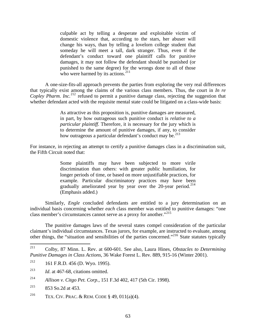culpable act by telling a desperate and exploitable victim of domestic violence that, according to the stars, her abuser will change his ways, than by telling a lovelorn college student that someday he will meet a tall, dark stranger. Thus, even if the defendant's conduct toward one plaintiff calls for punitive damages, it may not follow the defendant should be punished (or punished to the same degree) for the wrongs done to all of those who were harmed by its actions.<sup>[211](#page-64-0)</sup>

A one-size-fits-all approach prevents the parties from exploring the very real differences that typically exist among the claims of the various class members. Thus, the court in *In re Copley Pharm. Inc.*<sup>[212](#page-64-1)</sup> refused to permit a punitive damage class, rejecting the suggestion that whether defendant acted with the requisite mental state could be litigated on a class-wide basis:

> As attractive as this proposition is, punitive damages are measured, in part, by how outrageous such punitive conduct is *relative to a particular plaintiff*. Therefore, it is necessary for the jury which is to determine the amount of punitive damages, if any, to consider how outrageous a particular defendant's conduct may be.<sup>[213](#page-64-2)</sup>

For instance, in rejecting an attempt to certify a punitive damages class in a discrimination suit, the Fifth Circuit noted that:

> Some plaintiffs may have been subjected to more virile discrimination than others: with greater public humiliation, for longer periods of time, or based on more unjustifiable practices, for example. Particular discriminatory practices may have been gradually ameliorated year by year over the  $20$ -year period.<sup>[214](#page-64-3)</sup> (Emphasis added.)

Similarly, *Engle* concluded defendants are entitled to a jury determination on an individual basis concerning whether *each* class member was entitled to punitive damages: "one class member's circumstances cannot serve as a proxy for another."<sup>[215](#page-64-4)</sup>

The punitive damages laws of the several states compel consideration of the particular claimant's individual circumstances. Texas jurors, for example, are instructed to evaluate, among other things, the "situation and sensibilities of the parties concerned."[216](#page-64-5) State statutes typically

<span id="page-64-4"></span><sup>215</sup> 853 So.2d at 453.

<span id="page-64-0"></span><sup>211</sup> 211 Colby, 87 Minn. L. Rev. at 600-601. See also, Laura Hines, *Obstacles to Determining Punitive Damages in Class Actions*, 36 Wake Forest L. Rev*.* 889, 915-16 (Winter 2001).

<span id="page-64-1"></span> $^{212}$  161 F.R.D. 456 (D. Wyo. 1995).

<span id="page-64-2"></span><sup>213</sup> *Id*. at 467-68, citations omitted.

<span id="page-64-3"></span><sup>214</sup> *Allison v. Citgo Pet. Corp.*, 151 F.3d 402, 417 (5th Cir. 1998).

<span id="page-64-5"></span><sup>&</sup>lt;sup>216</sup> TEX. CIV. PRAC. & REM. CODE § 49, 011(a)(4).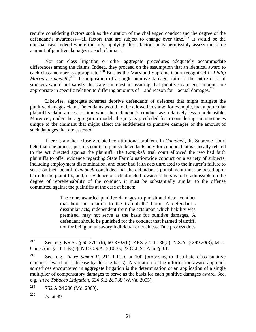require considering factors such as the duration of the challenged conduct and the degree of the defendant's awareness—all factors that are subject to change over time.<sup>[217](#page-65-0)</sup> It would be the unusual case indeed where the jury, applying these factors, may permissibly assess the same amount of punitive damages to each claimant.

Nor can class litigation or other aggregate procedures adequately accommodate differences among the claims. Indeed, they proceed on the assumption that an identical award to each class member is appropriate.<sup>[218](#page-65-1)</sup> But, as the Maryland Supreme Court recognized in *Philip* Morris v. Angeletti,<sup>[219](#page-65-2)</sup> the imposition of a single punitive damages ratio to the entire class of smokers would not satisfy the state's interest in assuring that punitive damages amounts are appropriate in specific relation to differing amounts of—and reason for—actual damages.<sup>[220](#page-65-3)</sup>

Likewise, aggregate schemes deprive defendants of defenses that might mitigate the punitive damages claim. Defendants would not be allowed to show, for example, that a particular plaintiff's claim arose at a time when the defendant's conduct was relatively less reprehensible. Moreover, under the aggregation model, the jury is precluded from considering circumstances unique to the claimant that might affect the entitlement to punitive damages or the amount of such damages that are assessed.

There is another, closely related constitutional problem. In *Campbell*, the Supreme Court held that due process permits courts to punish defendants only for conduct that is causally related to the act directed against the plaintiff. The *Campbell* trial court allowed the two bad faith plaintiffs to offer evidence regarding State Farm's nationwide conduct on a variety of subjects, including employment discrimination, and other bad faith acts unrelated to the insurer's failure to settle on their behalf. *Campbell* concluded that the defendant's punishment must be based upon harm to the plaintiffs, and, if evidence of acts directed towards others is to be admissible on the degree of reprehensibility of the conduct, it must be substantially similar to the offense committed against the plaintiffs at the case at bench:

> The court awarded punitive damages to punish and deter conduct that bore no relation to the Campbells' harm. A defendant's dissimilar acts, independent from the acts upon which liability was premised, may not serve as the basis for punitive damages. A defendant should be punished for the conduct that harmed plaintiff, not for being an unsavory individual or business. Due process does

<span id="page-65-0"></span><sup>217</sup> See, e.g. KS St. § 60-3701(b), 60-3702(b); KRS § 411.186(2); N.S.A. § 349.20(3); Miss. Code Ann. § 11-1-65(e); N.C.G.S.A. § 10-35; 23 Okl. St. Ann. § 9.1.

<span id="page-65-1"></span><sup>218</sup> See, e.g., *In re Simon II*, 211 F.R.D. at 100 (proposing to distribute class punitive damages award on a disease-by-disease basis). A variation of the information-award approach sometimes encountered in aggregate litigation is the determination of an application of a single multiplier of compensatory damages to serve as the basis for each punitive damages award. See, e.g., *In re Tobacco Litigation*, 624 S.E.2d 738 (W.Va. 2005).

<span id="page-65-2"></span><sup>219 752</sup> A.2d 200 (Md. 2000).

<span id="page-65-3"></span><sup>220</sup> *Id.* at 49.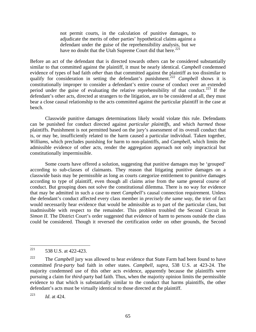not permit courts, in the calculation of punitive damages, to adjudicate the merits of other parties' hypothetical claims against a defendant under the guise of the reprehensibility analysis, but we have no doubt that the Utah Supreme Court did that here.<sup>[221](#page-66-0)</sup>

Before an act of the defendant that is directed towards others can be considered substantially similar to that committed against the plaintiff, it must be nearly identical. *Campbell* condemned evidence of types of bad faith *other* than that committed against the plaintiff as too dissimilar to qualify for consideration in setting the defendant's punishment.<sup>[222](#page-66-1)</sup> *Campbell* shows it is constitutionally improper to consider a defendant's entire course of conduct over an extended period under the guise of evaluating the relative reprehensibility of that conduct.<sup>[223](#page-66-2)</sup> If the defendant's other acts, directed at strangers to the litigation, are to be considered at all, they must bear a close causal relationship to the acts committed against the particular plaintiff in the case at bench.

Classwide punitive damages determinations likely would violate this rule. Defendants can be punished for conduct directed against *particular plaintiffs*, and which *harmed* those plaintiffs. Punishment is not permitted based on the jury's assessment of its overall conduct that is, or may be, insufficiently related to the harm caused a particular individual. Taken together, *Williams,* which precludes punishing for harm to non-plaintiffs, and *Campbell,* which limits the admissible evidence of other acts, render the aggregation approach not only impractical but constitutionally impermissible.

Some courts have offered a solution, suggesting that punitive damages may be 'grouped' according to sub-classes of claimants. They reason that litigating punitive damages on a classwide basis may be permissible as long as courts categorize entitlement to punitive damages according to type of plaintiff, even though all claims arise from the same general course of conduct. But grouping does not solve the constitutional dilemma. There is no way for evidence that may be admitted in such a case to meet *Campbell*'s causal connection requirement. Unless the defendant's conduct affected every class member in *precisely the same way*, the trier of fact would necessarily hear evidence that would be admissible as to part of the particular class, but inadmissible with respect to the remainder. This problem troubled the Second Circuit in *Simon II*. The District Court's order suggested that evidence of harm to persons outside the class could be considered. Though it reversed the certification order on other grounds, the Second

<span id="page-66-0"></span><sup>221</sup> 538 U.S. at 422-423.

<span id="page-66-1"></span><sup>&</sup>lt;sup>222</sup> The *Campbell* jury was allowed to hear evidence that State Farm had been found to have committed *first-party* bad faith in other states. *Campbell*, *supra*, 538 U.S. at 423-24. The majority condemned use of this other acts evidence, apparently because the plaintiffs were pursuing a claim for *third*-party bad faith. Thus, when the majority opinion limits the permissible evidence to that which is substantially similar to the conduct that harms plaintiffs, the other defendant's acts must be virtually identical to those directed at the plaintiff.

<span id="page-66-2"></span><sup>223</sup> *Id*. at 424.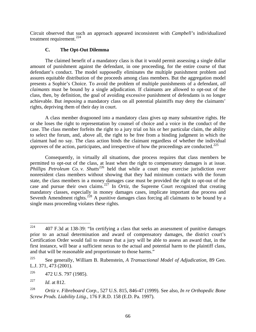Circuit observed that such an approach appeared inconsistent with *Campbell's* individualized treatment requirement. $^{224}$  $^{224}$  $^{224}$ 

### **C. The Opt-Out Dilemma**

The claimed benefit of a mandatory class is that it would permit assessing a single dollar amount of punishment against the defendant, in one proceeding, for the entire course of that defendant's conduct. The model supposedly eliminates the multiple punishment problem and assures equitable distribution of the proceeds among class members. But the aggregation model presents a Sophie's Choice. To avoid the problem of multiple punishments of a defendant, *all claimants* must be bound by a single adjudication. If claimants are allowed to opt-out of the class, then, by definition, the goal of avoiding excessive punishment of defendants is no longer achievable. But *imposing* a mandatory class on all potential plaintiffs may deny the claimants' rights, depriving them of their day in court.

A class member dragooned into a mandatory class gives up many substantive rights. He or she loses the right to representation by counsel of choice and a voice in the conduct of the case. The class member forfeits the right to a jury trial on his or her particular claim, the ability to select the forum, and, above all, the right to be free from a binding judgment in which the claimant had no say. The class action binds the claimant regardless of whether the individual approves of the action, participates, and irrespective of how the proceedings are conducted.<sup>[225](#page-67-1)</sup>

Consequently, in virtually all situations, due process requires that class members be permitted to opt-out of the class, at least when the right to compensatory damages is at issue. *Phillips Petroleum Co. v. Shutts*<sup>[226](#page-67-2)</sup> held that while a court may exercise jurisdiction over nonresident class members without showing that they had minimum contacts with the forum state, the class members in a money damages case must be provided the right to opt-out of the case and pursue their own claims.[227](#page-67-3) In *Ortiz*, the Supreme Court recognized that creating mandatory classes, especially in money damages cases, implicate important due process and Seventh Amendment rights.<sup>[228](#page-67-4)</sup> A punitive damages class forcing all claimants to be bound by a single mass proceeding violates these rights.

<span id="page-67-0"></span><sup>224</sup> 224 407 F.3d at 138-39: "In certifying a class that seeks an assessment of punitive damages prior to an actual determination and award of compensatory damages, the district court's Certification Order would fail to ensure that a jury will be able to assess an award that, in the first instance, will bear a sufficient nexus to the actual and potential harm to the plaintiff class, and that will be reasonable and proportionate to those harms."

<span id="page-67-1"></span><sup>225</sup> See generally, William B. Rubenstein, *A Transactional Model of Adjudication*, 89 Geo. L.J. 371, 473 (2001).

<span id="page-67-2"></span> $226$  472 U.S. 797 (1985).

<span id="page-67-3"></span><sup>227</sup> *Id*. at 812.

<span id="page-67-4"></span><sup>228</sup> *Ortiz v. Fibreboard Corp.*, 527 U.S. 815, 846-47 (1999). See also, *In re Orthopedic Bone Screw Prods. Liability Litig.,* 176 F.R.D. 158 (E.D. Pa. 1997).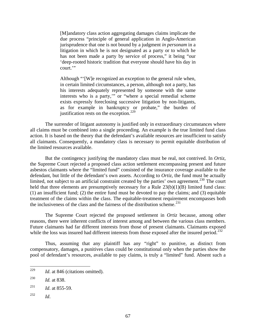[M]andatory class action aggregating damages claims implicate the due process "principle of general application in Anglo-American jurisprudence that one is not bound by a judgment *in personam* in a litigation in which he is not designated as a party or to which he has not been made a party by service of process," it being "our 'deep-rooted historic tradition that everyone should have his day in court."

Although "'[W]e recognized an exception to the general rule when, in certain limited circumstances, a person, although not a party, has his interests adequately represented by someone with the same interests who is a party,'" or "where a special remedial scheme exists expressly foreclosing successive litigation by non-litigants, as for example in bankruptcy or probate," the burden of justification rests on the exception.<sup>[229](#page-68-0)</sup>

The surrender of litigant autonomy is justified only in extraordinary circumstances where all claims must be combined into a single proceeding. An example is the true limited fund class action. It is based on the theory that the defendant's available resources are insufficient to satisfy all claimants. Consequently, a mandatory class is necessary to permit equitable distribution of the limited resources available.

But the contingency justifying the mandatory class must be real, not contrived. In *Ortiz*, the Supreme Court rejected a proposed class action settlement encompassing present and future asbestos claimants where the "limited fund" consisted of the insurance coverage available to the defendant, but little of the defendant's own assets. According to *Ortiz*, the fund must be actually limited, not subject to an artificial constraint created by the parties' own agreement.<sup>[230](#page-68-1)</sup> The court held that three elements are presumptively necessary for a Rule  $23(b)(1)(B)$  limited fund class: (1) an insufficient fund; (2) the entire fund must be devoted to pay the claims; and (3) equitable treatment of the claims within the class. The equitable-treatment requirement encompasses both the inclusiveness of the class and the fairness of the distribution scheme.<sup>[231](#page-68-2)</sup>

The Supreme Court rejected the proposed settlement in *Ortiz* because, among other reasons, there were inherent conflicts of interest among and between the various class members. Future claimants had far different interests from those of present claimants. Claimants exposed while the loss was insured had different interests from those exposed after the insured period.<sup>[232](#page-68-3)</sup>

Thus, assuming that any plaintiff has any "right" to punitive, as distinct from compensatory, damages, a punitives class could be constitutional only when the parties show the pool of defendant's resources, available to pay claims, is truly a "limited" fund. Absent such a

<span id="page-68-3"></span>232 *Id*.

<span id="page-68-0"></span><sup>229</sup> *Id.* at 846 (citations omitted).

<span id="page-68-1"></span><sup>230</sup> *Id.* at 838.

<span id="page-68-2"></span><sup>231</sup> *Id*. at 855-59.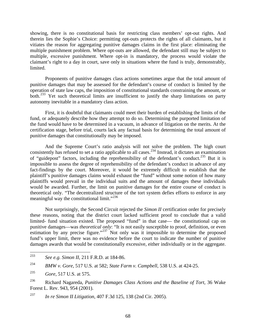showing, there is no constitutional basis for restricting class members' opt-out rights. And therein lies the Sophie's Choice: permitting opt-outs protects the rights of all claimants, but it vitiates the reason for aggregating punitive damages claims in the first place: eliminating the multiple punishment problem. Where opt-outs are allowed, the defendant still may be subject to multiple, excessive punishment. Where opt-in is mandatory, the process would violate the claimant's right to a day in court, save only in situations where the fund is truly, demonstrably, limited.

Proponents of punitive damages class actions sometimes argue that the total amount of punitive damages that may be assessed for the defendant's course of conduct is limited by the operation of state law caps, the imposition of constitutional standards constraining the amount, or both.<sup>[233](#page-69-0)</sup> Yet such theoretical limits are insufficient to justify the sharp limitations on party autonomy inevitable in a mandatory class action.

First, it is doubtful that claimants could meet their burden of establishing the limits of the fund, or adequately describe how they attempt to do so. Determining the purported limitation of the fund would have to be determined in a vacuum, in advance of litigation on the merits. At the certification stage, before trial, courts lack any factual basis for determining the total amount of punitive damages that constitutionally may be imposed.

And the Supreme Court's ratio analysis will not solve the problem. The high court consistently has refused to set a ratio applicable to all cases.<sup>[234](#page-69-1)</sup> Instead, it dictates an examination of "guidepost" factors, including the reprehensibility of the defendant's conduct.<sup>[235](#page-69-2)</sup> But it is impossible to assess the degree of reprehensibility of the defendant's conduct in advance of any fact-findings by the court. Moreover, it would be extremely difficult to establish that the plaintiff's punitive damages claims would exhaust the "fund" without some notion of how many plaintiffs would prevail in the individual suits and the amount of damages these individuals would be awarded. Further, the limit on punitive damages for the entire course of conduct is theoretical only. "The decentralized structure of the tort system defies efforts to enforce in any meaningful way the constitutional limit."<sup>[236](#page-69-3)</sup>

Not surprisingly, the Second Circuit rejected the *Simon II* certification order for precisely these reasons, noting that the district court lacked sufficient proof to conclude that a valid limited- fund situation existed. The proposed "fund" in that case— the constitutional cap on punitive damages—was *theoretical only*: "It is not easily susceptible to proof, definition, or even estimation by any precise figure."<sup>[237](#page-69-4)</sup> Not only was it impossible to determine the proposed fund's upper limit, there was no evidence before the court to indicate the number of punitive damages awards that would be constitutionally excessive, either individually or in the aggregate.

<span id="page-69-0"></span><sup>233</sup> 233 *See e.g. Simon II*, 211 F.R.D. at 184-86.

<span id="page-69-1"></span><sup>234</sup> *BMW v. Gore*, 517 U.S. at 582; *State Farm v. Campbell*, 538 U.S. at 424-25.

<span id="page-69-2"></span><sup>235</sup> *Gore*, 517 U.S. at 575.

<span id="page-69-3"></span><sup>236</sup> Richard Nagareda, *Punitive Damages Class Actions and the Baseline of Tort*, 36 Wake Forest L. Rev. 943, 954 (2001).

<span id="page-69-4"></span><sup>237</sup> *In re Simon II Litigation*, 407 F.3d 125, 138 (2nd Cir. 2005).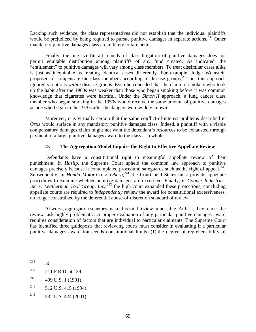Lacking such evidence, the class representatives did not establish that the individual plaintiffs would be prejudiced by being required to pursue punitive damages in separate actions.<sup>[238](#page-70-0)</sup> Other mandatory punitive damages class are unlikely to fare better.

Finally, the one-size-fits-all remedy of class litigation of punitive damages does not permit equitable distribution among plaintiffs of any fund created. As indicated, the "entitlement" to punitive damages will vary among class members. To treat dissimilar cases alike is just as inequitable as treating identical cases differently. For example, Judge Weinstein proposed to compensate the class members according to disease groups, $239$  but this approach ignored variations *within* disease groups. Even he conceded that the claim of smokers who took up the habit after the 1960s was weaker than those who began smoking before it was common knowledge that cigarettes were harmful. Under the *Simon II* approach, a lung cancer class member who began smoking in the 1950s would receive the same amount of punitive damages as one who began in the 1970s after the dangers were widely known.

Moreover, it is virtually certain that the same conflict-of-interest problems described in *Ortiz* would surface in any mandatory punitive damages class. Indeed, a plaintiff with a viable compensatory damages claim might not want the defendant's resources to be exhausted through payment of a large punitive damages award to the class as a whole.

### **D. The Aggregation Model Impairs the Right to Effective Appellate Review**

Defendants have a constitutional right to meaningful appellate review of their punishment. In *Haslip*, the Supreme Court upheld the common law approach to punitive damages precisely because it contemplated procedural safeguards such as the right of appeal.<sup>[240](#page-70-2)</sup> Subsequently, in *Honda Motor Co. v. Oberg*<sup>[241](#page-70-3)</sup>, the Court held States must provide appellate procedures to examine whether punitive damages are excessive. Finally, in *Cooper Industries,*  Inc. v. Leatherman Tool Group, Inc.,<sup>[242](#page-70-4)</sup> the high court expanded these protections, concluding appellate courts are required to *independently* review the award for constitutional excessiveness, no longer constrained by the deferential abuse-of-discretion standard of review.

At worst, aggregation schemes make this vital review impossible. At best, they render the review task highly problematic. A proper evaluation of any particular punitive damages award requires consideration of factors that are individual to particular claimants. The Supreme Court has identified three guideposts that reviewing courts must consider in evaluating if a particular punitive damages award transcends constitutional limits: (1) the degree of reprehensibility of

<span id="page-70-0"></span><sup>238</sup> *Id.* 

<span id="page-70-1"></span><sup>239 211</sup> F.R.D. at 139.

<span id="page-70-2"></span> $240$  499 U.S. 1 (1991).

<span id="page-70-3"></span> $^{241}$  512 U.S. 415 (1994).

<span id="page-70-4"></span> $^{242}$  532 U.S. 424 (2001).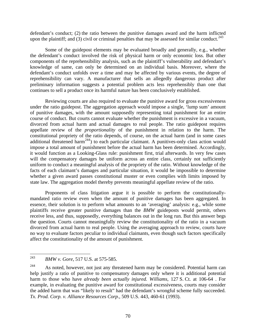defendant's conduct; (2) the ratio between the punitive damages award and the harm inflicted upon the plaintiff; and (3) civil or criminal penalties that may be assessed for similar conduct.<sup>[243](#page-71-0)</sup>

Some of the guidepost elements may be evaluated broadly and generally, e.g., whether the defendant's conduct involved the risk of physical harm or only economic loss. But other components of the reprehensibility analysis, such as the plaintiff's vulnerability and defendant's knowledge of same, can only be determined on an individual basis. Moreover, where the defendant's conduct unfolds over a time and may be affected by various events, the degree of reprehensibility can vary. A manufacturer that sells an allegedly dangerous product after preliminary information suggests a potential problem acts less reprehensibly than one that continues to sell a product once its harmful nature has been conclusively established.

Reviewing courts are also required to evaluate the punitive award for gross excessiveness under the ratio guidepost. The aggregation approach would impose a single, 'lump sum' amount of punitive damages, with the amount supposedly representing total punishment for an entire course of conduct. But courts cannot evaluate whether the punishment is excessive in a vacuum, divorced from actual harm and actual damages to real people. The ratio guidepost requires appellate review of the *proportionality* of the punishment in relation to the harm. The constitutional propriety of the ratio depends, of course, on the actual harm (and in some cases additional threatened harm<sup>[244](#page-71-1)</sup>) to each particular claimant. A punitives-only class action would impose a total amount of punishment before the actual harm has been determined. Accordingly, it would function as a Looking-Glass rule: punishment first, trial afterwards. In very few cases will the compensatory damages be uniform across an entire class, certainly not sufficiently uniform to conduct a meaningful analysis of the propriety of the ratio. Without knowledge of the facts of each claimant's damages and particular situation, it would be impossible to determine whether a given award passes constitutional muster or even complies with limits imposed by state law. The aggregation model thereby prevents meaningful appellate review of the ratio.

Proponents of class litigation argue it is possible to perform the constitutionallymandated ratio review even when the amount of punitive damages has been aggregated. In essence, their solution is to perform what amounts to an 'averaging' analysis: e.g., while some plaintiffs receive greater punitive damages than the *BMW* guideposts would permit, others receive less, and thus, supposedly, everything balances out in the long run. But this answer begs the question. Courts cannot meaningfully review the constitutionality of the ratio in a vacuum divorced from actual harm to real people. Using the averaging approach to review, courts have no way to evaluate factors peculiar to individual claimants, even though such factors specifically affect the constitutionality of the amount of punishment.

<span id="page-71-0"></span><sup>243</sup> 243 *BMW v. Gore*, 517 U.S. at 575-585.

<span id="page-71-1"></span><sup>&</sup>lt;sup>244</sup> As noted, however, not just any threatened harm may be considered. Potential harm can help justify a ratio of punitive to compensatory damages only where it is additional potential harm to those who have *already been actually injured. Williams*, 127 S. Ct. at 106-64 . For example, in evaluating the punitive award for constitutional excessiveness, courts may consider the added harm that was "likely to result" had the defendant's wrongful scheme fully succeeded. *Tx. Prod. Corp. v. Alliance Resources Corp.*, 509 U.S. 443, 460-61 (1993).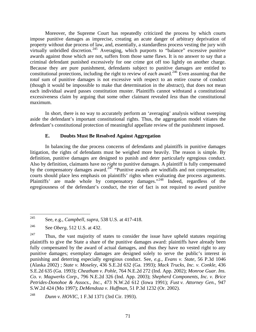Moreover, the Supreme Court has repeatedly criticized the process by which courts impose punitive damages as imprecise, creating an acute danger of arbitrary deprivation of property without due process of law, and, essentially, a standardless process vesting the jury with virtually unbridled discretion.<sup>[245](#page-72-0)</sup> Averaging, which purports to "balance" excessive punitive awards against those which are not, suffers from those same flaws. It is no answer to say that a criminal defendant punished excessively for one crime got off too lightly on another charge. Because they are pure punishment, defendants subject to punitive damages are entitled to constitutional protections, including the right to review of *each* award.<sup>[246](#page-72-1)</sup> Even assuming that the *total* sum of punitive damages is not excessive with respect to an entire course of conduct (though it would be impossible to make that determination in the abstract), that does not mean each individual award passes constitution muster. Plaintiffs cannot withstand a constitutional excessiveness claim by arguing that some other claimant revealed *less* than the constitutional maximum.

In short, there is no way to accurately perform an 'averaging' analysis without sweeping aside the defendant's important constitutional rights. Thus, the aggregation model vitiates the defendant's constitutional protection of meaningful appellate review of the punishment imposed.

# **E. Doubts Must Be Resolved Against Aggregation**

In balancing the due process concerns of defendants and plaintiffs in punitive damages litigation, the rights of defendants must be weighed more heavily. The reason is simple. By definition, punitive damages are designed to punish and deter particularly egregious conduct. Also by definition, claimants have no *right* to punitive damages. A plaintiff is fully compensated by the compensatory damages award.<sup>[247](#page-72-2)</sup> "Punitive awards are windfalls and not compensation; courts should place less emphasis on plaintiffs' rights when evaluating due process arguments. Plaintiffs' are made whole by compensatory damages."<sup>[248](#page-72-3)</sup> Indeed, regardless of the egregiousness of the defendant's conduct, the trier of fact is not required to award punitive

<span id="page-72-0"></span><sup>245</sup> 245 See, e.g., *Campbell, supra,* 538 U.S. at 417-418.

<span id="page-72-1"></span><sup>246</sup> See *Oberg*, 512 U.S. at 432.

<span id="page-72-2"></span> $247$  Thus, the vast majority of states to consider the issue have upheld statutes requiring plaintiffs to give the State a share of the punitive damages award: plaintiffs have already been fully compensated by the award of actual damages, and thus they have no vested right to any punitive damages; exemplary damages are designed solely to serve the public's interest in punishing and deterring especially egregious conduct. See, *e.g., Evans v. State*, 56 P.3d 1046 (Alaska 2002) ; *State v. Moseley*, 436 S.E.2d 632 (Ga. 1993); *Mack Trucks, Inc. v. Conkle*, 436 S.E.2d 635 (Ga. 1993); *Cheatham v. Pohle*, 764 N.E.2d 272 (Ind. App. 2002); *Monroe Guar. Ins. Co. v. Magwerks Corp*., 796 N.E.2d 326 (Ind. App. 2003); *Shepherd Components, Inc. v. Brice Petrides-Donohoe & Assocs., Inc.*, 473 N.W.2d 612 (Iowa 1991); *Fust v. Attorney Gen.*, 947 S.W.2d 424 (Mo 1997); *DeMendoza v. Huffman*, 51 P.3d 1232 (Or. 2002).

<span id="page-72-3"></span><sup>248</sup> *Dunn v. HOVIC*, 1 F.3d 1371 (3rd Cir. 1993).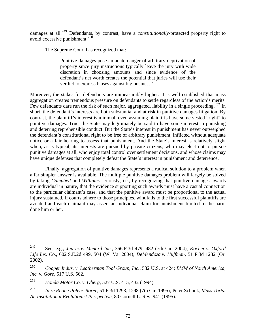damages at all.<sup>[249](#page-73-0)</sup> Defendants, by contrast, have a *constitutionally*-protected property right to avoid excessive punishment.[250](#page-73-1)

The Supreme Court has recognized that:

Punitive damages pose an acute danger of arbitrary deprivation of property since jury instructions typically leave the jury with wide discretion in choosing amounts and since evidence of the defendant's net worth creates the potential that juries will use their verdict to express biases against big business. $^{251}$  $^{251}$  $^{251}$ 

Moreover, the stakes for defendants are immeasurably higher. It is well established that mass aggregation creates tremendous pressure on defendants to settle regardless of the action's merits. Few defendants dare run the risk of such major, aggregated, liability in a single proceeding.<sup>[252](#page-73-3)</sup> In short, the defendant's interests are both substantial and at risk in punitive damages litigation. By contrast, the plaintiff's interest is minimal, even assuming plaintiffs have some vested "right" to punitive damages. True, the State may legitimately be said to have some interest in punishing and deterring reprehensible conduct. But the State's interest in punishment has never outweighed the defendant's constitutional right to be free of arbitrary punishment, inflicted without adequate notice or a fair hearing to assess that punishment. And the State's interest is relatively slight when, as is typical, its interests are pursued by private citizens, who may elect not to pursue punitive damages at all, who enjoy total control over settlement decisions, and whose claims may have unique defenses that completely defeat the State's interest in punishment and deterrence.

Finally, aggregation of punitive damages represents a radical solution to a problem when a far simpler answer is available. The multiple punitive damages problem will largely be solved by taking *Campbell* and *Williams* seriously, i.e., by recognizing that punitive damages awards are individual in nature, that the evidence supporting such awards must have a casual connection to the particular claimant's case, and that the punitive award must be proportional to the actual injury sustained. If courts adhere to those principles, windfalls to the first successful plaintiffs are avoided and each claimant may assert an individual claim for punishment limited to the harm done him or her.

<span id="page-73-0"></span><sup>249</sup> 249 See, e.g., *Juarez v. Menard Inc.*, 366 F.3d 479, 482 (7th Cir. 2004); *Kocher v. Oxford Life Ins. Co.*, 602 S.E.2d 499, 504 (W. Va. 2004); *DeMendoza v. Huffman*, 51 P.3d 1232 (Or. 2002).

<span id="page-73-1"></span><sup>250</sup> *Cooper Indus. v. Leatherman Tool Group, Inc.*, 532 U.S. at 424; *BMW of North America, Inc. v. Gore*, 517 U.S. 562.

<span id="page-73-2"></span><sup>251</sup> *Honda Motor Co. v. Oberg*, 527 U.S. 415, 432 (1994).

<span id="page-73-3"></span><sup>252</sup> *In re Rhone Polenc Rorer*, 51 F.3d 1293, 1298 (7th Cir. 1995); Peter Schunk, *Mass Torts: An Institutional Evolutionist Perspective*, 80 Cornell L. Rev*.* 941 (1995).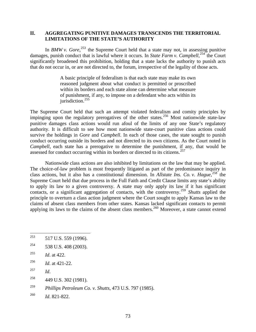### **II. AGGREGATING PUNITIVE DAMAGES TRANSCENDS THE TERRITORIAL LIMITATIONS OF THE STATE'S AUTHORITY**

In *BMW v. Gore*,<sup>[253](#page-74-0)</sup> the Supreme Court held that a state may not, in assessing punitive damages, punish conduct that is lawful where it occurs. In *State Farm v. Campbell*,<sup>[254](#page-74-1)</sup> the Court significantly broadened this prohibition, holding that a state lacks the authority to punish acts that do not occur in, or are not directed to, the forum, irrespective of the legality of those acts.

> A basic principle of federalism is that each state may make its own reasoned judgment about what conduct is permitted or proscribed within its borders and each state alone can determine what measure of punishment, if any, to impose on a defendant who acts within its jurisdiction.<sup>[255](#page-74-2)</sup>

The Supreme Court held that such an attempt violated federalism and comity principles by impinging upon the regulatory prerogatives of the other states.<sup>[256](#page-74-3)</sup> Most nationwide state-law punitive damages class actions would run afoul of the limits of any one State's regulatory authority. It is difficult to see how most nationwide state-court punitive class actions could survive the holdings in *Gore* and *Campbell*. In each of those cases, the state sought to punish conduct occurring outside its borders and not directed to its own citizens. As the Court noted in *Campbell*, each state has a prerogative to determine the punishment, if any, that would be assessed for conduct occurring within its borders or directed to its citizens.<sup>[257](#page-74-4)</sup>

Nationwide class actions are also inhibited by limitations on the law that may be applied. The choice-of-law problem is most frequently litigated as part of the predominance inquiry in class actions, but it also has a constitutional dimension. In *Allstate Ins. Co. v. Hague*,<sup>[258](#page-74-5)</sup> the Supreme Court held that due process in the Full Faith and Credit Clause limits any state's ability to apply its law to a given controversy. A state may only apply its law if it has significant contacts, or a significant aggregation of contacts, with the controversy.[259](#page-74-6) *Shutts* applied the principle to overturn a class action judgment where the Court sought to apply Kansas law to the claims of absent class members from other states. Kansas lacked significant contacts to permit applying its laws to the claims of the absent class members.<sup>[260](#page-74-7)</sup> Moreover, a state cannot extend

- <span id="page-74-0"></span>253 517 U.S. 559 (1996).
- <span id="page-74-1"></span> $254$  538 U.S. 408 (2003).
- <span id="page-74-2"></span>255 *Id*. at 422.
- <span id="page-74-3"></span>256 *Id*. at 421-22.
- <span id="page-74-4"></span>257 *Id*.
- <span id="page-74-5"></span> $^{258}$  449 U.S. 302 (1981).
- <span id="page-74-6"></span>259 *Phillips Petroleum Co. v. Shutts*, 473 U.S. 797 (1985).

<span id="page-74-7"></span>260 *Id*. 821-822.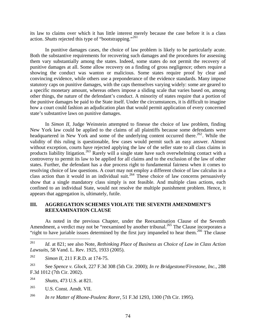its law to claims over which it has little interest merely because the case before it is a class action. *Shutts* rejected this type of "bootstrapping."[261](#page-75-0)

In punitive damages cases, the choice of law problem is likely to be particularly acute. Both the substantive requirements for recovering such damages and the procedures for assessing them vary substantially among the states. Indeed, some states do not permit the recovery of punitive damages at all. Some allow recovery on a finding of gross negligence; others require a showing the conduct was wanton or malicious. Some states require proof by clear and convincing evidence, while others use a preponderance of the evidence standards. Many impose statutory caps on punitive damages, with the caps themselves varying widely: some are geared to a specific monetary amount, whereas others impose a sliding scale that varies based on, among other things, the nature of the defendant's conduct. A minority of states require that a portion of the punitive damages be paid to the State itself. Under the circumstances, it is difficult to imagine how a court could fashion an adjudication plan that would permit application of every concerned state's substantive laws on punitive damages.

In *Simon II*, Judge Weinstein attempted to finesse the choice of law problem, finding New York law could be applied to the claims of all plaintiffs because some defendants were headquartered in New York and some of the underlying content occurred there.<sup>[262](#page-75-1)</sup>. While the validity of this ruling is questionable, few cases would permit such an easy answer. Almost without exception, courts have rejected applying the law of the seller state to all class claims in products liability litigation.<sup>[263](#page-75-2)</sup> Rarely will a single state have such overwhelming contact with a controversy to permit its law to be applied for all claims and to the exclusion of the law of other states. Further, the defendant has a due process right to fundamental fairness when it comes to resolving choice of law questions. A court may not employ a different choice of law calculus in a class action than it would in an individual suit.<sup>[264](#page-75-3)</sup> These choice of law concerns persuasively show that a single mandatory class simply is not feasible. And multiple class actions, each confined to an individual State, would not resolve the multiple punishment problem. Hence, it appears that aggregation is, ultimately, futile.

#### **III. AGGREGATION SCHEMES VIOLATE THE SEVENTH AMENDMENT'S REEXAMINATION CLAUSE**

As noted in the previous Chapter, under the Reexamination Clause of the Seventh Amendment, a verdict may not be "reexamined by another tribunal.<sup>[265](#page-75-4)</sup> The Clause incorporates a "right to have juriable issues determined by the first jury impaneled to hear them.<sup>[266](#page-75-5)</sup> The clause

<span id="page-75-0"></span><sup>261</sup> Id. at 821; see also Note, *Rethinking Place of Business as Choice of Law in Class Action Lawsuits*, 58 Vand. L. Rev. 1925, 1933 (2005).

<span id="page-75-1"></span><sup>262</sup> *Simon II*, 211 F.R.D. at 174-75.

<span id="page-75-2"></span><sup>263</sup> See *Spence v. Glock*, 227 F.3d 308 (5th Cir. 2000); *In re Bridgestone/Firestone, Inc.*, 288 F.3d 1012 (7th Cir. 2002).

<span id="page-75-3"></span><sup>264</sup> *Shutts*, 473 U.S. at 821.

<span id="page-75-4"></span><sup>265</sup> U.S. Const. Amdt. VII.

<span id="page-75-5"></span><sup>266</sup> *In re Matter of Rhone-Poulenc Rorer*, 51 F.3d 1293, 1300 (7th Cir. 1995).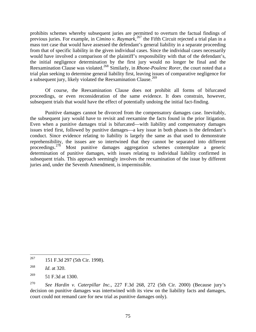prohibits schemes whereby subsequent juries are permitted to overturn the factual findings of previous juries. For example, in C*imino v. Raymark*, [267](#page-76-0) the Fifth Circuit rejected a trial plan in a mass tort case that would have assessed the defendant's general liability in a separate proceeding from that of specific liability in the given individual cases. Since the individual cases necessarily would have involved a comparison of the plaintiff's responsibility with that of the defendant's, the initial negligence determination by the first jury would no longer be final and the Reexamination Clause was violated.[268](#page-76-1) Similarly, in *Rhone-Poulenc Rorer*, the court noted that a trial plan seeking to determine general liability first, leaving issues of comparative negligence for a subsequent jury, likely violated the Reexamination Clause.<sup>[269](#page-76-2)</sup>

Of course, the Reexamination Clause does not prohibit all forms of bifurcated proceedings, or even reconsideration of the same evidence. It does constrain, however, subsequent trials that would have the effect of potentially undoing the initial fact-finding.

Punitive damages cannot be divorced from the compensatory damages case. Inevitably, the subsequent jury would have to revisit and reexamine the facts found in the prior litigation. Even when a punitive damages trial is bifurcated—with liability and compensatory damages issues tried first, followed by punitive damages—a key issue in both phases is the defendant's conduct. Since evidence relating to liability is largely the same as that used to demonstrate reprehensibility, the issues are so intertwined that they cannot be separated into different proceedings.[270](#page-76-3) Most punitive damages aggregation schemes contemplate a generic determination of punitive damages, with issues relating to individual liability confirmed in subsequent trials. This approach seemingly involves the reexamination of the issue by different juries and, under the Seventh Amendment, is impermissible.

<span id="page-76-0"></span><sup>267</sup> 267 151 F.3d 297 (5th Cir. 1998).

<span id="page-76-1"></span><sup>268</sup> *Id*. at 320.

<span id="page-76-2"></span><sup>269 51</sup> F.3d at 1300.

<span id="page-76-3"></span><sup>270</sup> *See Hardin v. Caterpillar Inc.,* 227 F.3d 268, 272 (5th Cir. 2000) (Because jury's decision on punitive damages was intertwined with its view on the liability facts and damages, court could not remand care for new trial as punitive damages only).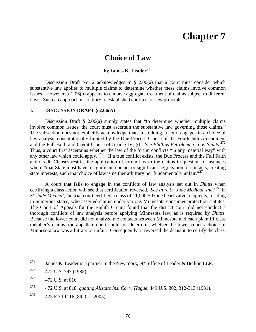# **Chapter 7**

# **Choice of Law**

# **by James K. Leader[271](#page-77-0)**

Discussion Draft No. 2 acknowledges in § 2.06(a) that a court must consider which substantive law applies to multiple claims to determine whether these claims involve common issues. However, § 2.06(b) appears to endorse aggregate treatment of claims subject to different laws. Such an approach is contrary to established conflicts of law principles.

#### **I. DISCUSSION DRAFT § 2.06(A)**

Discussion Draft § 2.06(a) simply states that "to determine whether multiple claims involve common issues, the court must ascertain the substantive law governing those claims." The subsection does not explicitly acknowledge that, in so doing, a court engages in a choice of law analysis constitutionally limited by the Due Process Clause of the Fourteenth Amendment and the Full Faith and Credit Clause of Article IV, §1. *See Phillips Petroleum Co. v. Shutts*. [272](#page-77-1)  Thus, a court first ascertains whether the law of the forum conflicts "in any material way" with any other law which could apply.<sup>[273](#page-77-2)</sup> If a true conflict exists, the Due Process and the Full Faith and Credit Clauses restrict the application of forum law to the claims in question to instances where "that State must have a significant contact or significant aggregation of contacts, creating state interests, such that choice of law is neither arbitrary nor fundamentally unfair."<sup>[274](#page-77-3)</sup>

A court that fails to engage in the conflicts of law analysis set out in *Shutts* when certifying a class action will see that certification reversed. *See In re St. Jude Medical, Inc.*[275](#page-77-4) In *St. Jude Medical*, the trial court certified a class of 11,000 Silzone heart valve recipients, residing in numerous states, who asserted claims under various Minnesota consumer protection statutes. The Court of Appeals for the Eighth Circuit found that the district court did not conduct a thorough conflicts of law analysis before applying Minnesota law, as is required by *Shutts*. Because the lower court did not analyze the contacts between Minnesota and each plaintiff class member's claims, the appellate court could not determine whether the lower court's choice of Minnesota law was arbitrary or unfair. Consequently, it reversed the decision to certify the class,

<span id="page-77-0"></span><sup>271</sup> James K. Leader is a partner in the New York, NY office of Leader & Berkon LLP.

<span id="page-77-1"></span> $^{272}$  472 U.S. 797 (1985).

<span id="page-77-2"></span> $^{273}$  472 U.S. at 816.

<span id="page-77-3"></span><sup>274 472</sup> U.S. at 818, *quoting Allstate Ins. Co. v. Hague*, 449 U.S. 302, 312-313 (1981).

<span id="page-77-4"></span><sup>275 425</sup> F.3d 1116 (8th Cir. 2005).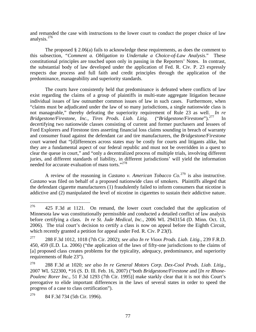and remanded the case with instructions to the lower court to conduct the proper choice of law analysis.[276](#page-78-0)

The proposed § 2.06(a) fails to acknowledge these requirements, as does the comment to this subsection, *"Comment a. Obligation to Undertake a Choice-of-Law Analysis*." These constitutional principles are touched upon only in passing in the Reporters' Notes. In contrast, the substantial body of law developed under the application of Fed. R. Civ. P. 23 expressly respects due process and full faith and credit principles through the application of the predominance, manageability and superiority standards.

The courts have consistently held that predominance is defeated where conflicts of law exist regarding the claims of a group of plaintiffs in multi-state aggregate litigation because individual issues of law outnumber common issues of law in such cases. Furthermore, when "claims must be adjudicated under the law of so many jurisdictions, a single nationwide class is not manageable," thereby defeating the superiority requirement of Rule 23 as well. *In re Bridgestone/Firestone, Inc., Tires Prods. Liab. Litig.* ("*Bridgestone/Firestone*").[277](#page-78-1) In decertifying two nationwide classes consisting of current and former purchasers and lessees of Ford Explorers and Firestone tires asserting financial loss claims sounding in breach of warranty and consumer fraud against the defendant car and tire manufacturers, the *Bridgestone/Firestone* court warned that "[d]ifferences across states may be costly for courts and litigants alike, but they are a fundamental aspect of our federal republic and must not be overridden in a quest to clear the queue in court," and "only a decentralized process of multiple trials, involving different juries, and different standards of liability, in different jurisdictions' will yield the information needed for accurate evaluation of mass torts."[278](#page-78-2)

A review of the reasoning in *Castano v. American Tobacco Co.*[279](#page-78-3) is also instructive. *Castano* was filed on behalf of a proposed nationwide class of smokers. Plaintiffs alleged that the defendant cigarette manufacturers (1) fraudulently failed to inform consumers that nicotine is addictive and (2) manipulated the level of nicotine in cigarettes to sustain their addictive nature.

<span id="page-78-0"></span><sup>276</sup> 276 425 F.3d at 1121. On remand, the lower court concluded that the application of Minnesota law was constitutionally permissible and conducted a detailed conflict of law analysis before certifying a class. *In re St. Jude Medical, Inc.*, 2006 WL 2943154 (D. Minn. Oct. 13, 2006). The trial court's decision to certify a class is now on appeal before the Eighth Circuit, which recently granted a petition for appeal under Fed. R. Civ. P 23(f).

<span id="page-78-1"></span><sup>277 288</sup> F.3d 1012, 1018 (7th Cir. 2002); *see also In re Vioxx Prods. Liab. Litig.*, 239 F.R.D. 450, 459 (E.D. La. 2006) ("the application of the laws of fifty-one jurisdictions to the claims of [a] proposed class creates problems for the typicality, adequacy, predominance, and superiority requirements of Rule 23").

<span id="page-78-2"></span><sup>278 288</sup> F.3d at 1020; *see also In re General Motors Corp. Dex-Cool Prods. Liab. Litig.*, 2007 WL 522300, \*16 (S. D. Ill. Feb. 16, 2007) ("both *Bridgestone/Firestone* and [*In re Rhone-Poulenc Rorer Inc.*, 51 F.3d 1293 (7th Cir. 1995)] make starkly clear that it is not this Court's prerogative to elide important differences in the laws of several states in order to speed the progress of a case to class certification").

<span id="page-78-3"></span><sup>279 84</sup> F.3d 734 (5th Cir. 1996).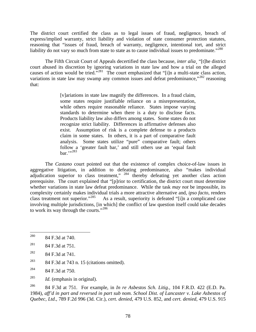The district court certified the class as to legal issues of fraud, negligence, breach of express/implied warranty, strict liability and violation of state consumer protection statutes, reasoning that "issues of fraud, breach of warranty, negligence, intentional tort, and strict liability do not vary so much from state to state as to cause individual issues to predominate."<sup>[280](#page-79-0)</sup>

The Fifth Circuit Court of Appeals decertified the class because, *inter alia*¸ "[t]he district court abused its discretion by ignoring variations in state law and how a trial on the alleged causes of action would be tried."[281](#page-79-1) The court emphasized that "[i]n a multi-state class action, variations in state law may swamp any common issues and defeat predominance,"<sup>[282](#page-79-2)</sup> reasoning that:

> [v]ariations in state law magnify the differences. In a fraud claim, some states require justifiable reliance on a misrepresentation, while others require reasonable reliance. States impose varying standards to determine when there is a duty to disclose facts. Products liability law also differs among states. Some states do not recognize strict liability. Differences in affirmative defenses also exist. Assumption of risk is a complete defense to a products claim in some states. In others, it is a part of comparative fault analysis. Some states utilize "pure" comparative fault; others follow a 'greater fault bar,' and still others use an 'equal fault  $bar$ .".[283](#page-79-3)

The *Castano* court pointed out that the existence of complex choice-of-law issues in aggregative litigation, in addition to defeating predominance, also "makes individual adjudication superior to class treatment,"  $284$  thereby defeating yet another class action prerequisite. The court explained that "[p]rior to certification, the district court must determine whether variations in state law defeat predominance. While the task *may not* be impossible, its complexity certainly makes individual trials a more attractive alternative and, *ipso facto*, renders class treatment not superior."<sup>[285](#page-79-5)</sup> As a result, superiority is defeated "[i]n a complicated case involving multiple jurisdictions, [in which] the conflict of law question itself could take decades to work its way through the courts."<sup>[286](#page-79-6)</sup>

<span id="page-79-6"></span>286 84 F.3d at 751. For example, in *In re Asbestos Sch. Litig.*, 104 F.R.D. 422 (E.D. Pa. 1984), *aff'd in part and reversed in part sub nom. School Dist. of Lancaster v. Lake Asbestos of Quebec, Ltd*., 789 F.2d 996 (3d. Cir.), *cert. denied*, 479 U.S. 852, and *cert. denied*, 479 U.S. 915

<span id="page-79-0"></span><sup>280</sup> 84 F.3d at 740.

<span id="page-79-1"></span><sup>&</sup>lt;sup>281</sup> 84 F.3d at 751.

<span id="page-79-2"></span><sup>&</sup>lt;sup>282</sup> 84 F.3d at 741.

<span id="page-79-3"></span><sup>&</sup>lt;sup>283</sup> 84 F.3d at 743 n. 15 (citations omitted).

<span id="page-79-4"></span><sup>&</sup>lt;sup>284</sup> 84 F.3d at 750.

<span id="page-79-5"></span><sup>285</sup> *Id.* (emphasis in original).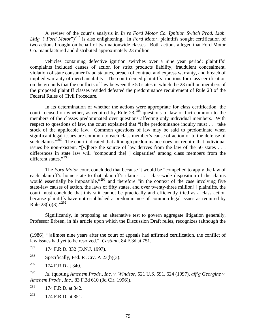A review of the court's analysis in *In re Ford Motor Co. Ignition Switch Prod. Liab. Litig.* ("*Ford Motor*")<sup>[287](#page-80-0)</sup> is also enlightening. In *Ford Motor*, plaintiffs sought certification of two actions brought on behalf of two nationwide classes. Both actions alleged that Ford Motor Co. manufactured and distributed approximately 23 million

vehicles containing defective ignition switches over a nine year period; plaintiffs' complaints included causes of action for strict products liability, fraudulent concealment, violation of state consumer fraud statutes, breach of contract and express warranty, and breach of implied warranty of merchantability. The court denied plaintiffs' motions for class certification on the grounds that the conflicts of law between the 50 states in which the 23 million members of the proposed plaintiff classes resided defeated the predominance requirement of Rule 23 of the Federal Rules of Civil Procedure.

In its determination of whether the actions were appropriate for class certification, the court focused on whether, as required by Rule 23,<sup>[288](#page-80-1)</sup> questions of law or fact common to the members of the classes predominated over questions affecting only individual members. With respect to questions of law, the court explained that "[t]he predominance inquiry must . . . take stock of the applicable law. Common questions of law may be said to predominate when significant legal issues are common to each class member's cause of action or to the defense of such claims."<sup>[289](#page-80-2)</sup> The court indicated that although predominance does not require that individual issues be non-existent, "[w]here the source of law derives from the law of the 50 states  $\dots$ differences in state law will 'compound the[ ] disparities' among class members from the different states."[290](#page-80-3)

The *Ford Motor* court concluded that because it would be "compelled to apply the law of each plaintiff's home state to that plaintiff's claims . . . class-wide disposition of the claims would essentially be impossible,"<sup>[291](#page-80-4)</sup> and therefore "in the context of the case involving five state-law causes of action, the laws of fifty states, and over twenty-three million[ ] plaintiffs, the court must conclude that this suit cannot be practically and efficiently tried as a class action because plaintiffs have not established a predominance of common legal issues as required by Rule  $23(b)(3)$ ."<sup>[292](#page-80-5)</sup>

Significantly, in proposing an alternative test to govern aggregate litigation generally, Professor Erbsen, in his article upon which the Discussion Draft relies, recognizes (although the

(1986), "[a]lmost nine years after the court of appeals had affirmed certification, the conflict of law issues had yet to be resolved." *Castano*, 84 F.3d at 751.

- <span id="page-80-0"></span> $^{287}$  174 F.R.D. 332 (D.N.J. 1997).
- <span id="page-80-1"></span><sup>288</sup> Specifically, Fed. R .Civ. P. 23(b)(3).
- <span id="page-80-2"></span>289 174 F.R.D at 340.

 $\overline{a}$ 

<span id="page-80-3"></span>290 *Id.* (quoting *Amchem Prods., Inc. v. Windsor*, 521 U.S. 591, 624 (1997), *aff'g Georgine v. Amchem Prods., Inc.,* 83 F.3d 610 (3d Cir. 1996)).

<span id="page-80-4"></span> $^{291}$  174 F.R.D. at 342.

<span id="page-80-5"></span>292 174 F.R.D. at 351.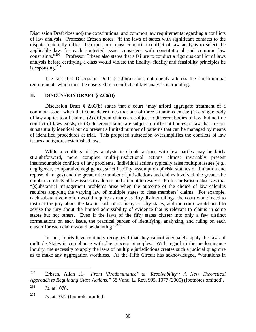Discussion Draft does not) the constitutional and common law requirements regarding a conflicts of law analysis. Professor Erbsen notes: "If the laws of states with significant contacts to the dispute materially differ, then the court must conduct a conflict of law analysis to select the applicable law for each contested issue, consistent with constitutional and common law constraints  $\frac{1293}{120}$  Professor Erbsen also states that a failure to conduct a rigorous conflict of laws Professor Erbsen also states that a failure to conduct a rigorous conflict of laws analysis before certifying a class would violate the finality, fidelity and feasibility principles he is espousing. $294$ 

The fact that Discussion Draft  $\S$  2.06(a) does not openly address the constitutional requirements which must be observed in a conflicts of law analysis is troubling.

#### **II. DISCUSSION DRAFT § 2.06(B)**

Discussion Draft § 2.06(b) states that a court "may afford aggregate treatment of a common issue" when that court determines that one of three situations exists: (1) a single body of law applies to all claims; (2) different claims are subject to different bodies of law, but no true conflict of laws exists; or (3) different claims are subject to different bodies of law that are not substantially identical but do present a limited number of patterns that can be managed by means of identified procedures at trial. This proposed subsection oversimplifies the conflicts of law issues and ignores established law.

While a conflicts of law analysis in simple actions with few parties may be fairly straightforward, more complex multi-jurisdictional actions almost invariably present insurmountable conflicts of law problems. Individual actions typically raise multiple issues (*e.g.*, negligence, comparative negligence, strict liability, assumption of risk, statutes of limitation and repose, damages) and the greater the number of jurisdictions and claims involved, the greater the number conflicts of law issues to address and attempt to resolve. Professor Erbsen observes that "[s]ubstantial management problems arise when the outcome of the choice of law calculus requires applying the varying law of multiple states to class members' claims. For example, each substantive motion would require as many as fifty distinct rulings, the court would need to instruct the jury about the law in each of as many as fifty states, and the court would need to advise the jury about the limited admissibility of evidence that is relevant to claims in some states but not others. Even if the laws of the fifty states cluster into only a few distinct formulations on each issue, the practical burden of identifying, analyzing, and ruling on each cluster for each claim would be daunting."[295](#page-81-2)

In fact, courts have routinely recognized that they cannot adequately apply the laws of multiple States in compliance with due process principles. With regard to the predominance inquiry, the necessity to apply the laws of multiple jurisdictions creates such a judicial quagmire as to make any aggregation worthless. As the Fifth Circuit has acknowledged, "variations in

<span id="page-81-0"></span><sup>293</sup> 293 Erbsen, Allan H., *"From 'Predominance' to 'Resolvability': A New Theoretical Approach to Regulating Class Actions,"* 58 Vand. L. Rev. 995, 1077 (2005) (footnotes omitted).

<span id="page-81-1"></span><sup>294</sup> *Id.* at 1078.

<span id="page-81-2"></span><sup>295</sup> *Id.* at 1077 (footnote omitted).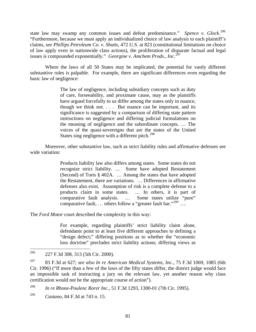state law may swamp any common issues and defeat predominance." *Spence v. Glock*. [296](#page-82-0) "Furthermore, because we must apply an individualized choice of law analysis to each plaintiff's claims, *see Phillips Petroleum Co. v. Shutts*, 472 U.S. at 823 (constitutional limitations on choice of law apply even in nationwide class actions), the proliferation of disparate factual and legal issues is compounded exponentially." *Georgine v. Amchem Prods., Inc.*[297](#page-82-1)

Where the laws of all 50 States may be implicated, the potential for vastly different substantive rules is palpable. For example, there are significant differences even regarding the basic law of negligence:

> The law of negligence, including subsidiary concepts such as duty of care, forseeability, and proximate cause, may as the plaintiffs have argued forcefully to us differ among the states only in nuance, though we think not. . . . But nuance can be important, and its significance is suggested by a comparison of differing state pattern instructions on negligence and differing judicial formulations on the meaning of negligence and the subordinate concepts. … The voices of the quasi-sovereigns that are the states of the United States sing negligence with a different pitch. $298$

Moreover, other substantive law, such as strict liability rules and affirmative defenses see wide variation:

> Products liability law also differs among states. Some states do not recognize strict liability. … Some have adopted Restatement (Second) of Torts § 402A. … Among the states that have adopted the Restatement, there are variations. … Differences in affirmative defenses also exist. Assumption of risk is a complete defense to a products claim in some states. … In others, it is part of comparative fault analysis. … Some states utilize "pure" comparative fault, ... others follow a "greater fault bar."<sup>[299](#page-82-3)</sup> ...

The *Ford Motor* court described the complexity in this way:

For example, regarding plaintiffs' strict liability claim alone, defendants point to at least five different approaches to defining a "design defect;" differing positions as to whether the "economic loss doctrine" precludes strict liability actions; differing views as

<span id="page-82-2"></span>298 *In re Rhone-Poulenc Rorer Inc.*, 51 F.3d 1293, 1300-01 (7th Cir. 1995).

<span id="page-82-0"></span><sup>296</sup> 296 227 F.3d 308, 313 (5th Cir. 2000)*.* 

<span id="page-82-1"></span><sup>297 83</sup> F.3d at 627; *see also In re American Medical Systems, Inc.*, 75 F.3d 1069, 1085 (6th Cir. 1996) ("If more than a few of the laws of the fifty states differ, the district judge would face an impossible task of instructing a jury on the relevant law, yet another reason why class certification would not be the appropriate course of action").

<span id="page-82-3"></span><sup>299</sup> *Castano*, 84 F.3d at 743 n. 15.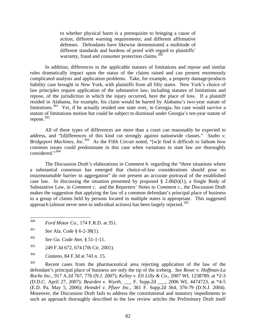to whether physical harm is a prerequisite to bringing a cause of action; different warning requirements; and different affirmative defenses. Defendants have likewise demonstrated a multitude of different standards and burdens of proof with regard to plaintiffs' warranty, fraud and consumer protection claims. $300$ 

In addition, differences in the applicable statutes of limitations and repose and similar rules dramatically impact upon the status of the claims raised and can present enormously complicated analysis and application problems. Take, for example, a property damage/products liability case brought in New York, with plaintiffs from all fifty states. New York's choice of law principles require application of the substantive law, including statutes of limitations and repose, of the jurisdiction in which the injury occurred, here the place of loss. If a plaintiff resided in Alabama, for example, his claim would be barred by Alabama's two-year statute of limitations.<sup>[301](#page-83-1)</sup> Yet, if he actually resided one state over, in Georgia, his case would survive a statute of limitations motion but could be subject to dismissal under Georgia's ten-year statute of repose. $302$ 

All of these types of differences are more than a court can reasonably be expected to address, and "[d]ifferences of this kind cut strongly against nationwide classes." *Szabo v. Bridgeport Machines, Inc.*<sup>[303](#page-83-3)</sup> As the Fifth Circuit noted, "[w]e find it difficult to fathom how common issues could predominate in this case when variations in state law are thoroughly considered."[304](#page-83-4)

The Discussion Draft's elaborations in *Comment b.* regarding the "three situations where a substantial consensus has emerged that choice-of-law considerations should pose no insurmountable barrier to aggregation" do not present an accurate portrayal of the established case law. In discussing the situation presented by proposed  $\S$  2.06(b)(1), a Single Body of Substantive Law, in *Comment c.* and the Reporters' Notes to *Comment c.*, the Discussion Draft makes the suggestion that applying the law of a common defendant's principal place of business to a group of claims held by persons located in multiple states is appropriate. This suggested approach (almost never seen in individual actions) has been largely rejected.<sup>305</sup>

- <span id="page-83-0"></span>300 300 *Ford Motor Co.,* 174 F.R.D. at 351.
- <span id="page-83-1"></span>301 *See* Ala. Code § 6-2-38(1).
- <span id="page-83-2"></span>302 *See Ga. Code Ann.* § 51-1-11.
- <span id="page-83-3"></span>303 249 F.3d 672, 674 (7th Cir. 2001).
- <span id="page-83-4"></span>304 *Castano*, 84 F.3d at 743 n. 15.

<span id="page-83-5"></span><sup>305</sup> Recent cases from the pharmaceutical area rejecting application of the law of the defendant's principal place of business are only the tip of the iceberg. *See Rowe v. Hoffman-La Roche Inc.*, 917 A.2d 767, 776 (N.J. 2007); *Kelley v. Eli Lilly & Co.*, 2007 WL 1238789, at \*2-3 (D.D.C. April 27, 2007); *Bearden v. Wyeth*, \_\_\_ F. Supp.2d \_\_\_, 2006 WL 4474723, at \*4-5 (E.D. Pa. May 5, 2006); *Heindel v. Pfizer Inc.*, 381 F. Supp.2d 364, 376-79 (D.N.J. 2004). Moreover, the Discussion Draft fails to address the constitutional and statutory impediments to such an approach thoroughly described in the law review articles the Preliminary Draft itself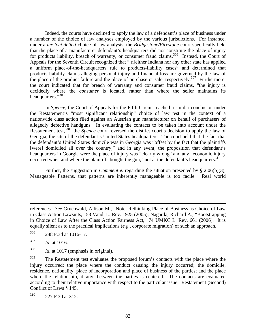Indeed, the courts have declined to apply the law of a defendant's place of business under a number of the choice of law analyses employed by the various jurisdictions. For instance, under a *lex loci delicti* choice of law analysis, the *Bridgestone/Firestone* court specifically held that the place of a manufacturer defendant's headquarters did not constitute the place of injury for products liability, breach of warranty, or consumer fraud claims.<sup>[306](#page-84-0)</sup> Instead, the Court of Appeals for the Seventh Circuit recognized that "[n]either Indiana nor any other state has applied a uniform place-of-the-headquarters rule to products-liability cases" and determined that products liability claims alleging personal injury and financial loss are governed by the law of the place of the product failure and the place of purchase or sale, respectively.<sup>[307](#page-84-1)</sup> Furthermore, the court indicated that for breach of warranty and consumer fraud claims, "the injury is decidedly where the *consumer* is located, rather than where the seller maintains its headquarters."<sup>[308](#page-84-2)</sup>

In *Spence,* the Court of Appeals for the Fifth Circuit reached a similar conclusion under the Restatement's "most significant relationship" choice of law test in the context of a nationwide class action filed against an Austrian gun manufacturer on behalf of purchasers of allegedly defective handguns. In evaluating the contacts to be taken into account under the Restatement test, <sup>[309](#page-84-3)</sup> the *Spence* court reversed the district court's decision to apply the law of Georgia, the site of the defendant's United States headquarters. The court held that the fact that the defendant's United States domicile was in Georgia was "offset by the fact that the plaintiffs [were] domiciled all over the country," and in any event, the proposition that defendant's headquarters in Georgia were the place of injury was "clearly wrong" and any "economic injury occurred when and where the plaintiffs bought the gun," not at the defendant's headquarters.<sup>[310](#page-84-4)</sup>

Further, the suggestion in *Comment e.* regarding the situation presented by § 2.06(b)(3), Manageable Patterns, that patterns are inherently manageable is too facile. Real world

1

references. *See* Gruenwald, Allison M., "Note, Rethinking Place of Business as Choice of Law in Class Action Lawsuits," 58 Vand. L. Rev. 1925 (2005); Nagarda, Richard A., "Bootstrapping in Choice of Law After the Class Action Fairness Act," 74 UMKC L. Rev. 661 (2006). It is equally silent as to the practical implications (*e.g.*, corporate migration) of such an approach.

<span id="page-84-0"></span><sup>306 288</sup> F.3d at 1016-17.

<span id="page-84-1"></span><sup>307</sup> *Id*. at 1016.

<span id="page-84-2"></span><sup>308</sup> *Id.* at 1017 (emphasis in original).

<span id="page-84-3"></span><sup>&</sup>lt;sup>309</sup> The Restatement test evaluates the proposed forum's contacts with the place where the injury occurred; the place where the conduct causing the injury occurred; the domicile, residence, nationality, place of incorporation and place of business of the parties; and the place where the relationship, if any, between the parties is centered. The contacts are evaluated according to their relative importance with respect to the particular issue. Restatement (Second) Conflict of Laws § 145.

<span id="page-84-4"></span><sup>310 227</sup> F.3d at 312.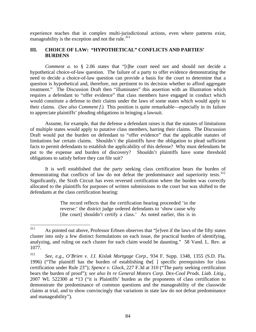experience teaches that in complex multi-jurisdictional actions, even where patterns exist, manageability is the exception and not the rule. $311$ 

# **III. CHOICE OF LAW: "HYPOTHETICAL" CONFLICTS AND PARTIES' BURDENS**

*Comment a.* to § 2.06 states that "[t]he court need not and should not decide a hypothetical choice-of-law question. The failure of a party to offer evidence demonstrating the need to decide a choice-of-law question can provide a basis for the court to determine that a question is hypothetical and, therefore, not pertinent to its decision whether to afford aggregate treatment." The Discussion Draft then "illuminates" this assertion with an Illustration which requires a defendant to "offer evidence" that class members have engaged in conduct which would constitute a defense to their claims under the laws of some states which would apply to their claims. (*See also Comment f.*) This position is quite remarkable—especially in its failure to appreciate plaintiffs' pleading obligations in bringing a lawsuit.

Assume, for example, that the defense a defendant raises is that the statutes of limitations of multiple states would apply to putative class members, barring their claims. The Discussion Draft would put the burden on defendant to "offer evidence" that the applicable statutes of limitations bar certain claims. Shouldn't the plaintiffs have the obligation to plead sufficient facts to permit defendants to establish the applicability of this defense? Why must defendants be put to the expense and burden of discovery? Shouldn't plaintiffs have some threshold obligations to satisfy before they can file suit?

It is well established that the party seeking class certification bears the burden of demonstrating that conflicts of law do not defeat the predominance and superiority tests.<sup>312</sup> Significantly, the Sixth Circuit has even reversed certification where the burden was correctly allocated to the plaintiffs for purposes of written submissions to the court but was shifted to the defendants at the class certification hearing:

> The record reflects that the certification hearing proceeded 'in the reverse:' the district judge ordered defendants to 'show cause why [the court] shouldn't certify a class.' As noted earlier, this is in

<span id="page-85-0"></span><sup>311</sup> As pointed out above, Professor Erbsen observes that "[e]ven if the laws of the fifty states cluster into only a few distinct formulations on each issue, the practical burden of identifying, analyzing, and ruling on each cluster for each claim would be daunting." 58 Vand. L. Rev. at 1077.

<span id="page-85-1"></span><sup>312</sup> *See, e.g*., *O'Brien v. J.I. Kislak Mortgage Corp.,* 934 F. Supp. 1348, 1355 (S.D. Fla. 1996) ("The plaintiff has the burden of establishing the[ ] specific prerequisites for class certification under Rule 23"); *Spence v. Glock*, 227 F.3d at 310 ("The party seeking certification bears the burden of proof"); *see also In re General Motors Corp. Dex-Cool Prods. Liab. Litig.*, 2007 WL 522300 at \*13 ("it is Plaintiffs' burden as the proponents of class certification to demonstrate the predominance of common questions and the manageability of the classwide claims at trial, and to show convincingly that variations in state law do not defeat predominance and manageability").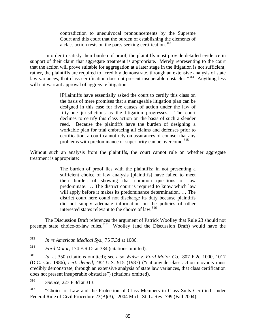contradiction to unequivocal pronouncements by the Supreme Court and this court that the burden of establishing the elements of a class action rests on the party seeking certification.<sup>[313](#page-86-0)</sup>

In order to satisfy their burden of proof, the plaintiffs must provide detailed evidence in support of their claim that aggregate treatment is appropriate. Merely representing to the court that the action will prove suitable for aggregation at a later stage in the litigation is not sufficient; rather, the plaintiffs are required to "credibly demonstrate, through an extensive analysis of state law variances, that class certification does not present insuperable obstacles."<sup>[314](#page-86-1)</sup> Anything less will not warrant approval of aggregate litigation:

> [P]laintiffs have essentially asked the court to certify this class on the basis of mere promises that a manageable litigation plan can be designed in this case for five causes of action under the law of fifty-one jurisdictions as the litigation progresses. The court declines to certify this class action on the basis of such a slender reed. Because the plaintiffs have the burden of designing a workable plan for trial embracing all claims and defenses prior to certification, a court cannot rely on assurances of counsel that any problems with predominance or superiority can be overcome.<sup>[315](#page-86-2)</sup>

Without such an analysis from the plaintiffs, the court cannot rule on whether aggregate treatment is appropriate:

> The burden of proof lies with the plaintiffs; in not presenting a sufficient choice of law analysis [plaintiffs] have failed to meet their burden of showing that common questions of law predominate. … The district court is required to know which law will apply before it makes its predominance determination. … The district court here could not discharge its duty because plaintiffs did not supply adequate information on the policies of other interested states relevant to the choice of law.<sup>[316](#page-86-3)</sup>

The Discussion Draft references the argument of Patrick Woolley that Rule 23 should not preempt state choice-of-law rules.<sup>[317](#page-86-4)</sup> Woolley (and the Discussion Draft) would have the

<span id="page-86-3"></span>316 *Spence*, 227 F.3d at 313.

<span id="page-86-4"></span><sup>317</sup> "Choice of Law and the Protection of Class Members in Class Suits Certified Under Federal Rule of Civil Procedure 23(B)(3)," 2004 Mich. St. L. Rev. 799 (Fall 2004).

<span id="page-86-0"></span><sup>313</sup> 313 *In re American Medical Sys*., 75 F.3d at 1086.

<span id="page-86-1"></span><sup>314</sup> *Ford Motor*, 174 F.R.D. at 334 (citations omitted).

<span id="page-86-2"></span><sup>315</sup> *Id.* at 350 (citations omitted); see also *Walsh v. Ford Motor Co.,* 807 F.2d 1000, 1017 (D.C. Cir. 1986), *cert. denied*, 482 U.S. 915 (1987) ("nationwide class action movants must credibly demonstrate, through an extensive analysis of state law variances, that class certification does not present insuperable obstacles") (citations omitted).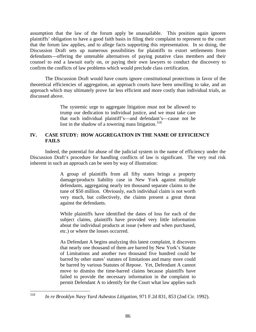assumption that the law of the forum apply be unassailable. This position again ignores plaintiffs' obligation to have a good faith basis in filing their complaint to represent to the court that the forum law applies, and to allege facts supporting this representation. In so doing, the Discussion Draft sets up numerous possibilities for plaintiffs to extort settlements from defendants—offering the untenable alternatives of paying putative class members and their counsel to end a lawsuit early on, or paying their own lawyers to conduct the discovery to confirm the conflicts of law problems which would preclude class certification.

The Discussion Draft would have courts ignore constitutional protections in favor of the theoretical efficiencies of aggregation, an approach courts have been unwilling to take, and an approach which may ultimately prove far less efficient and more costly than individual trials, as discussed above.

> The systemic urge to aggregate litigation must not be allowed to trump our dedication to individual justice, and we must take care that each individual plaintiff's—and defendant's—cause not be lost in the shadow of a towering mass litigation.<sup>[318](#page-87-0)</sup>

# **IV. CASE STUDY: HOW AGGREGATION IN THE NAME OF EFFICIENCY FAILS**

Indeed, the potential for abuse of the judicial system in the name of efficiency under the Discussion Draft's procedure for handling conflicts of law is significant. The very real risk inherent in such an approach can be seen by way of illustration:

> A group of plaintiffs from all fifty states brings a property damage/products liability case in New York against multiple defendants, aggregating nearly ten thousand separate claims to the tune of \$50 million. Obviously, each individual claim is not worth very much, but collectively, the claims present a great threat against the defendants.

> While plaintiffs have identified the dates of loss for each of the subject claims, plaintiffs have provided very little information about the individual products at issue (where and when purchased, etc.) or where the losses occurred.

> As Defendant A begins analyzing this latest complaint, it discovers that nearly one thousand of them are barred by New York's Statute of Limitations and another two thousand five hundred could be barred by other states' statutes of limitations and many more could be barred by various Statutes of Repose. Yet, Defendant A cannot move to dismiss the time-barred claims because plaintiffs have failed to provide the necessary information in the complaint to permit Defendant A to identify for the Court what law applies such

<span id="page-87-0"></span><sup>318</sup> 318 *In re Brooklyn Navy Yard Asbestos Litigation,* 971 F.2d 831, 853 (2nd Cir. 1992).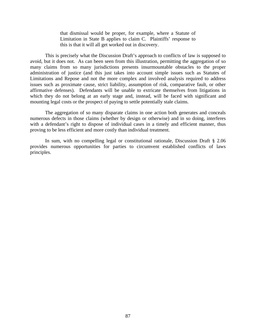that dismissal would be proper, for example, where a Statute of Limitation in State B applies to claim C. Plaintiffs' response to this is that it will all get worked out in discovery.

This is precisely what the Discussion Draft's approach to conflicts of law is supposed to avoid, but it does not. As can been seen from this illustration, permitting the aggregation of so many claims from so many jurisdictions presents insurmountable obstacles to the proper administration of justice (and this just takes into account simple issues such as Statutes of Limitations and Repose and not the more complex and involved analysis required to address issues such as proximate cause, strict liability, assumption of risk, comparative fault, or other affirmative defenses). Defendants will be unable to extricate themselves from litigations in which they do not belong at an early stage and, instead, will be faced with significant and mounting legal costs or the prospect of paying to settle potentially stale claims.

The aggregation of so many disparate claims in one action both generates and conceals numerous defects in those claims (whether by design or otherwise) and in so doing, interferes with a defendant's right to dispose of individual cases in a timely and efficient manner, thus proving to be less efficient and more costly than individual treatment.

In sum, with no compelling legal or constitutional rationale, Discussion Draft § 2.06 provides numerous opportunities for parties to circumvent established conflicts of laws principles.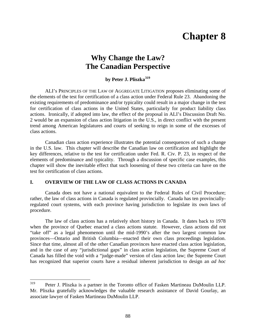# **Chapter 8**

# **Why Change the Law? The Canadian Perspective**

# **by Peter J. Pliszka[319](#page-89-0)**

ALI's PRINCIPLES OF THE LAW OF AGGREGATE LITIGATION proposes eliminating some of the elements of the test for certification of a class action under Federal Rule 23. Abandoning the existing requirements of predominance and/or typicality could result in a major change in the test for certification of class actions in the United States, particularly for product liability class actions. Ironically, if adopted into law, the effect of the proposal in ALI's Discussion Draft No. 2 would be an expansion of class action litigation in the U.S., in direct conflict with the present trend among American legislatures and courts of seeking to reign in some of the excesses of class actions.

Canadian class action experience illustrates the potential consequences of such a change in the U.S. law. This chapter will describe the Canadian law on certification and highlight the key differences, relative to the test for certification under Fed. R. Civ. P. 23, in respect of the elements of predominance and typicality. Through a discussion of specific case examples, this chapter will show the inevitable effect that such loosening of these two criteria can have on the test for certification of class actions.

### **I. OVERVIEW OF THE LAW OF CLASS ACTIONS IN CANADA**

Canada does not have a national equivalent to the Federal Rules of Civil Procedure; rather, the law of class actions in Canada is regulated provincially. Canada has ten provinciallyregulated court systems, with each province having jurisdiction to legislate its own laws of procedure.

The law of class actions has a relatively short history in Canada. It dates back to 1978 when the province of Quebec enacted a class actions statute. However, class actions did not "take off" as a legal phenomenon until the mid-1990's after the two largest common law provinces—Ontario and British Columbia—enacted their own class proceedings legislation. Since that time, almost all of the other Canadian provinces have enacted class action legislation, and in the case of any "jurisdictional gaps" in class action legislation, the Supreme Court of Canada has filled the void with a "judge-made" version of class action law; the Supreme Court has recognized that superior courts have a residual inherent jurisdiction to design an *ad hoc* 

<span id="page-89-0"></span><sup>319</sup> 319 Peter J. Pliszka is a partner in the Toronto office of Fasken Martineau DuMoulin LLP. Mr. Pliszka gratefully acknowledges the valuable research assistance of David Gourlay, an associate lawyer of Fasken Martineau DuMoulin LLP.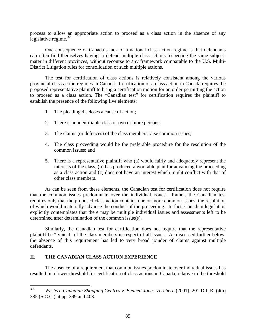process to allow an appropriate action to proceed as a class action in the absence of any legislative regime. $320$ 

One consequence of Canada's lack of a national class action regime is that defendants can often find themselves having to defend multiple class actions respecting the same subjectmater in different provinces, without recourse to any framework comparable to the U.S. Multi-District Litigation rules for consolidation of such multiple actions.

The test for certification of class actions is relatively consistent among the various provincial class action regimes in Canada. Certification of a class action in Canada requires the proposed representative plaintiff to bring a certification motion for an order permitting the action to proceed as a class action. The "Canadian test" for certification requires the plaintiff to establish the presence of the following five elements:

- 1. The pleading discloses a cause of action;
- 2. There is an identifiable class of two or more persons;
- 3. The claims (or defences) of the class members raise common issues;
- 4. The class proceeding would be the preferable procedure for the resolution of the common issues; and
- 5. There is a representative plaintiff who (a) would fairly and adequately represent the interests of the class, (b) has produced a workable plan for advancing the proceeding as a class action and (c) does not have an interest which might conflict with that of other class members.

As can be seen from these elements, the Canadian test for certification does not require that the common issues predominate over the individual issues. Rather, the Canadian test requires only that the proposed class action contains one or more common issues, the resolution of which would materially advance the conduct of the proceeding. In fact, Canadian legislation explicitly contemplates that there may be multiple individual issues and assessments left to be determined after determination of the common issue(s).

Similarly, the Canadian test for certification does not require that the representative plaintiff be "typical" of the class members in respect of all issues. As discussed further below, the absence of this requirement has led to very broad joinder of claims against multiple defendants.

### **II. THE CANADIAN CLASS ACTION EXPERIENCE**

The absence of a requirement that common issues predominate over individual issues has resulted in a lower threshold for certification of class actions in Canada, relative to the threshold

<span id="page-90-0"></span><sup>320</sup> 320 *Western Canadian Shopping Centres v. Bennett Jones Verchere* (2001), 201 D.L.R. (4th) 385 (S.C.C.) at pp. 399 and 403.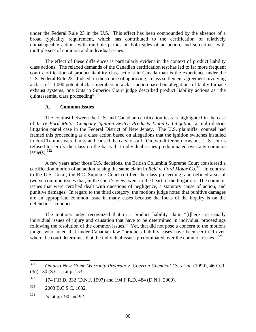under the Federal Rule 23 in the U.S. This effect has been compounded by the absence of a broad typicality requirement, which has contributed to the certification of relatively unmanageable actions with multiple parties on both sides of an action, and sometimes with multiple sets of common and individual issues.

The effect of these differences is particularly evident in the context of product liability class actions. The relaxed demands of the Canadian certification test has led to far more frequent court certification of product liability class actions in Canada than is the experience under the U.S. Federal Rule 23. Indeed, in the course of approving a class settlement agreement involving a class of 11,000 potential class members in a class action based on allegations of faulty furnace exhaust systems, one Ontario Superior Court judge described product liability actions as "the quintessential class proceeding".<sup>[321](#page-91-0)</sup>

#### **A. Common Issues**

The contrast between the U.S. and Canadian certification tests is highlighted in the case of *In re Ford Motor Company Ignition Switch Products Liability Litigation*, a multi-district litigation panel case in the Federal District of New Jersey. The U.S. plaintiffs' counsel had framed this proceeding as a class action based on allegations that the ignition switches installed in Ford Tempos were faulty and caused the cars to stall. On two different occasions, U.S. courts refused to certify the class on the basis that individual issues predominated over any common issue(s).  $322$ 

A few years after those U.S. decisions, the British Columbia Supreme Court considered a certification motion of an action raising the same claim in *Reid v. Ford Motor Co.*[323](#page-91-2)In contrast to the U.S. Court, the B.C. Supreme Court certified the class proceeding, and defined a set of twelve common issues that, in the court's view, went to the heart of the litigation. The common issues that were certified dealt with questions of negligence, a statutory cause of action, and punitive damages. In regard to the third category, the motions judge noted that punitive damages are an appropriate common issue in many cases because the focus of the inquiry is on the defendant's conduct.

The motions judge recognized that in a product liability claim "[t]here are usually individual issues of injury and causation that have to be determined in individual proceedings following the resolution of the common issues." Yet, that did not pose a concern to the motions judge, who noted that under Canadian law "products liability cases have been certified even where the court determines that the individual issues predominated over the common issues."<sup>[324](#page-91-3)</sup>

<span id="page-91-0"></span><sup>321</sup> 321 *Ontario New Home Warranty Program v. Chevron Chemical Co. et al.* (1999), 46 O.R. (3d) 130 (S.C.J.) at p. 153.

<span id="page-91-1"></span><sup>322 174</sup> F.R.D. 332 (D.N.J. 1997) and 194 F.R.D. 484 (D.N.J. 2000).

<span id="page-91-2"></span><sup>323 2003</sup> B.C.S.C. 1632.

<span id="page-91-3"></span><sup>324</sup> *Id*. at pp. 90 and 92.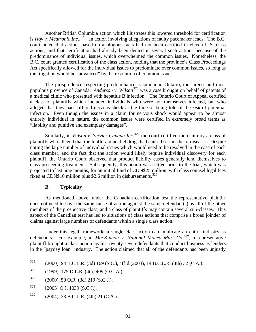Another British Columbia action which illustrates this lowered threshold for certification is *Hoy v. Medtronic Inc.,[325](#page-92-0)* an action involving allegations of faulty pacemaker leads. The B.C. court noted that actions based on analogous facts had not been certified in eleven U.S. class actions, and that certification had already been denied in several such actions because of the predominance of individual issues, which overwhelmed the common issues. Nonetheless, the B.C. court granted certification of the class action, holding that the province's Class Proceedings Act specifically allowed for the individual issues to predominate over common issues, so long as the litigation would be "advanced" by the resolution of common issues.

The jurisprudence respecting predominance is similar in Ontario, the largest and most populous province of Canada. *Anderson v. Wilson[326](#page-92-1)* was a case brought on behalf of patents of a medical clinic who presented with hepatitis B infection. The Ontario Court of Appeal certified a class of plaintiffs which included individuals who were not themselves infected, but who alleged that they had suffered nervous shock at the time of being told of the *risk* of potential infection. Even though the issues in a claim for nervous shock would appear to be almost entirely individual in nature, the common issues were certified in extremely broad terms as "liability and punitive and exemplary damages".

Similarly, in *Wilson v. Servier Canada Inc.*<sup>[327](#page-92-2)</sup> the court certified the claim by a class of plaintiffs who alleged that the fenfluramine diet drugs had caused serious heart diseases. Despite noting the large number of individual issues which would need to be resolved in the case of each class member, and the fact that the action would likely require individual discovery for each plaintiff, the Ontario Court observed that product liability cases generally lend themselves to class proceeding treatment. Subsequently, this action was settled prior to the trial, which was projected to last nine months, for an initial fund of CDN\$25 million, with class counsel legal fees fixed at CDN\$10 million plus \$2.6 million in disbursements. $328$ 

### **B. Typicality**

As mentioned above, under the Canadian certification test the representative plaintiff does not need to have the same cause of action against the same defendant(s) as all of the other members of the prospective class, and a class of plaintiffs may contain several sub-classes. This aspect of the Canadian test has led to situations of class actions that comprise a broad joinder of claims against large numbers of defendants within a single class action.

Under this legal framework, a single class action can implicate an entire industry as defendants. For example, in *MacKinnon v. National Money Mart Co.[329](#page-92-4)*, a representative plaintiff brought a class action against twenty-seven defendants that conduct business as lenders in the "payday loan" industry. The action claimed that all of the defendants had been unjustly

<span id="page-92-0"></span><sup>325</sup> 325 (2000), 94 B.C.L.R. (3d) 169 (S.C.), aff'd (2003), 14 B.C.L.R. (4th) 32 (C.A.).

<span id="page-92-1"></span> $326$  (1999), 175 D.L.R. (4th) 409 (O.C.A.).

<span id="page-92-2"></span> $327$  (2000), 50 O.R. (3d) 219 (S.C.J.).

<span id="page-92-3"></span> $328$  [2005] O.J. 1039 (S.C.J.).

<span id="page-92-4"></span> $329$  (2004), 33 B.C.L.R. (4th) 21 (C.A.).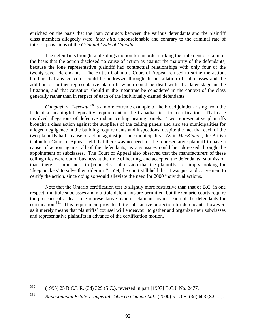enriched on the basis that the loan contracts between the various defendants and the plaintiff class members allegedly were, *inter alia*, unconscionable and contrary to the criminal rate of interest provisions of the *Criminal Code of Canada*.

The defendants brought a pleadings motion for an order striking the statement of claim on the basis that the action disclosed no cause of action as against the majority of the defendants, because the lone representative plaintiff had contractual relationships with only four of the twenty-seven defendants. The British Columbia Court of Appeal refused to strike the action, holding that any concerns could be addressed through the installation of sub-classes and the addition of further representative plaintiffs which could be dealt with at a later stage in the litigation, and that causation should in the meantime be considered in the context of the class generally rather than in respect of each of the individually-named defendants.

*Campbell v. Flexwatt[330](#page-93-0)* is a more extreme example of the broad joinder arising from the lack of a meaningful typicality requirement in the Canadian test for certification. That case involved allegations of defective radiant ceiling heating panels. Two representative plaintiffs brought a class action against the suppliers of the ceiling panels and also ten municipalities for alleged negligence in the building requirements and inspections, despite the fact that each of the two plaintiffs had a cause of action against just one municipality. As in *MacKinnon*, the British Columbia Court of Appeal held that there was no need for the representative plaintiff to have a cause of action against all of the defendants, as any issues could be addressed through the appointment of subclasses. The Court of Appeal also observed that the manufacturers of these ceiling tiles were out of business at the time of hearing, and accepted the defendants' submission that "there is some merit to [counsel's] submission that the plaintiffs are simply looking for 'deep pockets' to solve their dilemma". Yet, the court still held that it was just and convenient to certify the action, since doing so would alleviate the need for 2000 individual actions.

Note that the Ontario certification test is slightly more restrictive than that of B.C. in one respect: multiple subclasses and multiple defendants are permitted, but the Ontario courts require the presence of at least one representative plaintiff claimant against each of the defendants for certification.<sup>[331](#page-93-1)</sup> This requirement provides little substantive protection for defendants, however, as it merely means that plaintiffs' counsel will endeavour to gather and organize their subclasses and representative plaintiffs in advance of the certification motion.

<span id="page-93-0"></span><sup>330</sup> 330 (1996) 25 B.C.L.R. (3d) 329 (S.C.), reversed in part [1997] B.C.J. No. 2477.

<span id="page-93-1"></span><sup>331</sup> *Rangoonanan Estate v. Imperial Tobacco Canada Ltd.,* (2000) 51 O.E. (3d) 603 (S.C.J.).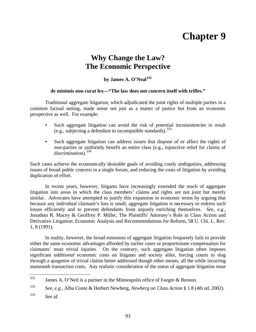# **Chapter 9**

# **Why Change the Law? The Economic Perspective**

# **by James A. O'Neal[332](#page-94-0)**

#### **de minimis non curat lex—"The law does not concern itself with trifles."**

Traditional aggregate litigation, which adjudicated the joint rights of multiple parties in a common factual setting, made sense not just as a matter of justice but from an economic perspective as well. For example:

- Such aggregate litigation can avoid the risk of potential inconsistencies in result (e.g., subjecting a defendant to incompatible standards).  $333$
- **•** Such aggregate litigation can address issues that dispose of or affect the rights of non-parties or uniformly benefit an entire class (e.g., injunctive relief for claims of  $discrimination)$ <sup>[334](#page-94-2)</sup>

Such cases achieve the economically desirable goals of avoiding costly ambiguities, addressing issues of broad public concern in a single forum, and reducing the costs of litigation by avoiding duplication of effort.

In recent years, however, litigants have increasingly extended the reach of aggregate litigation into areas in which the class members' claims and rights are not joint but merely similar. Advocates have attempted to justify this expansion in economic terms by arguing that because any individual claimant's loss is small, aggregate litigation is necessary to redress such losses efficiently and to prevent defendants from unjustly enriching themselves. *See*, *e.g.*, Jonathan R. Macey & Geoffrey P. Miller, The Plaintiffs' Attorney's Role in Class Action and Derivative Litigation: Economic Analysis and Recommendations for Reform, 58 U. Chi. L. Rev. 1, 8 (1991).

In reality, however, the broad extension of aggregate litigation frequently fails to provide either the same economic advantages afforded by earlier cases or proportionate compensation for claimants' most trivial injuries. On the contrary, such aggregate litigation often imposes significant *additional* economic costs on litigants and society alike, forcing courts to slog through a quagmire of trivial claims better addressed though other means, all the while incurring mammoth transaction costs. Any realistic consideration of the status of aggregate litigation must

<span id="page-94-0"></span><sup>332</sup> James A. O'Neil is a partner in the Minneapolis office of Faegre & Benson.

<span id="page-94-1"></span><sup>333</sup> *See, e.g.*, Alba Conte & Herbert Newberg, *Newberg on Class Action* § 1.8 (4th ed. 2002).

<span id="page-94-2"></span><sup>334</sup> *See id.*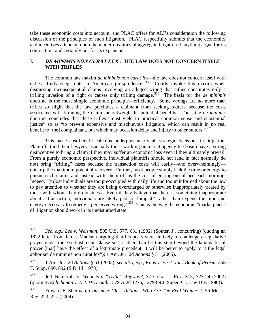take these economic costs into account, and PLAC offers for ALI's consideration the following discussion of the principles of such litigation. PLAC respectfully submits that the economics and incentives attendant upon the modern realities of aggregate litigation if anything argue for its contraction, and certainly not for its expansion.

# **I. DE MINIMIS NON CURAT LEX : THE LAW DOES NOT CONCERN ITSELF WITH TRIFLES**

The common law maxim *de minimis non curat lex—*the law does not concern itself with trifles—finds deep roots in American jurisprudence.<sup>[335](#page-95-0)</sup> Courts invoke this maxim when dismissing inconsequential claims involving an alleged wrong that either constitutes only a trifling invasion of a right or causes only trifling damage.[336](#page-95-1) The basis for the *de minimis* doctrine is the most simple economic principle—efficiency. Some wrongs are no more than trifles so slight that the law precludes a claimant from seeking redress because the costs associated with bringing the claim far outweigh the potential benefits. Thus, the *de minimis* doctrine concludes that these trifles "must yield to practical common sense and substantial justice" so as "to prevent expensive and mischievous litigation, which can result in no real benefit to [the] complainant, but which may occasion delay and injury to other suitors."<sup>[337](#page-95-2)</sup>

This basic cost-benefit calculus underpins nearly all strategic decisions in litigation. Plaintiffs (and their lawyers, especially those working on a contingency fee basis) have a strong disincentive to bring a claim if they may suffer an economic loss even if they ultimately prevail. From a purely economic perspective, individual plaintiffs should not (and in fact normally do not) bring "trifling" cases because the transaction costs will easily—and overwhelmingly outstrip the maximum potential recovery. Further, most people simply lack the time or energy to pursue such claims and instead write them off as the cost of getting out of bed each morning. Indeed, "[m]ost individuals are too preoccupied with daily life and too uninformed about the law to pay attention to whether they are being overcharged or otherwise inappropriately treated by those with whom they do business. Even if they believe that there is something inappropriate about a transaction, individuals are likely just to 'lump it,' rather than expend the time and energy necessary to remedy a perceived wrong."<sup>[338](#page-95-3)</sup> This is the way the economic "marketplace" of litigation should work in its undisturbed state.

<span id="page-95-0"></span><sup>335</sup> 335 *See, e.g.*, *Lee v. Weisman*, 505 U.S. 577, 631 (1992) (Souter, J., concurring) (quoting an 1822 letter from James Madison arguing that his peers were unlikely to challenge a legislative prayer under the Establishment Clause so "[r]ather than let this step beyond the landmarks of power [that] have the effect of a legitimate precedent, it will be better to apply to it the legal aphorism de minimis non curat lex"); 1 Am. Jur. 2d *Actions* § 51 (2005).

<span id="page-95-1"></span><sup>336 1</sup> Am. Jur. 2d *Actions* § 51 (2005); *see also, e.g.*, *Koos v. First Nat'l Bank of Peoria*, 358 F. Supp. 890, 892 (S.D. Ill. 1973).

<span id="page-95-2"></span><sup>337</sup> Jeff Nemerofsky, *What is a "Trifle" Anyway?*, 37 Gonz. L. Rev. 315, 323-24 (2002) (quoting *Schlichtman v. N.J. Hwy Auth.*, 579 A.2d 1275, 1279 (N.J. Super. Ct. Law Div. 1990)).

<span id="page-95-3"></span><sup>338</sup> Edward F. Sherman, *Consumer Class Actions: Who Are The Real Winners?*, 56 Me. L. Rev. 223, 227 (2004).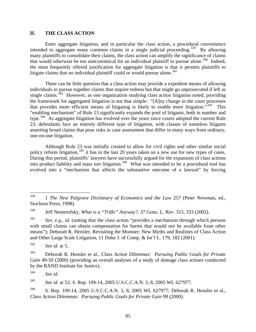#### **II. THE CLASS ACTION**

Enter aggregate litigation, and in particular the class action, a procedural convenience intended to aggregate many common claims in a single judicial proceeding.<sup>[339](#page-96-0)</sup> By allowing many plaintiffs to consolidate their claims, the class action can amplify the significance of claims that would otherwise be too uneconomical for an individual plaintiff to pursue alone.<sup>[340](#page-96-1)</sup> Indeed, the most frequently offered justification for aggregate litigation is that it permits plaintiffs to litigate claims that no individual plaintiff could or would pursue alone.<sup>[341](#page-96-2)</sup>

There can be little question that a class action may provide a expedient means of allowing individuals to pursue together claims that require redress but that might go unprosecuted if left as single claims.<sup> $342$ </sup> However, as one organization studying class action litigation noted, providing the framework for aggregated litigation is not that simple: "[A]ny change in the court processes that provides more efficient means of litigating is likely to enable more litigation."<sup>[343](#page-96-4)</sup> This "enabling mechanism" of Rule 23 significantly expands the pool of litigants, both in number and type.<sup>[344](#page-96-5)</sup> As aggregate litigation has evolved over the years since courts adopted the current Rule 23, defendants face an entirely different type of litigation, with classes of nameless litigants asserting broad claims that pose risks in case assessment that differ in many ways from ordinary, one-on-one litigation.

Although Rule 23 was initially created to allow for civil rights and other similar social policy reform litigation,<sup>[345](#page-96-6)</sup> it has in the last 20 years taken on a new use for new types of cases. During this period, plaintiffs' lawyers have successfully argued for the expansion of class actions into product liability and mass tort litigation.<sup>[346](#page-96-7)</sup> What was intended to be a procedural tool has evolved into a "mechanism that affects the substantive outcome of a lawsuit" by forcing

<span id="page-96-6"></span>345 *See id.* at 52; S. Rep. 109-14, 2005 U.S.C.C.A.N. 3, 8, 2005 WL 627977.

<span id="page-96-0"></span><sup>339</sup> 339 1 *The New Palgrave Dictionary of Economics and the Law* 257 (Peter Newman, ed., Stockton Press, 1998).

<span id="page-96-1"></span><sup>340</sup> Jeff Nemerofsky, *What is a "Trifle" Anyway?*, 37 Gonz. L. Rev. 315, 333 (2002).

<span id="page-96-2"></span><sup>341</sup> *See*, *e.g.*, *id.* (stating that the class action "provides a mechanism through which persons with small claims can obtain compensation for harms that would not be available from other means"); Deborah R. Hensler, Revisiting the Monster: New Myths and Realities of Class Action and Other Large Scale Litigation, 11 Duke J. of Comp. & Int'l L. 179, 182 (2001).

<span id="page-96-3"></span><sup>342</sup> *See id.* at 5.

<span id="page-96-4"></span><sup>343</sup> Deborah R. Hensler et al., *Class Action Dilemmas: Pursuing Public Goals for Private Gain* 49-50 (2000) (providing an overall analyses of a study of damage class actions conducted by the RAND Institute for Justice).

<span id="page-96-5"></span><sup>344</sup> *See id.*

<span id="page-96-7"></span><sup>346</sup> S. Rep. 109-14, 2005 U.S.C.C.A.N. 3, 8, 2005 WL 627977; Deborah R. Hensler et al., *Class Action Dilemmas: Pursuing Public Goals for Private Gain* 99 (2000).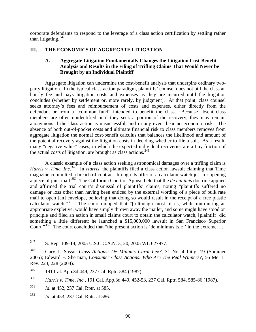corporate defendants to respond to the leverage of a class action certification by settling rather than litigating.  $347$ 

# **III. THE ECONOMICS OF AGGREGATE LITIGATION**

# **A. Aggregate Litigation Fundamentally Changes the Litigation Cost-Benefit Analysis and Results in the Filing of Trifling Claims That Would Never be Brought by an Individual Plaintiff**

Aggregate litigation can undermine the cost-benefit analysis that underpins ordinary twoparty litigation. In the typical class-action paradigm, plaintiffs' counsel does not bill the class an hourly fee and pays litigation costs and expenses as they are incurred until the litigation concludes (whether by settlement or, more rarely, by judgment). At that point, class counsel seeks attorney's fees and reimbursement of costs and expenses, either directly from the defendant or from a "common fund" intended to benefit the class. Because absent class members are often unidentified until they seek a portion of the recovery, they may remain anonymous if the class action is unsuccessful, and in any event bear no economic risk. The absence of both out-of-pocket costs and ultimate financial risk to class members removes from aggregate litigation the normal cost-benefit calculus that balances the likelihood and amount of the potential recovery against the litigation costs in deciding whether to file a suit. As a result, many "negative value" cases, in which the expected individual recoveries are a tiny fraction of the actual costs of litigation, are brought as class actions.  $348$ 

A classic example of a class action seeking astronomical damages over a trifling claim is *Harris v. Time, Inc.*<sup>[349](#page-97-2)</sup> In *Harris*, the plaintiffs filed a class action lawsuit claiming that Time magazine committed a breach of contract through its offer of a calculator watch just for opening a piece of junk mail.[350](#page-97-3) The California Court of Appeal held that the *de minimis* doctrine applied and affirmed the trial court's dismissal of plaintiffs' claims, noting "plaintiffs suffered no damage or loss other than having been enticed by the external wording of a piece of bulk rate mail to open [an] envelope, believing that doing so would result in the receipt of a free plastic calculator watch."<sup>[351](#page-97-4)</sup> The court quipped that "[a]lthough most of us, while murmuring an appropriate expletive, would have simply thrown away the mailer, and some might have stood on principle and filed an action in small claims court to obtain the calculator watch, [plaintiff] did something a little different: he launched a \$15,000,000 lawsuit in San Francisco Superior Court."<sup>[352](#page-97-5)</sup> The court concluded that "the present action is 'de minimus [sic]' in the extreme....

<span id="page-97-0"></span><sup>347</sup> S. Rep. 109-14, 2005 U.S.C.C.A.N. 3, 20, 2005 WL 627977.

<span id="page-97-1"></span><sup>348</sup> Gary L. Sasso, *Class Actions: De Minimis Curat Lex?*, 31 No. 4 Litig. 19 (Summer 2005); Edward F. Sherman, *Consumer Class Actions: Who Are The Real Winners?*, 56 Me. L. Rev. 223, 228 (2004).

<span id="page-97-2"></span><sup>349 191</sup> Cal. App.3d 449, 237 Cal. Rptr. 584 (1987).

<span id="page-97-3"></span><sup>350</sup> *Harris v. Time, Inc.*, 191 Cal. App.3d 449, 452-53, 237 Cal. Rptr. 584, 585-86 (1987).

<span id="page-97-4"></span><sup>351</sup> *Id.* at 452, 237 Cal. Rptr. at 585.

<span id="page-97-5"></span><sup>352</sup> *Id.* at 453, 237 Cal. Rptr. at 586.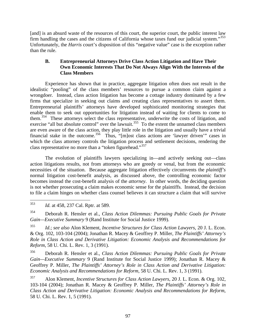[and] is an absurd waste of the resources of this court, the superior court, the public interest law firm handling the cases and the citizens of California whose taxes fund our judicial system."[353](#page-98-0)  Unfortunately, the *Harris* court's disposition of this "negative value" case is the exception rather than the rule.

# **B. Entrepreneurial Attorneys Drive Class Action Litigation and Have Their Own Economic Interests That Do Not Always Align With the Interests of the Class Members**

Experience has shown that in practice, aggregate litigation often does not result in the idealistic "pooling" of the class members' resources to pursue a common claim against a wrongdoer. Instead, class action litigation has become a cottage industry dominated by a few firms that specialize in seeking out claims and creating class representatives to assert them. Entrepreneurial plaintiffs' attorneys have developed sophisticated monitoring strategies that enable them to seek out opportunities for litigation instead of waiting for clients to come to them.<sup>[354](#page-98-1)</sup> These attorneys select the class representative, underwrite the costs of litigation, and exercise "all but absolute control" over the lawsuit.<sup>[355](#page-98-2)</sup> To the extent the unnamed class members are even aware of the class action, they play little role in the litigation and usually have a trivial financial stake in the outcome.<sup>[356](#page-98-3)</sup> Thus, "[m]ost class actions are 'lawyer driven'" cases in which the class attorney controls the litigation process and settlement decisions, rendering the class representative no more than a "token figurehead."<sup>[357](#page-98-4)</sup>

The evolution of plaintiffs lawyers specializing in—and actively seeking out—class action litigations results, not from attorneys who are greedy or venal, but from the economic necessities of the situation. Because aggregate litigation effectively circumvents the *plaintiff's* normal litigation cost-benefit analysis, as discussed above, the controlling economic factor becomes instead the cost-benefit analysis of the *attorney*. In other words, the deciding question is not whether prosecuting a claim makes economic sense for the plaintiffs. Instead, the decision to file a claim hinges on whether class counsel believes it can structure a claim that will survive

<span id="page-98-1"></span>354 Deborah R. Hensler et al., *Class Action Dilemmas: Pursuing Public Goals for Private Gain—Executive Summary* 9 (Rand Institute for Social Justice 1999).

<span id="page-98-2"></span>355 *Id.*; *see also* Alon Klement, *Incentive Structures for Class Action Lawyers*, 20 J. L. Econ. & Org. 102, 103-104 (2004); Jonathan R. Macey & Geoffrey P. Miller, *The Plaintiffs' Attorney's Role in Class Action and Derivative Litigation: Economic Analysis and Recommendations for Reform*, 58 U. Chi. L. Rev. 1, 3 (1991).

<span id="page-98-3"></span>356 Deborah R. Hensler et al., *Class Action Dilemmas: Pursuing Public Goals for Private Gain—Executive Summary* 9 (Rand Institute for Social Justice 1999); Jonathan R. Macey & Geoffrey P. Miller, *The Plaintiffs' Attorney's Role in Class Action and Derivative Litigation: Economic Analysis and Recommendations for Reform*, 58 U. Chi. L. Rev. 1, 3 (1991).

<span id="page-98-4"></span>357 Alon Klement, *Incentive Structures for Class Action Lawyers*, 20 J. L. Econ. & Org. 102, 103-104 (2004); Jonathan R. Macey & Geoffrey P. Miller, *The Plaintiffs' Attorney's Role in Class Action and Derivative Litigation: Economic Analysis and Recommendations for Reform*, 58 U. Chi. L. Rev. 1, 5 (1991).

<span id="page-98-0"></span><sup>353</sup> *Id.* at 458, 237 Cal. Rptr. at 589.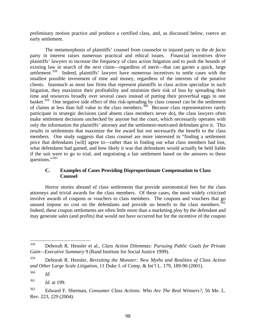preliminary motion practice and produce a certified class, and, as discussed below, coerce an early settlement.

The metamorphosis of plaintiffs' counsel from counselor to injured party to the *de facto* party in interest raises numerous practical and ethical issues. Financial incentives drive plaintiffs' lawyers to increase the frequency of class action litigation and to push the bounds of existing law in search of the next claim—regardless of merit—that can garner a quick, large settlement.<sup>[358](#page-99-0)</sup> Indeed, plaintiffs' lawyers have numerous incentives to settle cases with the smallest possible investment of time and money, regardless of the interests of the putative clients. Inasmuch as most law firms that represent plaintiffs in class action specialize in such litigation, they maximize their profitability and minimize their risk of loss by spreading their time and resources broadly over several cases instead of putting their proverbial eggs in one basket.<sup>[359](#page-99-1)</sup> One negative side effect of this risk-spreading by class counsel can be the settlement of claims at less than full value to the class members.<sup>[360](#page-99-2)</sup> Because class representatives rarely participate in strategic decisions (and absent class members never do), the class lawyers often make settlement decisions unchecked by anyone but the court, which necessarily operates with only the information the plaintiffs' attorney and the settlement-motivated defendant give it. This results in settlements that maximize the fee award but *not* necessarily the benefit to the class members. One study suggests that class counsel are more interested in "finding a settlement price that defendants [will] agree to—rather than in finding out what class members had lost, what defendants had gained, and how likely it was that defendants would actually be held liable if the suit were to go to trial, and negotiating a fair settlement based on the answers to these questions."<sup>[361](#page-99-3)</sup>

# **C. Examples of Cases Providing Disproportionate Compensation to Class Counsel**

Horror stories abound of class settlements that provide astronomical fees for the class attorneys and trivial awards for the class members. Of these cases, the most widely criticized involve awards of coupons or vouchers to class members. The coupons and vouchers that go unused impose no cost on the defendants and provide no benefit to the class members.<sup>362</sup> Indeed, these coupon settlements are often little more than a marketing ploy by the defendant and may generate sales (and profits) that would not have occurred but for the incentive of the coupon

<span id="page-99-0"></span><sup>358</sup> 358 Deborah R. Hensler et al., *Class Action Dilemmas: Pursuing Public Goals for Private Gain—Executive Summary* 9 (Rand Institute for Social Justice 1999).

<span id="page-99-1"></span><sup>359</sup> Deborah R. Hensler, *Revisiting the Monster: New Myths and Realities of Class Action and Other Large Scale Litigation*, 11 Duke J. of Comp. & Int'l L. 179, 189-90 (2001).

<span id="page-99-2"></span><sup>360</sup> *Id.*

<span id="page-99-3"></span><sup>361</sup> *Id.* at 199.

<span id="page-99-4"></span><sup>362</sup> Edward F. Sherman, *Consumer Class Actions: Who Are The Real Winners?*, 56 Me. L. Rev. 223, 229 (2004).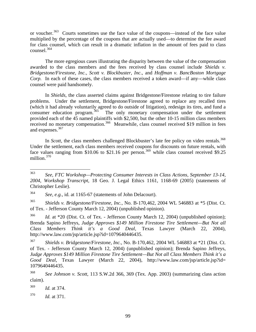or voucher.<sup>[363](#page-100-0)</sup> Courts sometimes use the face value of the coupons—instead of the face value multiplied by the percentage of the coupons that are actually used—to determine the fee award for class counsel, which can result in a dramatic inflation in the amount of fees paid to class counsel.[364](#page-100-1)

The more egregious cases illustrating the disparity between the value of the compensation awarded to the class members and the fees received by class counsel include *Shields v. Bridgestone/Firestone, Inc., Scott v. Blockbuster, Inc*., and *Hoffman v. BancBoston Mortgage Corp.* In each of these cases, the class members received a token award—if any—while class counsel were paid handsomely.

In *Shields*, the class asserted claims against Bridgestone/Firestone relating to tire failure problems. Under the settlement, Bridgestone/Firestone agreed to replace any recalled tires (which it had already voluntarily agreed to do outside of litigation), redesign its tires, and fund a consumer education program.<sup>[365](#page-100-2)</sup> The only monetary compensation under the settlement provided each of the 45 named plaintiffs with \$2,500, but the other 10-15 million class members received no monetary compensation.<sup>[366](#page-100-3)</sup> Meanwhile, class counsel received \$19 million in fees and expenses.<sup>[367](#page-100-4)</sup>

In *Scott*, the class members challenged Blockbuster's late fee policy on video rentals.<sup>368</sup> Under the settlement, each class members received coupons for discounts on future rentals, with face values ranging from \$10.06 to \$21.16 per person.<sup>[369](#page-100-6)</sup> while class counsel received \$9.25 million. $370$ 

<span id="page-100-1"></span>364 *See, e.g.*, id. at 1165-67 (statements of John Delacourt).

<span id="page-100-2"></span>365 *Shields v. Bridgestone/Firestone, Inc.*, No. B-170,462, 2004 WL 546883 at \*5 (Dist. Ct. of Tex. - Jefferson County March 12, 2004) (unpublished opinion).

<span id="page-100-3"></span><sup>366</sup> *Id.* at \*20 (Dist. Ct. of Tex. - Jefferson County March 12, 2004) (unpublished opinion); Brenda Sapino Jeffreys, *Judge Approves \$149 Million Firestone Tire Settlement—But Not all Class Members Think it's a Good Deal*, Texas Lawyer (March 22, 2004), http://www.law.com/jsp/article.jsp?id=1079640446435.

<span id="page-100-0"></span><sup>363</sup> 363 *See, FTC Workshop—Protecting Consumer Interests in Class Actions, September 13-14, 2004, Workshop Transcript*, 18 Geo. J. Legal Ethics 1161, 1168-69 (2005) (statements of Christopher Leslie).

<span id="page-100-4"></span><sup>367</sup> *Shields v. Bridgestone/Firestone, Inc.*, No. B-170,462, 2004 WL 546883 at \*21 (Dist. Ct. of Tex. - Jefferson County March 12, 2004) (unpublished opinion); Brenda Sapino Jeffreys, *Judge Approves \$149 Million Firestone Tire Settlement—But Not all Class Members Think it's a Good Deal*, Texas Lawyer (March 22, 2004), http://www.law.com/jsp/article.jsp?id= 1079640446435.

<span id="page-100-5"></span><sup>368</sup> *See Johnson v. Scott*, 113 S.W.2d 366, 369 (Tex. App. 2003) (summarizing class action claim).

<span id="page-100-6"></span><sup>369</sup> *Id.* at 374.

<span id="page-100-7"></span><sup>370</sup> *Id.* at 371.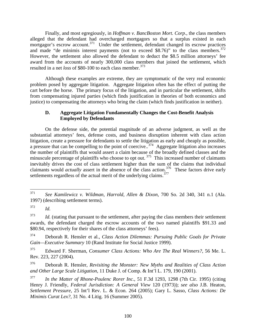Finally, and most egregiously, in *Hoffman v. BancBoston Mort. Corp*., the class members alleged that the defendant had overcharged mortgagors so that a surplus existed in each mortgagor's escrow account.<sup>[371](#page-101-0)</sup> Under the settlement, defendant changed its escrow practices and made "de minimis interest payments (not to exceed \$8.76)" to the class members. $372$ However, the settlement also allowed the defendant to deduct the \$8.5 million attorneys' fee award from the accounts of nearly 300,000 class members that joined the settlement, which resulted in a net *loss* of \$80-100 to each class member.<sup>[373](#page-101-2)</sup>

Although these examples are extreme, they are symptomatic of the very real economic problem posed by aggregate litigation. Aggregate litigation often has the effect of putting the cart before the horse. The primary focus of the litigation, and in particular the settlement, shifts from compensating injured parties (which finds justification in theories of both economics and justice) to compensating the attorneys who bring the claim (which finds justification in neither).

# **D. Aggregate Litigation Fundamentally Changes the Cost-Benefit Analysis Employed by Defendants**

On the defense side, the potential magnitude of an adverse judgment, as well as the substantial attorneys' fees, defense costs, and business disruption inherent with class action litigation, create a pressure for defendants to settle the litigation as early and cheaply as possible, a pressure that can be compelling to the point of coercive..<sup>[374](#page-101-3)</sup> Aggregate litigation also increases the number of plaintiffs that would assert a claim because of the broadly defined classes and the minuscule percentage of plaintiffs who choose to opt out.<sup>[375](#page-101-4)</sup> This increased number of claimants inevitably drives the cost of class settlement higher than the sum of the claims that individual claimants would *actually* assert in the absence of the class action.<sup>[376](#page-101-5)</sup> These factors drive early settlements regardless of the actual merit of the underlying claims.<sup>[377](#page-101-6)</sup>

<span id="page-101-0"></span><sup>371</sup> 371 *See Kamilewicz v. Wildman, Harrold, Allen & Dixon*, 700 So. 2d 340, 341 n.1 (Ala. 1997) (describing settlement terms).

<span id="page-101-1"></span><sup>372</sup> *Id.*

<span id="page-101-2"></span><sup>&</sup>lt;sup>373</sup> *Id.* (stating that pursuant to the settlement, after paying the class members their settlement awards, the defendant charged the escrow accounts of the two named plaintiffs \$91.33 and \$80.94, respectively for their shares of the class attorneys' fees).

<span id="page-101-3"></span><sup>374</sup> Deborah R. Hensler et al., *Class Action Dilemmas: Pursuing Public Goals for Private Gain—Executive Summary* 10 (Rand Institute for Social Justice 1999).

<span id="page-101-4"></span><sup>375</sup> Edward F. Sherman, *Consumer Class Actions: Who Are The Real Winners?*, 56 Me. L. Rev. 223, 227 (2004).

<span id="page-101-5"></span><sup>376</sup> Deborah R. Hensler, *Revisiting the Monster: New Myths and Realities of Class Action and Other Large Scale Litigation*, 11 Duke J. of Comp. & Int'l L. 179, 190 (2001).

<span id="page-101-6"></span><sup>377</sup> *In the Matter of Rhone-Poulenc Rorer Inc.*, 51 F.3d 1293, 1298 (7th Cir. 1995) (citing Henry J. Friendly, *Federal Jurisdiction: A General View* 120 (1973)); *see also* J.B. Heaton, *Settlement Pressure*, 25 Int'l Rev. L. & Econ. 264 (2005); Gary L. Sasso, *Class Actions: De Minimis Curat Lex?*, 31 No. 4 Litig. 16 (Summer 2005).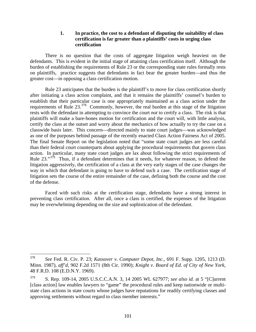### **1. In practice, the cost to a defendant of disputing the suitability of class certification is far greater than a plaintiffs' costs in urging class certification**

There is no question that the costs of aggregate litigation weigh heaviest on the defendants. This is evident in the initial stage of attaining class certification itself. Although the burden of establishing the requirements of Rule 23 or the corresponding state rules formally rests on plaintiffs, practice suggests that defendants in fact bear the greater burden—and thus the greater cost—in opposing a class certification motion.

Rule 23 anticipates that the burden is the plaintiff's to move for class certification shortly after initiating a class action complaint, and that it remains the plaintiffs' counsel's burden to establish that their particular case is one appropriately maintained as a class action under the requirements of Rule 23.<sup>[378](#page-102-0)</sup> Commonly, however, the real burden at this stage of the litigation rests with the defendant in attempting to convince the court *not* to certify a class. The risk is that plaintiffs will make a bare-bones motion for certification and the court will, with little analysis, certify the class at the outset and worry about the mechanics of how actually to try the case on a classwide basis later. This concern—directed mainly to state court judges—was acknowledged as one of the purposes behind passage of the recently enacted Class Action Fairness Act of 2005. The final Senate Report on the legislation noted that "some state court judges are less careful than their federal court counterparts about applying the procedural requirements that govern class action. In particular, many state court judges are lax about following the strict requirements of Rule 23."<sup>[379](#page-102-1)</sup> Thus, if a defendant determines that it needs, for whatever reason, to defend the litigation aggressively, the certification of a class at the very early stages of the case changes the way in which that defendant is going to have to defend such a case. The certification stage of litigation sets the course of the entire remainder of the case, defining both the course and the cost of the defense.

Faced with such risks at the certification stage, defendants have a strong interest in preventing class certification. After all, once a class is certified, the expenses of the litigation may be overwhelming depending on the size and sophistication of the defendant.

<span id="page-102-0"></span><sup>378</sup> 378 *See* Fed. R. Civ. P. 23; *Kassover v. Computer Depot, Inc.*, 691 F. Supp. 1205, 1213 (D. Minn. 1987), *aff'd*, 902 F.2d 1571 (8th Cir. 1990); *Knight v. Board of Ed. of City of New York*, 48 F.R.D. 108 (E.D.N.Y. 1969).

<span id="page-102-1"></span><sup>379</sup> S. Rep. 109-14, 2005 U.S.C.C.A.N. 3, 14 2005 WL 627977; *see also id.* at 5 "[C]urrent [class action] law enables lawyers to "game" the procedural rules and keep nationwide or multistate class actions in state courts whose judges have reputations for readily certifying classes and approving settlements without regard to class member interests."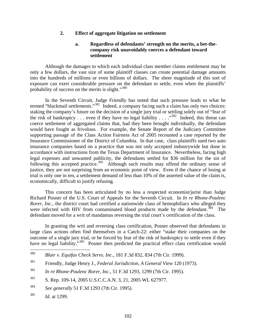### **2. Effect of aggregate litigation on settlement**

# **a. Regardless of defendants' strength on the merits, a bet-thecompany risk unavoidably coerces a defendant toward settlement**

Although the damages to which each individual class member claims entitlement may be only a few dollars, the vast size of some plaintiff classes can create potential damage amounts into the hundreds of millions or even billions of dollars. The sheer magnitude of this sort of exposure can exert considerable pressure on the defendant to settle, even when the plaintiffs' probability of success on the merits is slight."<sup>[380](#page-103-0)</sup>

In the Seventh Circuit, Judge Friendly has noted that such pressure leads to what he termed "blackmail settlements."<sup>[381](#page-103-1)</sup> Indeed, a company facing such a claim has only two choices: staking the company's future on the decision of a single jury trial or settling solely out of "fear of the risk of bankruptcy . . . even if they have no legal liability . . . .<sup>[382](#page-103-2)</sup> Indeed, this threat can coerce settlement of aggregated claims that, had they been brought individually, the defendant would have fought as frivolous. For example, the Senate Report of the Judiciary Committee supporting passage of the Class Action Fairness Act of 2005 recounted a case reported by the Insurance Commissioner of the District of Columbia. In that case, class plaintiffs sued two auto insurance companies based on a practice that was not only accepted industrywide but done in accordance with instructions from the Texas Department of Insurance. Nevertheless, facing high legal expenses and unwanted publicity, the defendants settled for \$36 million for the sin of following this accepted practice.<sup>[383](#page-103-3)</sup> Although such results may offend the ordinary sense of justice, they are not surprising from an economic point of view. Even if the chance of losing at trial is only one in ten, a settlement demand of less than 10% of the asserted value of the claim is, economically, difficult to justify refusing.

This concern has been articulated by no less a respected economist/jurist than Judge Richard Posner of the U.S. Court of Appeals for the Seventh Circuit. In *In re Rhone-Poulenc Rorer, Inc.*, the district court had certified a nationwide class of hemophiliacs who alleged they were infected with HIV from contaminated blood products made by the defendant.<sup>[384](#page-103-4)</sup> The defendant moved for a writ of mandamus reversing the trial court's certification of the class.

In granting the writ and reversing class certification, Posner observed that defendants in large class actions often find themselves in a Catch-22: either "stake their companies on the outcome of a single jury trial, or be forced by fear of the risk of bankruptcy to settle even if they have no legal liability."<sup>[385](#page-103-5)</sup> Posner then predicted the practical effect class certification would

<span id="page-103-0"></span><sup>380</sup> 380 *Blair v. Equifax Check Servs. Inc.*, 181 F.3d 832, 834 (7th Cir. 1999).

<span id="page-103-1"></span><sup>381</sup> Friendly, Judge Henry J., *Federal Jurisdiction, A General View* 120 (1973).

<span id="page-103-2"></span><sup>382</sup> *In re Rhone-Poulenc Rorer, Inc.*, 51 F.3d 1293, 1299 (7th Cir. 1995).

<span id="page-103-3"></span><sup>383</sup> S. Rep. 109-14, 2005 U.S.C.C.A.N. 3, 21, 2005 WL 627977.

<span id="page-103-4"></span><sup>384</sup> *See generally* 51 F.3d 1293 (7th Cir. 1995).

<span id="page-103-5"></span><sup>385</sup> *Id.* at 1299.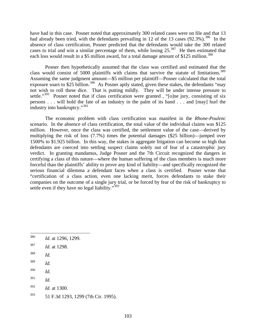have had in this case. Posner noted that approximately 300 related cases were on file and that 13 had already been tried, with the defendants prevailing in 12 of the 13 cases  $(92.3\%)$ .<sup>[386](#page-104-0)</sup> In the absence of class certification, Posner predicted that the defendants would take the 300 related cases to trial and win a similar percentage of them, while losing  $25.^{387}$  $25.^{387}$  $25.^{387}$  He then estimated that each loss would result in a \$5 million award, for a total damage amount of \$125 million.<sup>[388](#page-104-2)</sup>

Posner then hypothetically assumed that the class was certified and estimated that the class would consist of 5000 plaintiffs with claims that survive the statute of limitations.<sup>[389](#page-104-3)</sup> Assuming the same judgment amount—\$5 million per plaintiff—Posner calculated that the total exposure soars to \$25 billion.<sup>[390](#page-104-4)</sup> As Posner aptly stated, given these stakes, the defendants "may not wish to roll these dice. That is putting mildly. They will be under intense pressure to settle."<sup>[391](#page-104-5)</sup> Posner noted that if class certification were granted, "[o]ne jury, consisting of six persons . . . will hold the fate of an industry in the palm of its hand . . . and [may] hurl the industry into bankruptcy."[392](#page-104-6)

The economic problem with class certification was manifest in the *Rhone-Poulenc* scenario. In the absence of class certification, the total value of the individual claims was \$125 million. However, once the class was certified, the settlement value of the case—derived by multiplying the risk of loss (7.7%) times the potential damages (\$25 billion)—jumped over 1500% to \$1.925 billion. In this way, the stakes in aggregate litigation can become so high that defendants are coerced into settling suspect claims solely out of fear of a catastrophic jury verdict. In granting mandamus, Judge Posner and the 7th Circuit recognized the dangers in certifying a class of this nature—where the human suffering of the class members is much more forceful than the plaintiffs' ability to prove any kind of liability—and specifically recognized the serious financial dilemma a defendant faces when a class is certified. Posner wrote that "certification of a class action, even one lacking merit, forces defendants to stake their companies on the outcome of a single jury trial, or be forced by fear of the risk of bankruptcy to settle even if they have no legal liability."<sup>[393](#page-104-7)</sup>

<span id="page-104-1"></span>387 *Id.* at 1298.

- <span id="page-104-3"></span>389 *Id.*
- <span id="page-104-4"></span>390 *Id.*
- <span id="page-104-5"></span>391 *Id.*
- <span id="page-104-6"></span>392 *Id.* at 1300.
- <span id="page-104-7"></span>393 51 F.3d 1293, 1299 (7th Cir. 1995).

<span id="page-104-0"></span><sup>386</sup> Id. at 1296, 1299.

<span id="page-104-2"></span><sup>388</sup> *Id.*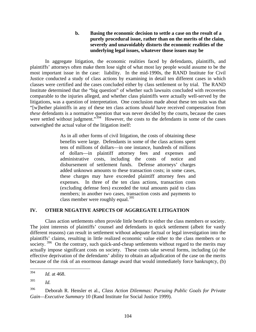# **b. Basing the economic decision to settle a case on the result of a purely procedural issue, rather than on the merits of the claim, severely and unavoidably distorts the economic realities of the underlying legal issues, whatever those issues may be**

In aggregate litigation, the economic realities faced by defendants, plaintiffs, and plaintiffs' attorneys often make them lose sight of what most lay people would assume to be the most important issue in the case: liability. In the mid-1990s, the RAND Institute for Civil Justice conducted a study of class actions by examining in detail ten different cases in which classes were certified and the cases concluded either by class settlement or by trial. The RAND Institute determined that the "big question" of whether such lawsuits concluded with recoveries comparable to the injuries alleged, and whether class plaintiffs were actually well-served by the litigations, was a question of interpretation. One conclusion made about these ten suits was that "[w]hether plaintiffs in any of these ten class actions *should* have received compensation from *these* defendants is a normative question that was never decided by the courts, because the cases were settled without judgment."<sup>[394](#page-105-0)</sup> However, the costs to the defendants in some of the cases outweighed the actual value of the litigation itself:

> As in all other forms of civil litigation, the costs of obtaining these benefits were large. Defendants in some of the class actions spent tens of millions of dollars—in one instance, hundreds of millions of dollars—in plaintiff attorney fees and expenses and administrative costs, including the costs of notice and disbursement of settlement funds. Defense attorneys' charges added unknown amounts to these transaction costs; in some cases, these charges may have exceeded plaintiff attorney fees and expenses. In three of the ten class actions, transaction costs (excluding defense fees) exceeded the total amounts paid to class members; in another two cases, transaction costs and payments to class member were roughly equal.<sup>[395](#page-105-1)</sup>

# **IV. OTHER NEGATIVE ASPECTS OF AGGREGATE LITIGATION**

Class action settlements often provide little benefit to either the class members or society. The joint interests of plaintiffs' counsel and defendants in quick settlement (albeit for vastly different reasons) can result in settlement without adequate factual or legal investigation into the plaintiffs' claims, resulting in little realized economic value either to the class members or to society.  $396$  On the contrary, such quick-and-cheap settlements without regard to the merits may actually impose significant costs on society. These costs take several forms, including (a) the effective deprivation of the defendants' ability to obtain an adjudication of the case on the merits because of the risk of an enormous damage award that would immediately force bankruptcy, (b)

<span id="page-105-0"></span><sup>394</sup> *Id.* at 468.

<span id="page-105-1"></span><sup>395</sup> *Id.*

<span id="page-105-2"></span><sup>396</sup> Deborah R. Hensler et al., *Class Action Dilemmas: Pursuing Public Goals for Private Gain—Executive Summary* 10 (Rand Institute for Social Justice 1999).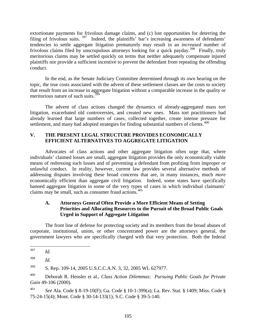extortionate payments for frivolous damage claims, and (c) lost opportunities for deterring the filing of frivolous suits. <sup>[397](#page-106-0)</sup> Indeed, the plaintiffs' bar's increasing awareness of defendants' tendencies to settle aggregate litigation prematurely may result in an *increased* number of frivolous claims filed by unscrupulous attorneys looking for a quick payday.<sup>[398](#page-106-1)</sup> Finally, truly meritorious claims may be settled quickly on terms that neither adequately compensate injured plaintiffs nor provide a sufficient incentive to prevent the defendant from repeating the offending conduct.

In the end, as the Senate Judiciary Committee determined through its own hearing on the topic, the true costs associated with the advent of these settlement classes are the costs to society that result from an increase in aggregate litigation without a comparable increase in the quality or meritorious nature of such suits.<sup>[399](#page-106-2)</sup>

The advent of class actions changed the dynamics of already-aggregated mass tort litigation, exacerbated old controversies, and created new ones. Mass tort practitioners had already learned that large numbers of cases, collected together, create intense pressure for settlement, and many had adopted strategies for finding substantial numbers of clients.<sup>[400](#page-106-3)</sup>

# **V. THE PRESENT LEGAL STRUCTURE PROVIDES ECONOMICALLY EFFICIENT ALTERNATIVES TO AGGREGATE LITIGATION**

Advocates of class actions and other aggregate litigation often urge that, where individuals' claimed losses are small, aggregate litigation provides the only economically viable means of redressing such losses and of preventing a defendant from profiting from improper or unlawful conduct. In reality, however, current law provides several alternative methods of addressing disputes involving these broad concerns that are, in many instances, much *more* economically efficient than aggregate civil litigation. Indeed, some states have specifically banned aggregate litigation in some of the very types of cases in which individual claimants' claims may be small, such as consumer fraud actions.[401](#page-106-4)

# **A. Attorneys General Often Provide a More Efficient Means of Setting Priorities and Allocating Resources to the Pursuit of the Broad Public Goals Urged in Support of Aggregate Litigation**

The front line of defense for protecting society and its members from the broad abuses of corporate, institutional, union, or other concentrated power are the attorneys general, the government lawyers who are specifically charged with that very protection. Both the federal

<span id="page-106-0"></span><sup>397</sup> *Id.* 

<span id="page-106-1"></span><sup>398</sup> *Id.*

<span id="page-106-2"></span><sup>399</sup> S. Rep. 109-14, 2005 U.S.C.C.A.N. 3, 32, 2005 WL 627977.

<span id="page-106-3"></span><sup>400</sup> Deborah R. Hensler et al., *Class Action Dilemmas: Pursuing Public Goals for Private Gain* 49-106 (2000).

<span id="page-106-4"></span><sup>401</sup> *See* Ala. Code § 8-19-10(F); Ga. Code § 10-1-399(a); La. Rev. Stat. § 1409; Miss. Code § 75-24-15(4); Mont. Code § 30-14-133(1); S.C. Code § 39-5-140.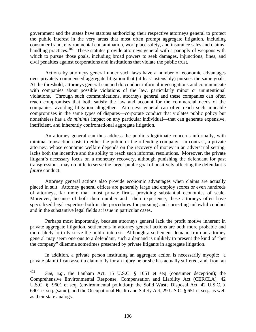government and the states have statutes authorizing their respective attorneys general to protect the public interest in the very areas that most often prompt aggregate litigation, including consumer fraud, environmental contamination, workplace safety, and insurance sales and claims-handling practices.<sup>[402](#page-107-0)</sup> These statutes provide attorneys general with a panoply of weapons with which to pursue those goals, including broad powers to seek damages, injunctions, fines, and civil penalties against corporations and institutions that violate the public trust.

Actions by attorneys general under such laws have a number of economic advantages over privately commenced aggregate litigation that (at least ostensibly) pursues the same goals. At the threshold, attorneys general can and do conduct informal investigations and communicate with companies about possible violations of the law, particularly minor or unintentional violations. Through such communications, attorneys general and these companies can often reach compromises that both satisfy the law and account for the commercial needs of the companies, avoiding litigation altogether. Attorneys general can often reach such amicable compromises in the same types of disputes—corporate conduct that violates public policy but nonetheless has a *de minimis* impact on any particular individual—that can generate expensive, inefficient, and inherently confrontational aggregate litigation.

An attorney general can thus address the public's legitimate concerns informally, with minimal transaction costs to either the public or the offending company. In contrast, a private attorney, whose economic welfare depends on the recovery of money in an adversarial setting, lacks both the incentive and the ability to reach such informal resolutions. Moreover, the private litigant's necessary focus on a monetary recovery, although punishing the defendant for past transgressions, may do little to serve the larger public goal of positively affecting the defendant's *future* conduct.

Attorney general actions also provide economic advantages when claims are actually placed in suit. Attorney general offices are generally large and employ scores or even hundreds of attorneys, far more than most private firms, providing substantial economies of scale. Moreover, because of both their number and their experience, these attorneys often have specialized legal expertise both in the procedures for pursuing and correcting unlawful conduct and in the substantive legal fields at issue in particular cases.

Perhaps most importantly, because attorneys general lack the profit motive inherent in private aggregate litigation, settlements in attorney general actions are both more probable and more likely to truly serve the public interest. Although a settlement demand from an attorney general may seem onerous to a defendant, such a demand is unlikely to present the kind of "bet the company" dilemma sometimes presented by private litigants in aggregate litigation.

In addition, a private person instituting an aggregate action is necessarily myopic: a private plaintiff can assert a claim only for an injury he or she has actually suffered, and, from an

<span id="page-107-0"></span><sup>402</sup> 402 *See*, *e.g.*, the Lanham Act, 15 U.S.C. § 1051 et seq (consumer deception); the Comprehensive Environmental Response, Compensation and Liability Act (CERCLA), 42 U.S.C. § 9601 et seq. (environmental pollution); the Solid Waste Disposal Act. 42 U.S.C. § 6901 et seq. (same); and the Occupational Health and Safety Act, 29 U.S.C. § 651 et seq., as well as their state analogs.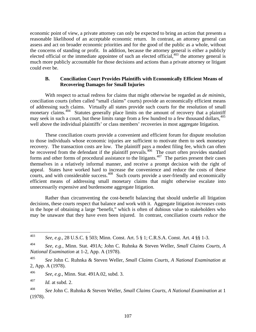economic point of view, a private attorney can only be expected to bring an action that presents a reasonable likelihood of an acceptable economic return. In contrast, an attorney general can assess and act on broader economic priorities and for the good of the public as a whole, without the concerns of standing or profit. In addition, because the attorney general is either a publicly elected official or the immediate appointee of such an elected official, $403$  the attorney general is much more publicly accountable for those decisions and actions than a private attorney or litigant could ever be.

#### **B. Conciliation Court Provides Plaintiffs with Economically Efficient Means of Recovering Damages for Small Injuries**

With respect to actual redress for claims that might otherwise be regarded as *de minimis*, conciliation courts (often called "small claims" courts) provide an economically efficient means of addressing such claims. Virtually all states provide such courts for the resolution of small monetary claims.<sup>[404](#page-108-1)</sup> Statutes generally place limits on the amount of recovery that a plaintiff may seek in such a court, but these limits range from a few hundred to a few thousand dollars.<sup>[405](#page-108-2)</sup> well above the individual plaintiffs' or class members' recoveries in most aggregate litigation.

These conciliation courts provide a convenient and efficient forum for dispute resolution to those individuals whose economic injuries are sufficient to motivate them to seek monetary recovery. The transaction costs are low. The plaintiff pays a modest filing fee, which can often be recovered from the defendant if the plaintiff prevails.<sup>[406](#page-108-3)</sup> The court often provides standard forms and other forms of procedural assistance to the litigants. $407$  The parties present their cases themselves in a relatively informal manner, and receive a prompt decision with the right of appeal. States have worked hard to increase the convenience and reduce the costs of these courts, and with considerable success.<sup>[408](#page-108-5)</sup> Such courts provide a user-friendly and economically efficient means of addressing small monetary claims that might otherwise escalate into unnecessarily expensive and burdensome aggregate litigation.

Rather than circumventing the cost-benefit balancing that should underlie all litigation decisions, these courts respect that balance and work with it. Aggregate litigation *increases* costs in the hope of obtaining a large "benefit," which is often of dubious value to stakeholders who may be unaware that they have even been injured. In contrast, conciliation courts *reduce* the

<span id="page-108-3"></span>406 *See*, *e.g.*, Minn. Stat. 491A.02, subd. 3.

<span id="page-108-4"></span>407 *Id.* at subd. 2.

<span id="page-108-0"></span><sup>403</sup> 403 *See, e.g.*, 28 U.S.C. § 503; Minn. Const. Art. 5 § 1; C.R.S.A. Const. Art. 4 §§ 1-3.

<span id="page-108-1"></span><sup>404</sup> *See, e.g.*, Minn. Stat. 491A; John C. Ruhnka & Steven Weller, *Small Claims Courts, A National Examination* at 1-2, App. A (1978).

<span id="page-108-2"></span><sup>405</sup> *See* John C. Ruhnka & Steven Weller, *Small Claims Courts, A National Examination* at 2, App. A (1978).

<span id="page-108-5"></span><sup>408</sup> *See* John C. Ruhnka & Steven Weller, *Small Claims Courts, A National Examination* at 1 (1978).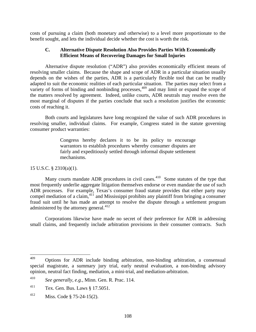costs of pursuing a claim (both monetary and otherwise) to a level more proportionate to the benefit sought, and lets the individual decide whether the cost is worth the risk.

#### **C. Alternative Dispute Resolution Also Provides Parties With Economically Efficient Means of Recovering Damages for Small Injuries**

Alternative dispute resolution ("ADR") also provides economically efficient means of resolving smaller claims. Because the shape and scope of ADR in a particular situation usually depends on the wishes of the parties, ADR is a particularly flexible tool that can be readily adapted to suit the economic realities of each particular situation. The parties may select from a variety of forms of binding and nonbinding processes,  $409$  and may limit or expand the scope of the matters resolved by agreement. Indeed, unlike courts, ADR neutrals may resolve even the most marginal of disputes if the parties conclude that such a resolution justifies the economic costs of reaching it.

Both courts and legislatures have long recognized the value of such ADR procedures in resolving smaller, individual claims. For example, Congress stated in the statute governing consumer product warranties:

> Congress hereby declares it to be its policy to encourage warrantors to establish procedures whereby consumer disputes are fairly and expeditiously settled through informal dispute settlement mechanisms.

#### 15 U.S.C. § 2310(a)(1).

Many courts mandate ADR procedures in civil cases.<sup>[410](#page-109-1)</sup> Some statutes of the type that most frequently underlie aggregate litigation themselves endorse or even mandate the use of such ADR processes. For example, Texas's consumer fraud statute provides that either party may compel mediation of a claim,  $411$  and Mississippi prohibits any plaintiff from bringing a consumer fraud suit until he has made an attempt to resolve the dispute through a settlement program administered by the attorney general. $412$ 

Corporations likewise have made no secret of their preference for ADR in addressing small claims, and frequently include arbitration provisions in their consumer contracts. Such

<span id="page-109-0"></span><sup>409</sup> 409 Options for ADR include binding arbitration, non-binding arbitration, a consensual special magistrate, a summary jury trial, early neutral evaluation, a non-binding advisory opinion, neutral fact finding, mediation, a mini-trial, and mediation-arbitration.

<span id="page-109-1"></span><sup>410</sup> *See generally*, *e.g.,* Minn. Gen. R. Prac. 114.

<span id="page-109-2"></span><sup>411</sup> Tex. Gen. Bus. Laws § 17.5051.

<span id="page-109-3"></span><sup>412</sup> Miss. Code § 75-24-15(2).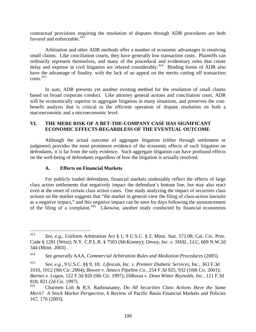contractual provisions requiring the resolution of disputes through ADR procedures are both favored and enforceable.<sup>[413](#page-110-0)</sup>

Arbitration and other ADR methods offer a number of economic advantages in resolving small claims. Like conciliation courts, they have generally low transaction costs. Plaintiffs can ordinarily represent themselves, and many of the procedural and evidentiary rules that create delay and expense in civil litigation are relaxed considerably.<sup>[414](#page-110-1)</sup> Binding forms of ADR also have the advantage of finality, with the lack of an appeal on the merits cutting off transaction  $costs.<sup>415</sup>$  $costs.<sup>415</sup>$  $costs.<sup>415</sup>$ 

In sum, ADR presents yet another existing method for the resolution of small claims based on broad corporate conduct. Like attorney general actions and conciliation court, ADR will be economically superior to aggregate litigation in many situations, and preserves the costbenefit analysis that is critical to the efficient operation of dispute resolution on both a macroeconomic and a microeconomic level.

#### **VI. THE MERE RISK OF A BET-THE-COMPANY CASE HAS SIGNIFICANT ECONOMIC EFFECTS REGARDLESS OF THE EVENTUAL OUTCOME**

Although the actual outcome of aggregate litigation (either through settlement or judgment) provides the most prominent evidence of the economic effects of such litigation on defendants, it is far from the only evidence. Such aggregate litigation can have profound effects on the well-being of defendants regardless of how the litigation is actually resolved.

#### **A. Effects on Financial Markets**

For publicly traded defendants, financial markets undeniably reflect the effects of large class action settlements that negatively impact the defendant's bottom line, but may also react even at the onset of certain class action cases. One study analyzing the impact of securities class actions on the market suggests that "the market in general view the filing of class-action lawsuits as a negative impact," and this negative impact can be seen for days following the announcement of the filing of a complaint.<sup>[416](#page-110-3)</sup> Likewise, another study conducted by financial economists

<span id="page-110-0"></span><sup>413</sup> 413 *See*, *e.g.*, Uniform Arbitration Act § 1; 9 U.S.C. § 2; Minn. Stat. 572.08; Cal. Civ. Proc. Code § 1281 (West); N.Y. C.P.L.R. § 7503 (McKinney); *Onvoy, Inc. v. SHAL, LLC*, 669 N.W.2d 344 (Minn. 2003) .

<span id="page-110-1"></span><sup>414</sup> *See generally* AAA, *Commercial Arbitration Rules and Mediation Procedures* (2005).

<span id="page-110-2"></span><sup>415</sup> *See*, *e.g.*, 9 U.S.C. §§ 9, 10; *Lifescan, Inc. v. Premier Diabetic Services, Inc.,* 363 F.3d 1010, 1012 (9th Cir. 2004); *Bowen v. Amoco Pipeline Co.*, 254 F.3d 925, 932 (10th Cir. 2001); *Barnes v. Logan,* 122 F.3d 820 (9th Cir. 1997); *DiRussa v. Dean Witter Reynolds, Inc.*, 121 F.3d 818, 821 (2d Cir. 1997).<br><sup>416</sup> Charman Lab &

<span id="page-110-3"></span><sup>416</sup> Charmen Loh & R.S. Rathinasamy, *Do All Securities Class Actions Have the Same Merit? A Stock Market Perspective*, 6 Review of Pacific Basin Financial Markets and Policies 167, 176 (2003).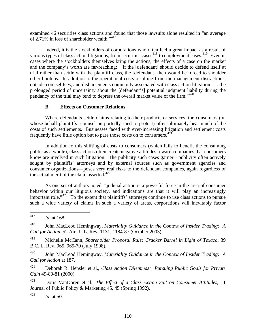examined 46 securities class actions and found that those lawsuits alone resulted in "an average of 2.71% in loss of shareholder wealth."[417](#page-111-0)

Indeed, it is the stockholders of corporations who often feel a great impact as a result of various types of class action litigations, from securities cases  $418$  to employment cases.  $419$  Even in cases where the stockholders themselves bring the actions, the effects of a case on the market and the company's worth are far-reaching: "If the [defendant] should decide to defend itself at trial rather than settle with the plaintiff class, the [defendant] then would be forced to shoulder other burdens. In addition to the operational costs resulting from the management distractions, outside counsel fees, and disbursements commonly associated with class action litigation . . . the prolonged period of uncertainty about the [defendant's] potential judgment liability during the pendancy of the trial may tend to depress the overall market value of the firm."[420](#page-111-3)

#### **B. Effects on Customer Relations**

Where defendants settle claims relating to their products or services, the consumers (on whose behalf plaintiffs' counsel purportedly sued to protect) often ultimately bear much of the costs of such settlements. Businesses faced with ever-increasing litigation and settlement costs frequently have little option but to pass those costs on to consumers.[421](#page-111-4)

In addition to this shifting of costs to consumers (which fails to benefit the consuming public as a whole), class actions often create negative attitudes toward companies that consumers know are involved in such litigation. The publicity such cases garner—publicity often actively sought by plaintiffs' attorneys and by external sources such as government agencies and consumer organizations—poses very real risks to the defendant companies, again regardless of the actual merit of the claim asserted.<sup>[422](#page-111-5)</sup>

As one set of authors noted, "judicial action is a powerful force in the area of consumer behavior within our litigious society, and indications are that it will play an increasingly important role."[423](#page-111-6) To the extent that plaintiffs' attorneys continue to use class actions to pursue such a wide variety of claims in such a variety of areas, corporations will inevitably factor

<span id="page-111-1"></span>418 John MacLeod Hemingway, *Materiality Guidance in the Context of Insider Trading: A Call for Action*, 52 Am. U.L. Rev. 1131, 1184-87 (October 2003).

<span id="page-111-2"></span>419 Michelle McCann, *Shareholder Proposal Rule: Cracker Barrel in Light of Texaco*, 39 B.C. L. Rev. 965, 965-70 (July 1998).

<span id="page-111-3"></span>420 John MacLeod Hemingway, *Materiality Guidance in the Context of Insider Trading: A Call for Action* at 187.

<span id="page-111-4"></span>421 Deborah R. Hensler et al., *Class Action Dilemmas: Pursuing Public Goals for Private Gain* 49-80-81 (2000).

<span id="page-111-5"></span>422 Doris VanDoren et al., *The Effect of a Class Action Suit on Consumer Attitudes*, 11 Journal of Public Policy & Marketing 45, 45 (Spring 1992).

<span id="page-111-6"></span>423 *Id.* at 50.

<span id="page-111-0"></span><sup>417</sup> *Id.* at 168.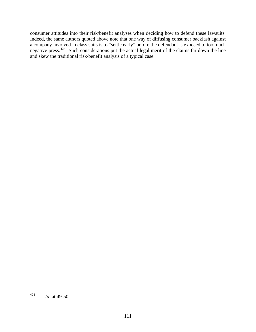consumer attitudes into their risk/benefit analyses when deciding how to defend these lawsuits. Indeed, the same authors quoted above note that one way of diffusing consumer backlash against a company involved in class suits is to "settle early" before the defendant is exposed to too much negative press.<sup>[424](#page-112-0)</sup> Such considerations put the actual legal merit of the claims far down the line and skew the traditional risk/benefit analysis of a typical case.

<span id="page-112-0"></span><sup>424</sup> *Id.* at 49-50.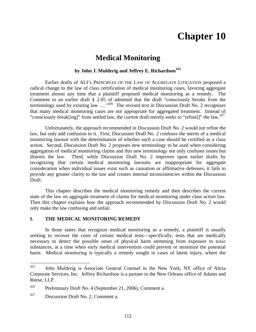## **Chapter 10**

### **Medical Monitoring**

#### **by John J. Mulderig and Jeffrey E. Richardson[425](#page-113-0)**

Earlier drafts of ALI's PRINCIPLES OF THE LAW OF AGGREGATE LITIGATION proposed a radical change to the law of class certification of medical monitoring cases, favoring aggregate treatment almost any time that a plaintiff proposed medical monitoring as a remedy. The Comment to an earlier draft § 2.05 of admitted that the draft "consciously breaks from the terminology used by existing law ...."<sup>[426](#page-113-1)</sup> The revised text in Discussion Draft No. 2 recognizes that many medical monitoring cases are not appropriate for aggregated treatment. Instead of "consciously break[ing]" from settled law, the current draft merely seeks to "refine[]" the law.<sup>[427](#page-113-2)</sup>

Unfortunately, the approach recommended in Discussion Draft No. 2 would not refine the law, but only add confusion to it. First, Discussion Draft No. 2 confuses the merits of a medical monitoring lawsuit with the determination of whether such a case should be certified as a class action. Second, Discussion Draft No. 2 proposes new terminology to be used when considering aggregation of medical monitoring claims and this new terminology not only confuses issues but distorts the law. Third, while Discussion Draft No. 2 improves upon earlier drafts by recognizing that certain medical monitoring lawsuits are inappropriate for aggregate consideration when individual issues exist such as causation or affirmative defenses, it fails to provide any greater clarity to the law and creates internal inconsistencies within the Discussion Draft.

This chapter describes the medical monitoring remedy and then describes the current state of the law on aggregate treatment of claims for medical monitoring under class action law. Then this chapter explains how the approach recommended by Discussion Draft No. 2 would only make the law confusing and unfair.

#### **I. THE MEDICAL MONITORING REMEDY**

In those states that recognize medical monitoring as a remedy, a plaintiff is usually seeking to recover the costs of certain medical tests—specifically, tests that are medically necessary to detect the possible onset of physical harm stemming from exposure to toxic substances, at a time when early medical intervention could prevent or minimize the potential harm. Medical monitoring is typically a remedy sought in cases of latent injury, where the

<span id="page-113-0"></span><sup>425</sup> John Mulderig is Associate General Counsel in the New York, NY office of Altria Corporate Services, Inc. Jeffrey Richardson is a partner in the New Orleans office of Adams and Reese, LLP.

<span id="page-113-1"></span><sup>426</sup> Preliminary Draft No. 4 (September 21, 2006), Comment a.

<span id="page-113-2"></span> $427$  Discussion Draft No. 2, Comment a.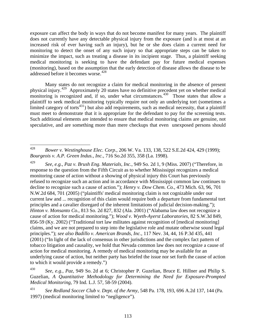exposure can affect the body in ways that do not become manifest for many years. The plaintiff does not currently have any detectable physical injury from the exposure (and is at most at an increased risk of ever having such an injury), but he or she does claim a current need for monitoring to detect the onset of any such injury so that appropriate steps can be taken to minimize the impact, such as treating a disease in its incipient stage. Thus, a plaintiff seeking medical monitoring is seeking to have the defendant pay for future medical expenses (monitoring), based on the assumption that the early detection of disease allows the disease to be addressed before it becomes worse.<sup>[428](#page-114-0)</sup>

Many states do not recognize a claim for medical monitoring in the absence of present physical injury.[429](#page-114-1) Approximately 20 states have no definitive precedent yet on whether medical monitoring is recognized and, if so, under what circumstances.<sup>[430](#page-114-2)</sup> Those states that allow a plaintiff to seek medical monitoring typically require not only an underlying tort (sometimes a limited category of torts $431$ ) but also add requirements, such as medical necessity, that a plaintiff must meet to demonstrate that it is appropriate for the defendant to pay for the screening tests. Such additional elements are intended to ensure that medical monitoring claims are genuine, not speculative, and are something more than mere checkups that even unexposed persons should

<span id="page-114-1"></span>429 *See*, *e.g.*, *Paz v. Brush Eng. Materials, Inc.*, 949 So. 2d 1, 9 (Miss. 2007) ("Therefore, in response to the question from the Fifth Circuit as to whether Mississippi recognizes a medical monitoring cause of action without a showing of physical injury this Court has previously refused to recognize such an action and in accordance with Mississippi common law continues to decline to recognize such a cause of action."); *Henry v. Dow Chem. Co.*, 473 Mich. 63, 96, 701 N.W.2d 684, 701 (2005) ("plaintiffs' medical monitoring claim is not cognizable under our current law and ... recognition of this claim would require both a departure from fundamental tort principles and a cavalier disregard of the inherent limitations of judicial decision-making."); *Hinton v. Monsanto Co.*, 813 So. 2d 827, 832 (Ala. 2001) ("Alabama law does not recognize a cause of action for medical monitoring."); *Wood v. Wyeth-Ayerst Laboratories*, 82 S.W.3d 849, 856-59 (Ky. 2002) ("Traditional tort law militates against recognition of [medical monitoring] claims, and we are not prepared to step into the legislative role and mutate otherwise sound legal principles."); *see also Badillo v. American Brands, Inc.*, 117 Nev. 34, 44, 16 P.3d 435, 441 (2001) ("In light of the lack of consensus in other jurisdictions and the complex fact pattern of tobacco litigation and causality, we hold that Nevada common law does not recognize a cause of action for medical monitoring. A remedy of medical monitoring may be available for an underlying cause of action, but neither party has briefed the issue nor set forth the cause of action to which it would provide a remedy.")

<span id="page-114-0"></span><sup>428</sup> 428 *Bower v. Westinghouse Elec. Corp.*, 206 W. Va. 133, 138, 522 S.E.2d 424, 429 (1999); *Bourgeois v. A.P. Green Indus., Inc.*, 716 So.2d 355, 358 (La. 1998).

<span id="page-114-2"></span><sup>430</sup> *See, e.g., Paz*, 949 So. 2d at 6; Christopher P. Guzelian, Bruce E. Hillner and Philip S. Guzelian, *A Quantitative Methodology for Determining the Need for Exposure-Prompted Medical Monitoring*, 79 Ind. L.J. 57, 58-59 (2004).

<span id="page-114-3"></span><sup>431</sup> *See Redland Soccer Club v. Dept. of the Army*, 548 Pa. 178, 193, 696 A.2d 137, 144 (Pa. 1997) (medical monitoring limited to "negligence").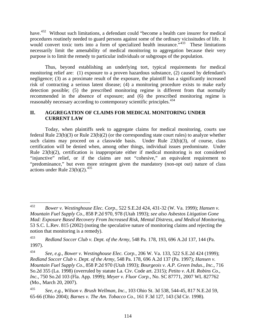have.<sup>[432](#page-115-0)</sup> Without such limitations, a defendant could "become a health care insurer for medical procedures routinely needed to guard persons against some of the ordinary vicissitudes of life. It would convert toxic torts into a form of specialized health insurance.<sup>"[433](#page-115-1)</sup> These limitations necessarily limit the amenability of medical monitoring to aggregation because their very purpose is to limit the remedy to particular individuals or subgroups of the population.

Thus, beyond establishing an underlying tort, typical requirements for medical monitoring relief are: (1) exposure to a proven hazardous substance, (2) caused by defendant's negligence; (3) as a proximate result of the exposure, the plaintiff has a significantly increased risk of contracting a serious latent disease; (4) a monitoring procedure exists to make early detection possible; (5) the prescribed monitoring regime is different from that normally recommended in the absence of exposure; and (6) the prescribed monitoring regime is reasonably necessary according to contemporary scientific principles.<sup>[434](#page-115-2)</sup>

#### **II. AGGREGATION OF CLAIMS FOR MEDICAL MONITORING UNDER CURRENT LAW**

Today, when plaintiffs seek to aggregate claims for medical monitoring, courts use federal Rule 23(b)(3) or Rule 23(b)(2) (or the corresponding state court rules) to analyze whether such claims may proceed on a classwide basis. Under Rule 23(b)(3), of course, class certification will be denied when, among other things, individual issues predominate. Under Rule 23(b)(2), certification is inappropriate either if medical monitoring is not considered "injunctive" relief, or if the claims are not "cohesive," an equivalent requirement to "predominance," but even more stringent given the mandatory (non-opt out) nature of class actions under Rule  $23(b)(2)$ .<sup>[435](#page-115-3)</sup>

<span id="page-115-0"></span><sup>432</sup> 432 *Bower v. Westinghouse Elec. Corp.*, 522 S.E.2d 424, 431-32 (W. Va. 1999); *Hansen v. Mountain Fuel Supply Co.*, 858 P.2d 970, 978 (Utah 1993); *see also Asbestos Litigation Gone Mad: Exposure Based Recovery From Increased Risk, Mental Distress, and Medical Monitoring*, 53 S.C. L.Rev. 815 (2002) (noting the speculative nature of monitoring claims and rejecting the notion that monitoring is a remedy).

<span id="page-115-1"></span><sup>433</sup> *Redland Soccer Club v. Dept. of the Army*, 548 Pa. 178, 193, 696 A.2d 137, 144 (Pa. 1997).

<span id="page-115-2"></span><sup>434</sup> *See*, *e.g.*, *Bower v. Westinghouse Elec. Corp.*, 206 W. Va. 133, 522 S.E.2d 424 (1999); *Redland Soccer Club v. Dept. of the Army*, 548 Pa. 178, 696 A.2d 137 (Pa. 1997); *Hansen v. Mountain Fuel Supply Co.*, 858 P.2d 970 (Utah 1993); *Bourgeois v. A.P. Green Indus., Inc.*, 716 So.2d 355 (La. 1998) (overruled by statute La. Civ. Code art. 2315); *Petito v. A.H. Robins Co., Inc.*, 750 So.2d 103 (Fla. App. 1999); *Meyer v. Fluor Corp.*, No. SC 87771, 2007 WL 827762 (Mo., March 20, 2007).

<span id="page-115-3"></span><sup>435</sup> *See*, *e.g.*, *Wilson v. Brush Wellman, Inc.*, 103 Ohio St. 3d 538, 544-45, 817 N.E.2d 59, 65-66 (Ohio 2004); *Barnes v. The Am. Tobacco Co.*, 161 F.3d 127, 143 (3d Cir. 1998).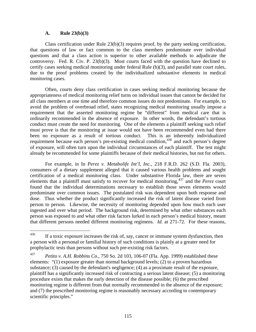#### **A. Rule 23(b)(3)**

Class certification under Rule  $23(b)(3)$  requires proof, by the party seeking certification, that questions of law or fact common to the class members predominate over individual questions and that a class action is superior to other available methods to adjudicate the controversy. Fed. R. Civ. P. 23(b)(3). Most courts faced with the question have declined to certify cases seeking medical monitoring under federal Rule (b)(3), and parallel state court rules, due to the proof problems created by the individualized substantive elements in medical monitoring cases.

Often, courts deny class certification in cases seeking medical monitoring because the appropriateness of medical monitoring relief turns on individual issues that cannot be decided for all class members at one time and therefore common issues do not predominate. For example, to avoid the problem of overbroad relief, states recognizing medical monitoring usually impose a requirement that the asserted monitoring regime be "different" from medical care that is ordinarily recommended in the absence of exposure. In other words, the defendant's tortious conduct must create the need for monitoring. One of the elements a plaintiff seeking such relief must prove is that the monitoring at issue would not have been recommended even had there been no exposure as a result of tortious conduct. This is an inherently individualized requirement because each person's pre-existing medical condition,<sup>[436](#page-116-0)</sup> and each person's degree of exposure, will often turn upon the individual circumstances of each plaintiff. The test might already be recommended for some plaintiffs because of their medical histories, but not for others.

For example, in In *Perez v. Metabolife Int'l, Inc.*, 218 F.R.D. 262 (S.D. Fla. 2003), consumers of a dietary supplement alleged that it caused various health problems and sought certification of a medical monitoring class. Under substantive Florida law, there are seven elements that a plaintiff must satisfy to recover for medical monitoring,[437](#page-116-1) and the *Perez* court found that the individual determinations necessary to establish those seven elements would predominate over common issues. The postulated risk was dependent upon both response and dose. Thus whether the product significantly increased the risk of latent disease varied from person to person. Likewise, the necessity of monitoring depended upon how much each user ingested and over what period. The background risk, determined by what other substances each person was exposed to and what other risk factors lurked in each person's medical history, meant that different persons needed different monitoring regimens. *Id.* at 271-72. For these reasons,

<span id="page-116-0"></span><sup>436</sup> If a toxic exposure increases the risk of, say, cancer or immune system dysfunction, then a person with a personal or familial history of such conditions is plainly at a greater need for prophylactic tests than persons without such pre-existing risk factors.

<span id="page-116-1"></span><sup>437</sup> *Petito v. A.H. Robbins Co.*, 750 So. 2d 103, 106-07 (Fla. App. 1999) established these elements: "(1) exposure greater than normal background levels; (2) to a proven hazardous substance; (3) caused by the defendant's negligence; (4) as a proximate result of the exposure, plaintiff has a significantly increased risk of contracting a serious latent disease; (5) a monitoring procedure exists that makes the early detection of the disease possible; (6) the prescribed monitoring regime is different from that normally recommended in the absence of the exposure; and (7) the prescribed monitoring regime is reasonably necessary according to contemporary scientific principles."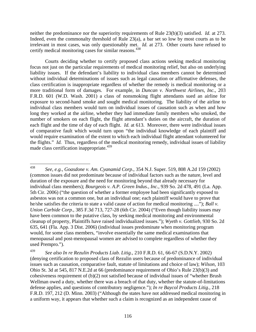neither the predominance nor the superiority requirements of Rule 23(b)(3) satisfied. *Id.* at 273. Indeed, even the commonalty threshold of Rule 23(a), a bar set so low by most courts as to be irrelevant in most cases, was only questionably met. *Id.* at 273. Other courts have refused to certify medical monitoring cases for similar reasons.<sup>[438](#page-117-0)</sup>

Courts deciding whether to certify proposed class actions seeking medical monitoring focus not just on the particular requirements of medical monitoring relief, but also on underlying liability issues. If the defendant's liability to individual class members cannot be determined without individual determinations of issues such as legal causation or affirmative defenses, the class certification is inappropriate regardless of whether the remedy is medical monitoring or a more traditional form of damages. For example, in *Duncan v. Northwest Airlines, Inc.*, 203 F.R.D. 601 (W.D. Wash. 2001) a class of nonsmoking flight attendants sued an airline for exposure to second-hand smoke and sought medical monitoring. The liability of the airline to individual class members would turn on individual issues of causation such as when and how long they worked at the airline, whether they had immediate family members who smoked, the number of smokers on each flight, the flight attendant's duties on the aircraft, the duration of each flight and the time of day of each flight. *Id.* at 613. Moreover, there were individual issues of comparative fault which would turn upon "the individual knowledge of each plaintiff and would require examination of the extent to which each individual flight attendant volunteered for the flights." *Id.* Thus, regardless of the medical monitoring remedy, individual issues of liability made class certification inappropriate.<sup>[439](#page-117-1)</sup>

<span id="page-117-0"></span><sup>438</sup> 438 *See*, *e.g.*, *Goasdone v. Am. Cyanamid Corp.*, 354 N.J. Super. 519, 808 A.2d 159 (2002) (common issues did not predominate because of individual factors such as the nature, level and duration of the exposure and the need for monitoring beyond that already necessary for individual class members); *Bourgeois v. A.P. Green Indus., Inc.*, 939 So. 2d 478, 491 (La. App. 5th Cir. 2006) ("the question of whether a former employee had been significantly exposed to asbestos was not a common one, but an individual one; each plaintiff would have to prove that he/she satisfies the criteria to state a valid cause of action for medical monitoring ...."); *Ball v. Union Carbide Corp.*, 385 F.3d 713, 727-28 (6th Cir. 2004) ("Even though liability issues may have been common to the putative class, by seeking medical monitoring and environmental cleanup of property, Plaintiffs have raised individualized issues."); *Wyeth v. Gottlieb*, 930 So. 2d 635, 641 (Fla. App. 3 Dist. 2006) (individual issues predominate when monitoring program would, for some class members, "involve essentially the same medical examinations that menopausal and post-menopausal women are advised to complete regardless of whether they used Prempro.").

<span id="page-117-1"></span><sup>439</sup> *See also In re Rezulin Products Liab. Litig.*, 210 F.R.D. 61, 66-67 (S.D.N.Y. 2002) (denying certification to proposed class of Rezulin users because of predominance of individual issues such as causation, comparative fault, statute of limitations and choice of law); *Wilson*, 103 Ohio St. 3d at 545, 817 N.E.2d at 66 (predominance requirement of Ohio's Rule 23(b)(3) and cohesiveness requirement of (b)(2) not satisfied because of individual issues of "whether Brush Wellman owed a duty, whether there was a breach of that duty, whether the statute-of-limitations defense applies, and questions of contributory negligence."); *In re Baycol Products Litig.*, 218 F.R.D. 197, 212 (D. Minn. 2003) ("Although the states have not addressed medical monitoring in a uniform way, it appears that whether such a claim is recognized as an independent cause of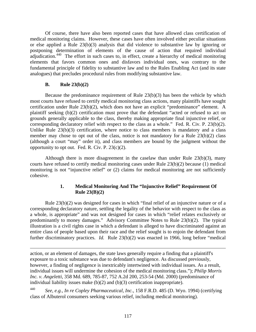Of course, there have also been reported cases that have allowed class certification of medical monitoring claims. However, these cases have often involved either peculiar situations or else applied a Rule 23(b)(3) analysis that did violence to substantive law by ignoring or postponing determination of elements of the cause of action that required individual adjudication.<sup>[440](#page-118-0)</sup> The effort in such cases to, in effect, create a hierarchy of medical monitoring elements that favors common ones and disfavors individual ones, was contrary to the fundamental principle of fidelity to substantive law and to the Rules Enabling Act (and its state analogues) that precludes procedural rules from modifying substantive law.

#### **B. Rule 23(b)(2)**

 $\overline{a}$ 

Because the predominance requirement of Rule 23(b)(3) has been the vehicle by which most courts have refused to certify medical monitoring class actions, many plaintiffs have sought certification under Rule 23(b)(2), which does not have an explicit "predominance" element. A plaintiff seeking (b)(2) certification must prove that the defendant "acted or refused to act on grounds generally applicable to the class, thereby making appropriate final injunctive relief, or corresponding declaratory relief with respect to the class as a whole." Fed. R. Civ. P. 23(b)(2). Unlike Rule  $23(b)(3)$  certification, where notice to class members is mandatory and a class member may chose to opt out of the class, notice is not mandatory for a Rule 23(b)(2) class (although a court "may" order it), and class members are bound by the judgment without the opportunity to opt out. Fed. R. Civ. P.  $23(c)(2)$ .

Although there is more disagreement in the caselaw than under Rule  $23(b)(3)$ , many courts have refused to certify medical monitoring cases under Rule 23(b)(2) because (1) medical monitoring is not "injunctive relief" or (2) claims for medical monitoring are not sufficiently cohesive.

#### **1. Medical Monitoring And The "Injunctive Relief" Requirement Of Rule 23(B)(2)**

Rule 23(b)(2) was designed for cases in which "final relief of an injunctive nature or of a corresponding declaratory nature, settling the legality of the behavior with respect to the class as a whole, is appropriate" and was not designed for cases in which "relief relates exclusively or predominantly to money damages." Advisory Committee Notes to Rule 23(b)(2). The typical illustration is a civil rights case in which a defendant is alleged to have discriminated against an entire class of people based upon their race and the relief sought is to enjoin the defendant from further discriminatory practices. *Id.* Rule 23(b)(2) was enacted in 1966, long before "medical

action, or an element of damages, the state laws generally require a finding that a plaintiff's exposure to a toxic substance was due to defendant's negligence. As discussed previously, however, a finding of negligence is inextricably intertwined with individual issues. As a result, individual issues will undermine the cohesion of the medical monitoring class."); *Philip Morris Inc. v. Angeletti*, 358 Md. 689, 785-87, 752 A.2d 200, 253-54 (Md. 2000) (predominance of individual liability issues make (b)(2) and (b)(3) certification inappropriate).

<span id="page-118-0"></span>440 *See*, *e.g.*, *In re Copley Pharmaceutical, Inc.*, 158 F.R.D. 485 (D. Wyo. 1994) (certifying class of Albuterol consumers seeking various relief, including medical monitoring).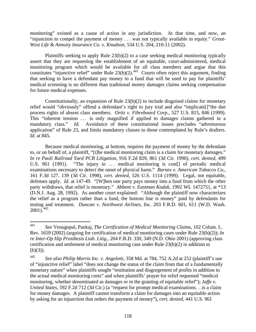monitoring" existed as a cause of action in any jurisdiction. At that time, and now, an "injunction to compel the payment of money . . . was not typically available in equity." *Great-West Life & Annuity Insurance Co. v. Knudson*, 534 U.S. 204, 210-11 (2002).

Plaintiffs seeking to apply Rule 23(b)(2) to a case seeking medical monitoring typically assert that they are requesting the establishment of an equitable, court-administered, medical monitoring program which would be available for all class members and argue that this constitutes "injunctive relief" under Rule  $23(b)(2)$ .<sup>[441](#page-119-0)</sup> Courts often reject this argument, finding that seeking to have a defendant pay money to a fund that will be used to pay for plaintiffs' medical screening is no different than traditional money damages claims seeking compensation for future medical expenses.

Constitutionally, an expansion of Rule 23(b)(2) to include disguised claims for monetary relief would "obviously" offend a defendant's right to jury trial and also "implicate[]"the due process rights of absent class members. *Ortiz v. Fibreboard Corp.*, 527 U.S. 815, 846 (1999). This "inherent tension . . . is only magnified if applied to damages claims gathered in a mandatory class." *Id.* Avoidance of these constitutional issues precludes "adventurous" application" of Rule 23, and limits mandatory classes to those contemplated by Rule's drafters. *Id.* at 845.

Because medical monitoring, at bottom, requires the payment of money by the defendant to, or on behalf of, a plaintiff, "[t]he medical monitoring claim is a claim for monetary damages." *In re Paoli Railroad Yard PCB Litigation*, 916 F.2d 829, 861 (3d Cir. 1990), *cert. denied*, 499 U.S. 961 (1991). "The injury in ... medical monitoring is cost<sup>[]</sup> of periodic medical examinations necessary to detect the onset of physical harm." *Barnes v. American Tobacco Co.*, 161 F.3d 127, 139 (3d Cir. 1998), *cert. denied*, 526 U.S. 1114 (1999). Legal, not equitable, defenses apply. *Id.* at 147-49. "[W]hen one party pays money into a fund from which the other party withdraws, that relief is monetary." *Abbent v. Eastman Kodak*, 1992 WL 1472751, at \*13 (D.N.J. Aug. 28, 1992). As another court explained: "Although the plaintiff now characterizes the relief as a program rather than a fund, the bottom line is money" paid by defendants for testing and treatment. *Duncan v. Northwest Airlines, Inc.* 203 F.R.D. 601, 611 (W.D. Wash.  $2001$ ).<sup>[442](#page-119-1)</sup>

<span id="page-119-0"></span><sup>441</sup> 441 *See* Venugopal, Pankaj, *The Certification of Medical Monitoring Claims*, 102 Colum. L. Rev. 1659 (2002) (arguing for certification of medical monitoring cases under Rule 23(b)(2)); *In re Inter-Op Hip Prosthesis Liab. Litig.*, 204 F.R.D. 330, 349 (N.D. Ohio 2001) (approving class certification and settlement of medical monitoring case under Rule 23(b)(2) in addition to  $(b)(3)$ ).

<span id="page-119-1"></span><sup>442</sup> *See also Philip Morris Inc. v. Angeletti*, 358 Md. at 784, 752 A.2d at 252 (plaintiff's use of "injunctive relief" label "does not change the status of the claim from that of a fundamentally monetary nature" when plaintiffs sought "restitution and disgorgement of profits in addition to the actual medical monitoring costs" and when plaintiffs' prayer for relief requested "medical monitoring, whether denominated as damages or in the granting of equitable relief"); *Jaffe v. United States*, 592 F.2d 712 (3d Cir.) (a "request for prompt medical examinations. . .is a claim for money damages. A plaintiff cannot transform a claim for damages into an equitable action by asking for an injunction that orders the payment of money"), *cert. denied*, 441 U.S. 961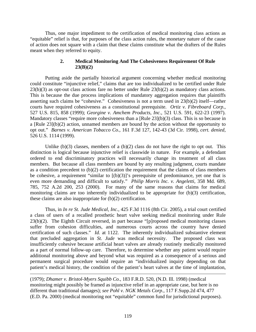Thus, one major impediment to the certification of medical monitoring class actions as "equitable" relief is that, for purposes of the class action rules, the monetary nature of the cause of action does not square with a claim that these claims constitute what the drafters of the Rules meant when they referred to equity.

#### **2. Medical Monitoring And The Cohesiveness Requirement Of Rule 23(B)(2)**

Putting aside the partially historical argument concerning whether medical monitoring could constitute "injunctive relief," claims that are too individualized to be certified under Rule 23(b)(3) as opt-out class actions fare no better under Rule 23(b)(2) as mandatory class actions. This is because the due process implications of mandatory aggregation requires that plaintiffs asserting such claims be "cohesive." Cohesiveness is not a term used in 23(b)(2) itself—rather courts have required cohesiveness as a constitutional prerequisite. *Ortiz v. Fibreboard Corp.*, 527 U.S. 815, 858 (1999); *Georgine v. Amchem Products, Inc.*, 521 U.S. 591, 622-23 (1997). Mandatory classes "require more cohesiveness than a [Rule 23](b)(3) class. This is so because in a [Rule 23](b)(2) action, unnamed members are bound by the action without the opportunity to opt out." *Barnes v. American Tobacco Co.*, 161 F.3d 127, 142-43 (3d Cir. 1998), *cert. denied*, 526 U.S. 1114 (1999).

Unlike  $(b)(3)$  classes, members of a  $(b)(2)$  class do not have the right to opt out. This distinction is logical because injunctive relief is classwide in nature. For example, a defendant ordered to end discriminatory practices will necessarily change its treatment of all class members. But because all class members are bound by any resulting judgment, courts mandate as a condition precedent to (b)(2) certification the requirement that the claims of class members be cohesive, a requirement "similar to  $[(b)(3)]$ " s prerequisite of predominance, yet one that is even more demanding and difficult to satisfy." *Philip Morris Inc. v. Angeletti*, 358 Md. 689, 785, 752 A.2d 200, 253 (2000). For many of the same reasons that claims for medical monitoring claims are too inherently individualized to be appropriate for (b)(3) certification, these claims are also inappropriate for (b)(2) certification.

Thus, in *In re St. Jude Medical, Inc.*, 425 F.3d 1116 (8th Cir. 2005), a trial court certified a class of users of a recalled prosthetic heart valve seeking medical monitoring under Rule 23(b)(2). The Eighth Circuit reversed, in part because "[p]roposed medical monitoring classes suffer from cohesion difficulties, and numerous courts across the country have denied certification of such classes." *Id.* at 1122. The inherently individualized substantive element that precluded aggregation in *St. Jude* was medical necessity. The proposed class was insufficiently cohesive because artificial heart valves are already routinely medically monitored as a part of normal follow-up care. Therefore, to determine whether any patient would require additional monitoring above and beyond what was required as a consequence of a serious and permanent surgical procedure would require an "individualized inquiry depending on that patient's medical history, the condition of the patient's heart valves at the time of implantation,

(1979); *Dhamer v. Bristol-Myers Squibb Co.*, 183 F.R.D. 520, (N.D. Ill. 1998) (medical monitoring might possibly be framed as injunctive relief in an appropriate case, but here is no different than traditional damages); *see Pohl v. NGK Metals Corp.*, 117 F.Supp.2d 474, 477 (E.D. Pa. 2000) (medical monitoring not "equitable" common fund for jurisdictional purposes).

 $\overline{a}$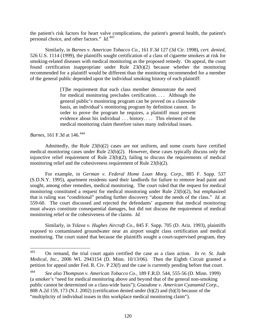the patient's risk factors for heart valve complications, the patient's general health, the patient's personal choice, and other factors." *Id.[443](#page-121-0)*

Similarly, in *Barnes v. American Tobacco Co.*, 161 F.3d 127 (3d Cir. 1998), *cert. denied*, 526 U.S. 1114 (1999), the plaintiffs sought certification of a class of cigarette smokers at risk for smoking-related diseases with medical monitoring as the proposed remedy. On appeal, the court found certification inappropriate under Rule 23(b)(2) because whether the monitoring recommended for a plaintiff would be different than the monitoring recommended for a member of the general public depended upon the individual smoking history of each plaintiff:

> [T]he requirement that each class member demonstrate the need for medical monitoring precludes certification. . . . Although the general public's monitoring program can be proved on a classwide basis, an individual's monitoring program by definition cannot. In order to prove the program he requires, a plaintiff must present evidence about his individual . . . history. . . . This element of the medical monitoring claim therefore raises many individual issues.

*Barnes*, 161 F.3d at 146.<sup>[444](#page-121-1)</sup>

Admittedly, the Rule 23(b)(2) cases are not uniform, and some courts have certified medical monitoring cases under Rule 23(b)(2). However, these cases typically discuss only the injunctive relief requirement of Rule 23(b)(2), failing to discuss the requirements of medical monitoring relief and the cohesiveness requirement of Rule 23(b)(2).

For example, in *German v. Federal Home Loan Morg. Corp.*, 885 F. Supp. 537 (S.D.N.Y. 1995), apartment residents sued their landlords for failure to remove lead paint and sought, among other remedies, medical monitoring. The court ruled that the request for medical monitoring constituted a request for medical monitoring under Rule 23(b)(2), but emphasized that is ruling was "conditional" pending further discovery "about the needs of the class." *Id.* at 559-60. The court discussed and rejected the defendants' argument that medical monitoring must always constitute consequential damages, but did not discuss the requirement of medical monitoring relief or the cohesiveness of the claims. *Id.*

Similarly, in *Yslava v. Hughes Aircraft Co.*, 845 F. Supp. 705 (D. Ariz. 1993), plaintiffs exposed to contaminated groundwater near an airport sought class certification and medical monitoring. The court stated that because the plaintiffs sought a court-supervised program, they

<span id="page-121-0"></span><sup>443</sup> 443 On remand, the trial court again certified the case as a class action. *In re. St. Jude Medical, Inc.*, 2006 WL 2943154 (D. Minn. 10/13/06). Then the Eighth Circuit granted a petition for appeal under Fed. R. Civ. P 23(f) and the case is currently pending before that court.

<span id="page-121-1"></span><sup>444</sup> *See also Thompson v. American Tobacco Co.*, 189 F.R.D. 544, 555-56 (D. Minn. 1999) (a smoker's "need for medical monitoring above and beyond that of the general non-smoking public cannot be determined on a class-wide basis"); *Goasdone v. American Cyanamid Corp.*, 808 A.2d 159, 173 (N.J. 2002) (certification denied under (b)(2) and (b)(3) because of the "multiplicity of individual issues in this workplace medical monitoring claim").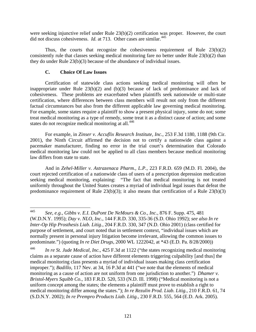were seeking injunctive relief under Rule 23(b)(2) certification was proper. However, the court did not discuss cohesiveness. *Id.* at 713. Other cases are similar.<sup>[445](#page-122-0)</sup>

Thus, the courts that recognize the cohesiveness requirement of Rule  $23(b)(2)$ consistently rule that classes seeking medical monitoring fare no better under Rule 23(b)(2) than they do under Rule 23(b)(3) because of the abundance of individual issues.

#### **C. Choice Of Law Issues**

Certification of statewide class actions seeking medical monitoring will often be inappropriate under Rule 23(b)(2) and (b)(3) because of lack of predominance and lack of cohesiveness. These problems are exacerbated when plaintiffs seek nationwide or multi-state certification, where differences between class members will result not only from the different factual circumstances but also from the different applicable law governing medical monitoring. For example, some states require a plaintiff to show a present physical injury, some do not; some treat medical monitoring as a type of remedy, some treat it as a distinct cause of action; and some states do not recognize medical monitoring at all.<sup>[446](#page-122-1)</sup>

For example, in *Zinser v. Accuflix Research Institute, Inc.*, 253 F.3d 1180, 1188 (9th Cir. 2001), the Ninth Circuit affirmed the decision not to certify a nationwide class against a pacemaker manufacturer, finding no error in the trial court's determination that Colorado medical monitoring law could not be applied to all class members because medical monitoring law differs from state to state.

And in *Zehel-Miller v. Astrazenaca Pharm., L.P.*, 223 F.R.D. 659 (M.D. Fl. 2004), the court rejected certification of a nationwide class of users of a prescription depression medication seeking medical monitoring, explaining: "The fact that medical monitoring is not treated uniformly throughout the United States creates a myriad of individual legal issues that defeat the predominance requirement of Rule  $23(b)(3)$ ; it also means that certification of a Rule  $23(b)(3)$ 

<span id="page-122-0"></span><sup>445</sup> 445 *See*, *e.g.*, *Gibbs v. E.I. DuPont De NeMours & Co., Inc.*, 876 F. Supp. 475, 481 (W.D.N.Y. 1995); *Day v. NLO, Inc.*, 144 F.R.D. 330, 335-36 (S.D. Ohio 1992); *see also In re Inter-Op Hip Prosthesis Liab. Litig.*, 204 F.R.D. 330, 347 (N.D. Ohio 2001) (class certified for purpose of settlement, and court noted that in settlement context, "individual issues which are normally present in personal injury litigation become irrelevant, allowing the common issues to predominate.") (quoting *In re Diet Drugs*, 2000 WL 1222042, at \*43 (E.D. Pa. 8/28/2000))

<span id="page-122-1"></span><sup>446</sup> *In re St. Jude Medical, Inc.*, 425 F.3d at 1122 ("the states recognizing medical monitoring claims as a separate cause of action have different elements triggering culpability [and thus] the medical monitoring class presents a myriad of individual issues making class certification improper."); *Badillo*, 117 Nev. at 34, 16 P.3d at 441 ("we note that the elements of medical monitoring as a cause of action are not uniform from one jurisdiction to another.") *Dhamer v. Bristol-Myers Squibb Co.*, 183 F.R.D. 520, 533 (N.D. Ill. 1998) ("Medical monitoring is not a uniform concept among the states; the elements a plaintiff must prove to establish a right to medical monitoring differ among the states."); *In re Rezulin Prod. Liab. Litig.*, 210 F.R.D. 61, 74 (S.D.N.Y. 2002); *In re Prempro Products Liab. Litig.*, 230 F.R.D. 555, 564 (E.D. Ark. 2005).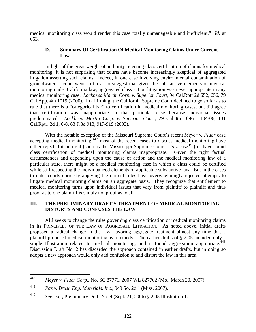medical monitoring class would render this case totally unmanageable and inefficient." *Id.* at 663.

#### **D. Summary Of Certification Of Medical Monitoring Claims Under Current Law**

In light of the great weight of authority rejecting class certification of claims for medical monitoring, it is not surprising that courts have become increasingly skeptical of aggregated litigation asserting such claims. Indeed, in one case involving environmental contamination of groundwater, a court went so far as to suggest that given the substantive elements of medical monitoring under California law, aggregated class action litigation was never appropriate in any medical monitoring case. *Lockheed Martin Corp. v. Superior Court*, 94 Cal.Rptr 2d 652, 656, 79 Cal.App. 4th 1019 (2000). In affirming, the California Supreme Court declined to go so far as to rule that there is a "categorical bar" to certification in medical monitoring cases, but did agree that certification was inappropriate in that particular case because individual issues predominated. *Lockheed Martin Corp. v. Superior Court*, 29 Cal.4th 1096, 1104-06, 131 Cal.Rptr. 2d 1, 6-8, 63 P.3d 913, 917-919 (2003).

With the notable exception of the Missouri Supreme Court's recent *Meyer v. Fluor* case accepting medical monitoring,  $447$  most of the recent cases to discuss medical monitoring have either rejected it outright (such as the Mississippi Supreme Court's *Paz* case<sup>[448](#page-123-1)</sup>) or have found class certification of medical monitoring claims inappropriate. Given the right factual circumstances and depending upon the cause of action and the medical monitoring law of a particular state, there might be a medical monitoring case in which a class could be certified while still respecting the individualized elements of applicable substantive law. But in the cases to date, courts correctly applying the current rules have overwhelmingly rejected attempts to litigate medical monitoring claims on an aggregate basis. They recognize that entitlement to medical monitoring turns upon individual issues that vary from plaintiff to plaintiff and thus proof as to one plaintiff is simply not proof as to all.

#### **III. THE PRELIMINARY DRAFT'S TREATMENT OF MEDICAL MONITORING DISTORTS AND CONFUSES THE LAW**

ALI seeks to change the rules governing class certification of medical monitoring claims in its PRINCIPLES OF THE LAW OF AGGREGATE LITIGATION. As noted above, initial drafts proposed a radical change in the law, favoring aggregate treatment almost any time that a plaintiff proposed medical monitoring as a remedy. The earlier drafts of § 2.05 included only a single Illustration related to medical monitoring, and it found aggregation appropriate.<sup>[449](#page-123-2)</sup> Discussion Draft No. 2 has discarded the approach contained in earlier drafts, but in doing so adopts a new approach would only add confusion to and distort the law in this area.

<span id="page-123-0"></span><sup>447</sup> 447 *Meyer v. Fluor Corp.*, No. SC 87771, 2007 WL 827762 (Mo., March 20, 2007).

<span id="page-123-1"></span><sup>448</sup> *Paz v. Brush Eng. Materials, Inc.*, 949 So. 2d 1 (Miss. 2007).

<span id="page-123-2"></span><sup>449</sup> *See, e.g.*, Preliminary Draft No. 4 (Sept. 21, 2006) § 2.05 Illustration 1.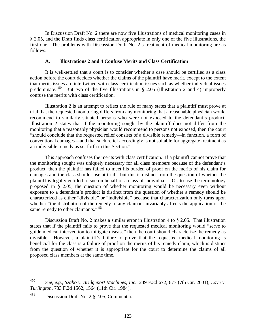In Discussion Draft No. 2 there are now five Illustrations of medical monitoring cases in § 2.05, and the Draft finds class certification appropriate in only one of the five illustrations, the first one. The problems with Discussion Draft No. 2's treatment of medical monitoring are as follows.

#### **A. Illustrations 2 and 4 Confuse Merits and Class Certification**

It is well-settled that a court is to consider whether a case should be certified as a class action before the court decides whether the claims of the plaintiff have merit, except to the extent that merits issues are intertwined with class certification issues such as whether individual issues predominate.<sup>[450](#page-124-0)</sup> But two of the five Illustrations in § 2.05 (Illustration 2 and 4) improperly confuse the merits with class certification.

Illustration 2 is an attempt to reflect the rule of many states that a plaintiff must prove at trial that the requested monitoring differs from any monitoring that a reasonable physician would recommend to similarly situated persons who were not exposed to the defendant's product. Illustration 2 states that if the monitoring sought by the plaintiff does not differ from the monitoring that a reasonably physician would recommend to persons not exposed, then the court "should conclude that the requested relief consists of a divisible remedy—in function, a form of conventional damages—and that such relief accordingly is not suitable for aggregate treatment as an indivisible remedy as set forth in this Section."

This approach confuses the merits with class certification. If a plaintiff cannot prove that the monitoring sought was uniquely necessary for all class members because of the defendant's product, then the plaintiff has failed to meet his burden of proof on the merits of his claim for damages and the class should lose at trial—but this is distinct from the question of whether the plaintiff is legally entitled to sue on behalf of a class of individuals. Or, to use the terminology proposed in § 2.05, the question of whether monitoring would be necessary even without exposure to a defendant's product is distinct from the question of whether a remedy should be characterized as either "divisible" or "indivisible" because that characterization only turns upon whether "the distribution of the remedy to any claimant invariably affects the application of the same remedy to other claimants."<sup>[451](#page-124-1)</sup>

Discussion Draft No. 2 makes a similar error in Illustration 4 to § 2.05. That illustration states that if the plaintiff fails to prove that the requested medical monitoring would "serve to guide medical intervention to mitigate disease" then the court should characterize the remedy as divisible. However, a plaintiff's failure to prove that the requested medical monitoring is beneficial for the class is a failure of proof on the merits of his remedy claim, which is distinct from the question of whether it is appropriate for the court to determine the claims of all proposed class members at the same time.

<span id="page-124-0"></span><sup>450</sup> 450 *See, e.g., Szabo v. Bridgeport Machines, Inc.*, 249 F.3d 672, 677 (7th Cir. 2001); *Love v. Turlington*, 733 F.2d 1562, 1564 (11th Cir. 1984).

<span id="page-124-1"></span><sup>451</sup> Discussion Draft No. 2 § 2.05, Comment a.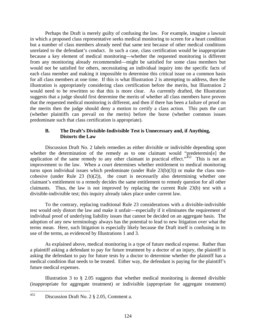Perhaps the Draft is merely guilty of confusing the law. For example, imagine a lawsuit in which a proposed class representative seeks medical monitoring to screen for a heart condition but a number of class members already need that same test because of other medical conditions unrelated to the defendant's conduct. In such a case, class certification would be inappropriate because a key element of medical monitoring—whether the requested monitoring is different from any monitoring already recommended—might be satisfied for some class members but would not be satisfied for others, necessitating an individual inquiry into the specific facts of each class member and making it impossible to determine this critical issue on a common basis for all class members at one time. If this is what Illustration 2 is attempting to address, then the illustration is appropriately considering class certification before the merits, but Illustration 2 would need to be rewritten so that this is more clear. As currently drafted, the Illustration suggests that a judge should first determine the merits of whether all class members have proven that the requested medical monitoring is different, and then if there has been a failure of proof on the merits then the judge should deny a motion to certify a class action. This puts the cart (whether plaintiffs can prevail on the merits) before the horse (whether common issues predominate such that class certification is appropriate).

#### **B. The Draft's Divisible-Indivisible Test is Unnecessary and, if Anything, Distorts the Law**

Discussion Draft No. 2 labels remedies as either divisible or indivisible depending upon whether the determination of the remedy as to one claimant would "predetermin[e] the application of the same remedy to any other claimant in practical effect." $452$  This is not an improvement to the law. When a court determines whether entitlement to medical monitoring turns upon individual issues which predominate (under Rule 23(b)(3)) or make the class noncohesive (under Rule 23 (b)(2)), the court is necessarily also determining whether one claimant's entitlement to a remedy decides the same entitlement to remedy question for all other claimants. Thus, the law is not improved by replacing the current Rule 23(b) test with a divisible-indivisible test; this inquiry already takes place under current law.

To the contrary, replacing traditional Rule 23 considerations with a divisible-indivisible test would only distort the law and make it unfair—especially if it eliminates the requirement of individual proof of underlying liability issues that cannot be decided on an aggregate basis. The adoption of any new terminology always has the potential to lead to new litigation over what the terms mean. Here, such litigation is especially likely because the Draft itself is confusing in its use of the terms, as evidenced by Illustrations 1 and 3.

As explained above, medical monitoring is a type of future medical expense. Rather than a plaintiff asking a defendant to pay for future treatment by a doctor of an injury, the plaintiff is asking the defendant to pay for future tests by a doctor to determine whether the plaintiff has a medical condition that needs to be treated. Either way, the defendant is paying for the plaintiff's future medical expenses.

Illustration 3 to § 2.05 suggests that whether medical monitoring is deemed divisible (inappropriate for aggregate treatment) or indivisible (appropriate for aggregate treatment)

<span id="page-125-0"></span><sup>452</sup> Discussion Draft No. 2 § 2.05, Comment a.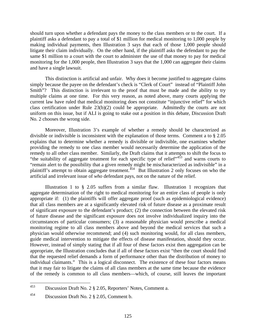should turn upon whether a defendant pays the money to the class members or to the court. If a plaintiff asks a defendant to pay a total of \$1 million for medical monitoring to 1,000 people by making individual payments, then Illustration 3 says that each of those 1,000 people should litigate their claim individually. On the other hand, if the plaintiff asks the defendant to pay the same \$1 million to a court with the court to administer the use of that money to pay for medical monitoring for the 1,000 people, then Illustration 3 says that the 1,000 can aggregate their claims and have a single lawsuit.

This distinction is artificial and unfair. Why does it become justified to aggregate claims simply because the payee on the defendant's check is "Clerk of Court" instead of "Plaintiff John Smith"? This distinction is irrelevant to the proof that must be made and the ability to try multiple claims at one time. For this very reason, as noted above, many courts applying the current law have ruled that medical monitoring does not constitute "injunctive relief" for which class certification under Rule 23(b)(2) could be appropriate. Admittedly the courts are not uniform on this issue, but if ALI is going to stake out a position in this debate, Discussion Draft No. 2 chooses the wrong side.

Moreover, Illustration 3's example of whether a remedy should be characterized as divisible or indivisible is inconsistent with the explanation of those terms. Comment a to § 2.05 explains that to determine whether a remedy is divisible or indivisible, one examines whether providing the remedy to one class member would necessarily determine the application of the remedy to all other class member. Similarly, the Draft claims that it attempts to shift the focus to "the suitability of aggregate treatment for each specific type of relief" $453$  and warns courts to "remain alert to the possibility that a given remedy might be mischaracterized as indivisible" in a plaintiff's attempt to obtain aggregate treatment.<sup> $454$ </sup> But Illustration 2 only focuses on who the artificial and irrelevant issue of *who* defendant pays, not on the nature of the relief.

Illustration 1 to § 2.05 suffers from a similar flaw. Illustration 1 recognizes that aggregate determination of the right to medical monitoring for an entire class of people is only appropriate if: (1) the plaintiffs will offer aggregate proof (such as epidemiological evidence) that all class members are at a significantly elevated risk of future disease as a proximate result of significant exposure to the defendant's product; (2) the connection between the elevated risk of future disease and the significant exposure does not involve individualized inquiry into the circumstances of particular consumers; (3) a reasonable physician would prescribe a medical monitoring regime to all class members above and beyond the medical services that such a physician would otherwise recommend; and (4) such monitoring would, for all class members, guide medical intervention to mitigate the effects of disease manifestation, should they occur. However, instead of simply stating that if all four of these factors exist then aggregation can be appropriate, the Illustration concludes that if all of these factors exist "then the court should find that the requested relief demands a form of performance other than the distribution of money to individual claimants." This is a logical disconnect. The existence of these four factors means that it may fair to litigate the claims of all class members at the same time because the evidence of the remedy is common to all class members—which, of course, still leaves the important

<span id="page-126-0"></span><sup>453</sup> Discussion Draft No. 2 § 2.05, Reporters' Notes, Comment a.

<span id="page-126-1"></span><sup>454</sup> Discussion Draft No. 2 § 2.05, Comment b.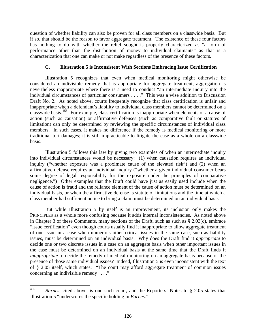question of whether liability can also be proven for all class members on a classwide basis. But if so, that should be the reason to favor aggregate treatment. The existence of these four factors has nothing to do with whether the relief sought is properly characterized as "a form of performance other than the distribution of money to individual claimants" as that is a characterization that one can make or not make regardless of the presence of these factors.

#### **C. Illustration 5 is Inconsistent With Sections Embracing Issue Certification**

Illustration 5 recognizes that even when medical monitoring might otherwise be considered an indivisible remedy that is appropriate for aggregate treatment, aggregation is nevertheless inappropriate where there is a need to conduct "an intermediate inquiry into the individual circumstances of particular consumers . . . ." This was a wise addition to Discussion Draft No. 2. As noted above, courts frequently recognize that class certification is unfair and inappropriate when a defendant's liability to individual class members cannot be determined on a classwide basis.[455](#page-127-0) For example, class certification is inappropriate when elements of a cause of action (such as causation) or affirmative defenses (such as comparative fault or statutes of limitation) can only be determined by reviewing the specific circumstances of individual class members. In such cases, it makes no difference if the remedy is medical monitoring or more traditional tort damages; it is still impracticable to litigate the case as a whole on a classwide basis.

Illustration 5 follows this law by giving two examples of when an intermediate inquiry into individual circumstances would be necessary: (1) when causation requires an individual inquiry ("whether exposure was a proximate cause of the elevated risk") and (2) when an affirmative defense requires an individual inquiry ("whether a given individual consumer bears some degree of legal responsibility for the exposure under the principles of comparative negligence.") Other examples that the Draft could have just as easily used include when the cause of action is fraud and the reliance element of the cause of action must be determined on an individual basis, or when the affirmative defense is statute of limitations and the time at which a class member had sufficient notice to bring a claim must be determined on an individual basis.

But while Illustration 5 by itself is an improvement, its inclusion only makes the PRINCIPLES as a whole more confusing because it adds internal inconsistencies. As noted above in Chapter 3 of these Comments, many sections of the Draft, such as such as § 2.03(c), embrace "issue certification" even though courts usually find it inappropriate to allow aggregate treatment of one issue in a case when numerous other critical issues in the same case, such as liability issues, must be determined on an individual basis. Why does the Draft find it *appropriate* to decide one or two discrete issues in a case on an aggregate basis when other important issues in the case must be determined on an individual basis at the same time that the Draft finds it *inappropriate* to decide the remedy of medical monitoring on an aggregate basis because of the presence of those same individual issues? Indeed, Illustration 5 is even inconsistent with the text of § 2.05 itself, which states: "The court may afford aggregate treatment of common issues concerning an indivisible remedy . . . ."

<span id="page-127-0"></span><sup>455</sup> 455 *Barnes*, cited above, is one such court, and the Reporters' Notes to § 2.05 states that Illustration 5 "underscores the specific holding in *Barnes*."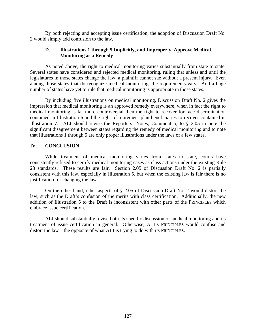By both rejecting and accepting issue certification, the adoption of Discussion Draft No. 2 would simply add confusion to the law.

#### **D. Illustrations 1 through 5 Implicitly, and Improperly, Approve Medical Monitoring as a Remedy**

As noted above, the right to medical monitoring varies substantially from state to state. Several states have considered and rejected medical monitoring, ruling that unless and until the legislatures in those states change the law, a plaintiff cannot sue without a present injury. Even among those states that do recognize medical monitoring, the requirements vary. And a huge number of states have yet to rule that medical monitoring is appropriate in those states.

By including five illustrations on medical monitoring, Discussion Draft No. 2 gives the impression that medical monitoring is an approved remedy everywhere, when in fact the right to medical monitoring is far more controversial then the right to recover for race discrimination contained in Illustration 6 and the right of retirement plan beneficiaries to recover contained in Illustration 7. ALI should revise the Reporters' Notes, Comment b, to § 2.05 to note the significant disagreement between states regarding the remedy of medical monitoring and to note that Illustrations 1 through 5 are only proper illustrations under the laws of a few states.

#### **IV. CONCLUSION**

While treatment of medical monitoring varies from states to state, courts have consistently refused to certify medical monitoring cases as class actions under the existing Rule 23 standards. These results are fair. Section 2.05 of Discussion Draft No. 2 is partially consistent with this law, especially in Illustration 5, but when the existing law is fair there is no justification for changing the law.

On the other hand, other aspects of § 2.05 of Discussion Draft No. 2 would distort the law, such as the Draft's confusion of the merits with class certification. Additionally, the new addition of Illustration 5 to the Draft is inconsistent with other parts of the PRINCIPLES which embrace issue certification.

ALI should substantially revise both its specific discussion of medical monitoring and its treatment of issue certification in general. Otherwise, ALI's PRINCIPLES would confuse and distort the law—the opposite of what ALI is trying to do with its PRINCIPLES.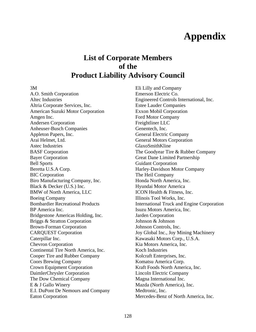# **Appendix**

## **List of Corporate Members of the Product Liability Advisory Council**

3M

A.O. Smith Corporation Altec Industries Altria Corporate Services, Inc. American Suzuki Motor Corporation Amgen Inc. Andersen Corporation Anheuser-Busch Companies Appleton Papers, Inc. Arai Helmet, Ltd. Astec Industries BASF Corporation Bayer Corporation Bell Sports Beretta U.S.A Corp. BIC Corporation Biro Manufacturing Company, Inc. Black & Decker (U.S.) Inc. BMW of North America, LLC Boeing Company Bombardier Recreational Products BP America Inc. Bridgestone Americas Holding, Inc. Briggs & Stratton Corporation Brown-Forman Corporation CARQUEST Corporation Caterpillar Inc. Chevron Corporation Continental Tire North America, Inc. Cooper Tire and Rubber Company Coors Brewing Company Crown Equipment Corporation DaimlerChrysler Corporation The Dow Chemical Company E & J Gallo Winery E.I. DuPont De Nemours and Company Eaton Corporation

Eli Lilly and Company Emerson Electric Co. Engineered Controls International, Inc. Estee Lauder Companies Exxon Mobil Corporation Ford Motor Company Freightliner LLC Genentech, Inc. General Electric Company General Motors Corporation GlaxoSmithKline The Goodyear Tire & Rubber Company Great Dane Limited Partnership Guidant Corporation Harley-Davidson Motor Company The Heil Company Honda North America, Inc. Hyundai Motor America ICON Health & Fitness, Inc. Illinois Tool Works, Inc. International Truck and Engine Corporation Isuzu Motors America, Inc. Jarden Corporation Johnson & Johnson Johnson Controls, Inc. Joy Global Inc., Joy Mining Machinery Kawasaki Motors Corp., U.S.A. Kia Motors America, Inc. Koch Industries Kolcraft Enterprises, Inc. Komatsu America Corp. Kraft Foods North America, Inc. Lincoln Electric Company Magna International Inc. Mazda (North America), Inc. Medtronic, Inc. Mercedes-Benz of North America, Inc.